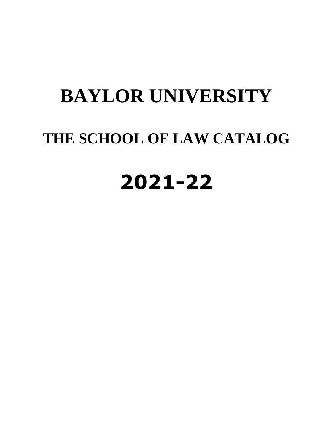# **BAYLOR UNIVERSITY THE SCHOOL OF LAW CATALOG 2021-22**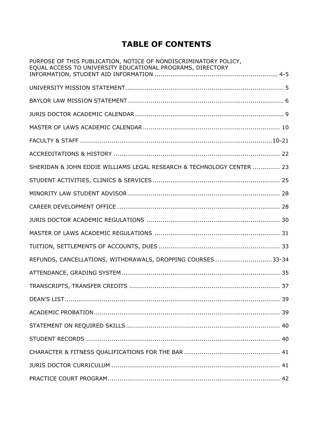# **TABLE OF CONTENTS**

| PURPOSE OF THIS PUBLICATION, NOTICE OF NONDISCRIMINATORY POLICY,<br>EQUAL ACCESS TO UNIVERSITY EDUCATIONAL PROGRAMS, DIRECTORY |
|--------------------------------------------------------------------------------------------------------------------------------|
|                                                                                                                                |
|                                                                                                                                |
|                                                                                                                                |
|                                                                                                                                |
|                                                                                                                                |
|                                                                                                                                |
| SHERIDAN & JOHN EDDIE WILLIAMS LEGAL RESEARCH & TECHNOLOGY CENTER  23                                                          |
|                                                                                                                                |
|                                                                                                                                |
|                                                                                                                                |
|                                                                                                                                |
|                                                                                                                                |
|                                                                                                                                |
| REFUNDS, CANCELLATIONS, WITHDRAWALS, DROPPING COURSES 33-34                                                                    |
|                                                                                                                                |
|                                                                                                                                |
|                                                                                                                                |
|                                                                                                                                |
|                                                                                                                                |
|                                                                                                                                |
|                                                                                                                                |
|                                                                                                                                |
|                                                                                                                                |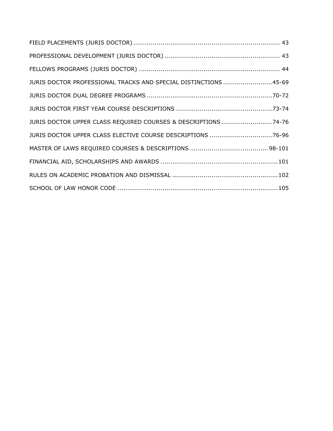| JURIS DOCTOR PROFESSIONAL TRACKS AND SPECIAL DISTINCTIONS 45-69 |  |
|-----------------------------------------------------------------|--|
|                                                                 |  |
|                                                                 |  |
| JURIS DOCTOR UPPER CLASS REQUIRED COURSES & DESCRIPTIONS 74-76  |  |
| JURIS DOCTOR UPPER CLASS ELECTIVE COURSE DESCRIPTIONS 76-96     |  |
|                                                                 |  |
|                                                                 |  |
|                                                                 |  |
|                                                                 |  |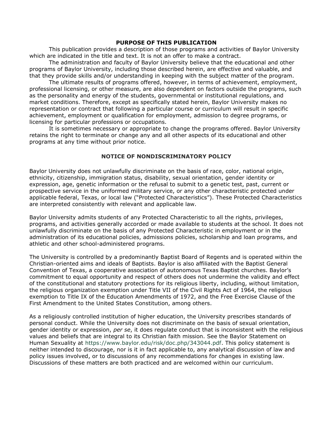#### **PURPOSE OF THIS PUBLICATION**

This publication provides a description of those programs and activities of Baylor University which are indicated in the title and text. It is not an offer to make a contract.

The administration and faculty of Baylor University believe that the educational and other programs of Baylor University, including those described herein, are effective and valuable, and that they provide skills and/or understanding in keeping with the subject matter of the program.

The ultimate results of programs offered, however, in terms of achievement, employment, professional licensing, or other measure, are also dependent on factors outside the programs, such as the personality and energy of the students, governmental or institutional regulations, and market conditions. Therefore, except as specifically stated herein, Baylor University makes no representation or contract that following a particular course or curriculum will result in specific achievement, employment or qualification for employment, admission to degree programs, or licensing for particular professions or occupations.

It is sometimes necessary or appropriate to change the programs offered. Baylor University retains the right to terminate or change any and all other aspects of its educational and other programs at any time without prior notice.

#### **NOTICE OF NONDISCRIMINATORY POLICY**

Baylor University does not unlawfully discriminate on the basis of race, color, national origin, ethnicity, citizenship, immigration status, disability, sexual orientation, gender identity or expression, age, genetic information or the refusal to submit to a genetic test, past, current or prospective service in the uniformed military service, or any other characteristic protected under applicable federal, Texas, or local law ("Protected Characteristics"). These Protected Characteristics are interpreted consistently with relevant and applicable law.

Baylor University admits students of any Protected Characteristic to all the rights, privileges, programs, and activities generally accorded or made available to students at the school. It does not unlawfully discriminate on the basis of any Protected Characteristic in employment or in the administration of its educational policies, admissions policies, scholarship and loan programs, and athletic and other school-administered programs.

The University is controlled by a predominantly Baptist Board of Regents and is operated within the Christian-oriented aims and ideals of Baptists. Baylor is also affiliated with the Baptist General Convention of Texas, a cooperative association of autonomous Texas Baptist churches. Baylor's commitment to equal opportunity and respect of others does not undermine the validity and effect of the constitutional and statutory protections for its religious liberty, including, without limitation, the religious organization exemption under Title VII of the Civil Rights Act of 1964, the religious exemption to Title IX of the Education Amendments of 1972, and the Free Exercise Clause of the First Amendment to the United States Constitution, among others.

As a religiously controlled institution of higher education, the University prescribes standards of personal conduct. While the University does not discriminate on the basis of sexual orientation, gender identity or expression, *per se*, it does regulate conduct that is inconsistent with the religious values and beliefs that are integral to its Christian faith mission. See the Baylor Statement on Human Sexuality at [https://www.baylor.edu/risk/doc.php/343044.pdf.](https://www.baylor.edu/risk/doc.php/343044.pdf) This policy statement is neither intended to discourage, nor is it in fact applicable to, any analytical discussion of law and policy issues involved, or to discussions of any recommendations for changes in existing law. Discussions of these matters are both practiced and are welcomed within our curriculum.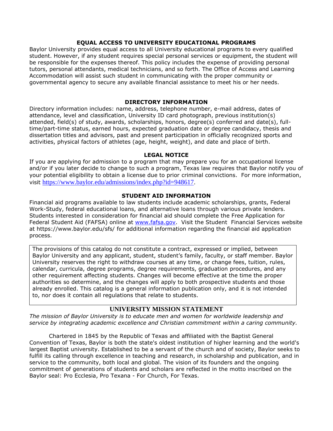#### **EQUAL ACCESS TO UNIVERSITY EDUCATIONAL PROGRAMS**

Baylor University provides equal access to all University educational programs to every qualified student. However, if any student requires special personal services or equipment, the student will be responsible for the expenses thereof. This policy includes the expense of providing personal tutors, personal attendants, medical technicians, and so forth. The Office of Access and Learning Accommodation will assist such student in communicating with the proper community or governmental agency to secure any available financial assistance to meet his or her needs.

#### **DIRECTORY INFORMATION**

Directory information includes: name, address, telephone number, e-mail address, dates of attendance, level and classification, University ID card photograph, previous institution(s) attended, field(s) of study, awards, scholarships, honors, degree(s) conferred and date(s), fulltime/part-time status, earned hours, expected graduation date or degree candidacy, thesis and dissertation titles and advisors, past and present participation in officially recognized sports and activities, physical factors of athletes (age, height, weight), and date and place of birth.

#### **LEGAL NOTICE**

If you are applying for admission to a program that may prepare you for an occupational license and/or if you later decide to change to such a program, Texas law requires that Baylor notify you of your potential eligibility to obtain a license due to prior criminal convictions. For more information, visit [https://www.baylor.edu/admissions/index.php?id=948617.](https://www.baylor.edu/admissions/index.php?id=948617)

#### **STUDENT AID INFORMATION**

Financial aid programs available to law students include academic scholarships, grants, Federal Work-Study, federal educational loans, and alternative loans through various private lenders. Students interested in consideration for financial aid should complete the Free Application for Federal Student Aid (FAFSA) online at [www.fafsa.gov.](http://www.fafsa.gov/) Visit the Student Financial Services website at https://www.baylor.edu/sfs/ for additional information regarding the financial aid application process.

The provisions of this catalog do not constitute a contract, expressed or implied, between Baylor University and any applicant, student, student's family, faculty, or staff member. Baylor University reserves the right to withdraw courses at any time, or change fees, tuition, rules, calendar, curricula, degree programs, degree requirements, graduation procedures, and any other requirement affecting students. Changes will become effective at the time the proper authorities so determine, and the changes will apply to both prospective students and those already enrolled. This catalog is a general information publication only, and it is not intended to, nor does it contain all regulations that relate to students.

## **UNIVERSITY MISSION STATEMENT**

*The mission of Baylor University is to educate men and women for worldwide leadership and service by integrating academic excellence and Christian commitment within a caring community.*

Chartered in 1845 by the Republic of Texas and affiliated with the Baptist General Convention of Texas, Baylor is both the state's oldest institution of higher learning and the world's largest Baptist university. Established to be a servant of the church and of society, Baylor seeks to fulfill its calling through excellence in teaching and research, in scholarship and publication, and in service to the community, both local and global. The vision of its founders and the ongoing commitment of generations of students and scholars are reflected in the motto inscribed on the Baylor seal: Pro Ecclesia, Pro Texana - For Church, For Texas.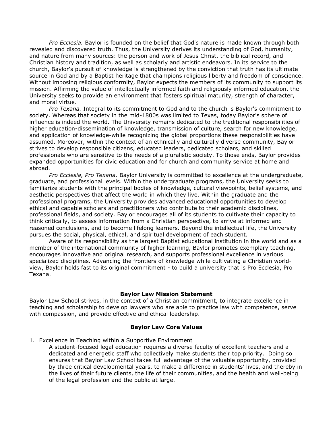*Pro Ecclesia.* Baylor is founded on the belief that God's nature is made known through both revealed and discovered truth. Thus, the University derives its understanding of God, humanity, and nature from many sources: the person and work of Jesus Christ, the biblical record, and Christian history and tradition, as well as scholarly and artistic endeavors. In its service to the church, Baylor's pursuit of knowledge is strengthened by the conviction that truth has its ultimate source in God and by a Baptist heritage that champions religious liberty and freedom of conscience. Without imposing religious conformity, Baylor expects the members of its community to support its mission. Affirming the value of intellectually informed faith and religiously informed education, the University seeks to provide an environment that fosters spiritual maturity, strength of character, and moral virtue.

*Pro Texana.* Integral to its commitment to God and to the church is Baylor's commitment to society. Whereas that society in the mid-1800s was limited to Texas, today Baylor's sphere of influence is indeed the world. The University remains dedicated to the traditional responsibilities of higher education-dissemination of knowledge, transmission of culture, search for new knowledge, and application of knowledge-while recognizing the global proportions these responsibilities have assumed. Moreover, within the context of an ethnically and culturally diverse community, Baylor strives to develop responsible citizens, educated leaders, dedicated scholars, and skilled professionals who are sensitive to the needs of a pluralistic society. To those ends, Baylor provides expanded opportunities for civic education and for church and community service at home and abroad.

*Pro Ecclesia, Pro Texana.* Baylor University is committed to excellence at the undergraduate, graduate, and professional levels. Within the undergraduate programs, the University seeks to familiarize students with the principal bodies of knowledge, cultural viewpoints, belief systems, and aesthetic perspectives that affect the world in which they live. Within the graduate and the professional programs, the University provides advanced educational opportunities to develop ethical and capable scholars and practitioners who contribute to their academic disciplines, professional fields, and society. Baylor encourages all of its students to cultivate their capacity to think critically, to assess information from a Christian perspective, to arrive at informed and reasoned conclusions, and to become lifelong learners. Beyond the intellectual life, the University pursues the social, physical, ethical, and spiritual development of each student.

Aware of its responsibility as the largest Baptist educational institution in the world and as a member of the international community of higher learning, Baylor promotes exemplary teaching, encourages innovative and original research, and supports professional excellence in various specialized disciplines. Advancing the frontiers of knowledge while cultivating a Christian worldview, Baylor holds fast to its original commitment - to build a university that is Pro Ecclesia, Pro Texana.

#### **Baylor Law Mission Statement**

Baylor Law School strives, in the context of a Christian commitment, to integrate excellence in teaching and scholarship to develop lawyers who are able to practice law with competence, serve with compassion, and provide effective and ethical leadership.

#### **Baylor Law Core Values**

1. Excellence in Teaching within a Supportive Environment

A student-focused legal education requires a diverse faculty of excellent teachers and a dedicated and energetic staff who collectively make students their top priority. Doing so ensures that Baylor Law School takes full advantage of the valuable opportunity, provided by three critical developmental years, to make a difference in students' lives, and thereby in the lives of their future clients, the life of their communities, and the health and well-being of the legal profession and the public at large.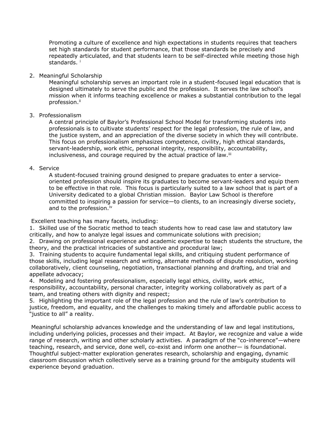Promoting a culture of excellence and high expectations in students requires that teachers set high standards for student performance, that those standards be precisely and repeatedly articulated, and that students learn to be self-directed while meeting those high standards.<sup>i</sup>

#### 2. Meaningful Scholarship

Meaningful scholarship serves an important role in a student-focused legal education that is designed ultimately to serve the public and the profession. It serves the law school's mission when it informs teaching excellence or makes a substantial contribution to the legal profession.<sup>ii</sup>

#### 3. Professionalism

A central principle of Baylor's Professional School Model for transforming students into professionals is to cultivate students' respect for the legal profession, the rule of law, and the justice system, and an appreciation of the diverse society in which they will contribute. This focus on professionalism emphasizes competence, civility, high ethical standards, servant-leadership, work ethic, personal integrity, responsibility, accountability, inclusiveness, and courage required by the actual practice of law.<sup>iii</sup>

#### 4. Service

A student-focused training ground designed to prepare graduates to enter a serviceoriented profession should inspire its graduates to become servant-leaders and equip them to be effective in that role. This focus is particularly suited to a law school that is part of a University dedicated to a global Christian mission. Baylor Law School is therefore committed to inspiring a passion for service—to clients, to an increasingly diverse society, and to the profession.<sup>iv</sup>

Excellent teaching has many facets, including:

1. Skilled use of the Socratic method to teach students how to read case law and statutory law critically, and how to analyze legal issues and communicate solutions with precision;

2. Drawing on professional experience and academic expertise to teach students the structure, the theory, and the practical intricacies of substantive and procedural law;

3. Training students to acquire fundamental legal skills, and critiquing student performance of those skills, including legal research and writing, alternate methods of dispute resolution, working collaboratively, client counseling, negotiation, transactional planning and drafting, and trial and appellate advocacy;

4. Modeling and fostering professionalism, especially legal ethics, civility, work ethic, responsibility, accountability, personal character, integrity working collaboratively as part of a team, and treating others with dignity and respect;

5. Highlighting the important role of the legal profession and the rule of law's contribution to justice, freedom, and equality, and the challenges to making timely and affordable public access to "justice to all" a reality.

Meaningful scholarship advances knowledge and the understanding of law and legal institutions, including underlying policies, processes and their impact. At Baylor, we recognize and value a wide range of research, writing and other scholarly activities. A paradigm of the "co-inherence"—where teaching, research, and service, done well, co-exist and inform one another— is foundational. Thoughtful subject-matter exploration generates research, scholarship and engaging, dynamic classroom discussion which collectively serve as a training ground for the ambiguity students will experience beyond graduation.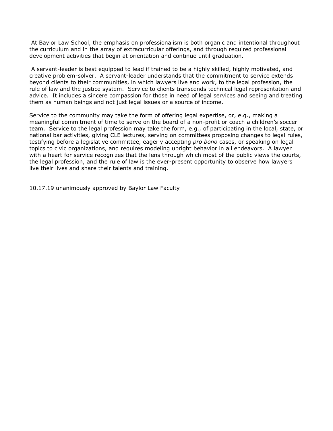At Baylor Law School, the emphasis on professionalism is both organic and intentional throughout the curriculum and in the array of extracurricular offerings, and through required professional development activities that begin at orientation and continue until graduation.

A servant-leader is best equipped to lead if trained to be a highly skilled, highly motivated, and creative problem-solver. A servant-leader understands that the commitment to service extends beyond clients to their communities, in which lawyers live and work, to the legal profession, the rule of law and the justice system. Service to clients transcends technical legal representation and advice. It includes a sincere compassion for those in need of legal services and seeing and treating them as human beings and not just legal issues or a source of income.

Service to the community may take the form of offering legal expertise, or, e.g., making a meaningful commitment of time to serve on the board of a non-profit or coach a children's soccer team. Service to the legal profession may take the form, e.g., of participating in the local, state, or national bar activities, giving CLE lectures, serving on committees proposing changes to legal rules, testifying before a legislative committee, eagerly accepting *pro bono* cases, or speaking on legal topics to civic organizations, and requires modeling upright behavior in all endeavors. A lawyer with a heart for service recognizes that the lens through which most of the public views the courts, the legal profession, and the rule of law is the ever-present opportunity to observe how lawyers live their lives and share their talents and training.

10.17.19 unanimously approved by Baylor Law Faculty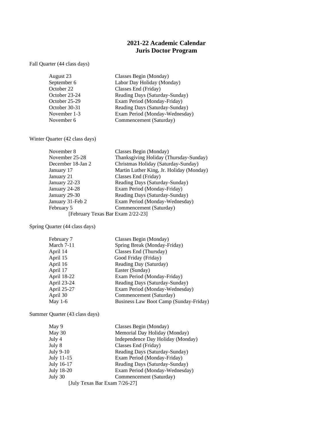## **2021-22 Academic Calendar Juris Doctor Program**

Fall Quarter (44 class days)

| August 23     | Classes Begin (Monday)         |
|---------------|--------------------------------|
| September 6   | Labor Day Holiday (Monday)     |
| October 22    | Classes End (Friday)           |
| October 23-24 | Reading Days (Saturday-Sunday) |
| October 25-29 | Exam Period (Monday-Friday)    |
| October 30-31 | Reading Days (Saturday-Sunday) |
| November 1-3  | Exam Period (Monday-Wednesday) |
| November 6    | Commencement (Saturday)        |

Winter Quarter (42 class days)

| November 8                        | Classes Begin (Monday)                   |
|-----------------------------------|------------------------------------------|
| November 25-28                    | Thanksgiving Holiday (Thursday-Sunday)   |
| December 18-Jan 2                 | Christmas Holiday (Saturday-Sunday)      |
| January 17                        | Martin Luther King, Jr. Holiday (Monday) |
| January 21                        | Classes End (Friday)                     |
| January 22-23                     | Reading Days (Saturday-Sunday)           |
| January 24-28                     | Exam Period (Monday-Friday)              |
| January 29-30                     | Reading Days (Saturday-Sunday)           |
| January 31-Feb 2                  | Exam Period (Monday-Wednesday)           |
| February 5                        | Commencement (Saturday)                  |
| [February Texas Bar Exam 2/22-23] |                                          |

Spring Quarter (44 class days)

| February 7  | Classes Begin (Monday)                 |
|-------------|----------------------------------------|
| March 7-11  | Spring Break (Monday-Friday)           |
| April 14    | Classes End (Thursday)                 |
| April 15    | Good Friday (Friday)                   |
| April 16    | Reading Day (Saturday)                 |
| April 17    | Easter (Sunday)                        |
| April 18-22 | Exam Period (Monday-Friday)            |
| April 23-24 | Reading Days (Saturday-Sunday)         |
| April 25-27 | Exam Period (Monday-Wednesday)         |
| April 30    | Commencement (Saturday)                |
| May $1-6$   | Business Law Boot Camp (Sunday-Friday) |

Summer Quarter (43 class days)

| May 9                         | Classes Begin (Monday)            |
|-------------------------------|-----------------------------------|
| May 30                        | Memorial Day Holiday (Monday)     |
| July 4                        | Independence Day Holiday (Monday) |
| July 8                        | Classes End (Friday)              |
| July 9-10                     | Reading Days (Saturday-Sunday)    |
| July 11-15                    | Exam Period (Monday-Friday)       |
| July 16-17                    | Reading Days (Saturday-Sunday)    |
| July 18-20                    | Exam Period (Monday-Wednesday)    |
| July 30                       | Commencement (Saturday)           |
| [July Texas Bar Exam 7/26-27] |                                   |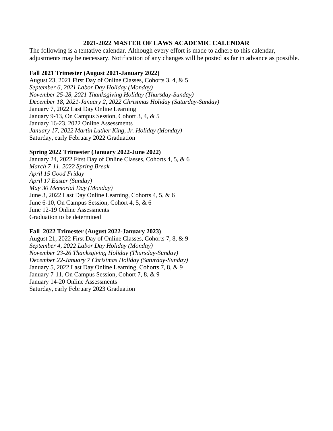## **2021-2022 MASTER OF LAWS ACADEMIC CALENDAR**

The following is a tentative calendar. Although every effort is made to adhere to this calendar, adjustments may be necessary. Notification of any changes will be posted as far in advance as possible.

## **Fall 2021 Trimester (August 2021-January 2022)**

August 23, 2021 First Day of Online Classes, Cohorts 3, 4, & 5 *September 6, 2021 Labor Day Holiday (Monday) November 25-28, 2021 Thanksgiving Holiday (Thursday-Sunday) December 18, 2021-January 2, 2022 Christmas Holiday (Saturday-Sunday)* January 7, 2022 Last Day Online Learning January 9-13, On Campus Session, Cohort 3, 4, & 5 January 16-23, 2022 Online Assessments *January 17, 2022 Martin Luther King, Jr. Holiday (Monday)* Saturday, early February 2022 Graduation

## **Spring 2022 Trimester (January 2022-June 2022)**

January 24, 2022 First Day of Online Classes, Cohorts 4, 5, & 6 *March 7-11, 2022 Spring Break April 15 Good Friday April 17 Easter (Sunday) May 30 Memorial Day (Monday)* June 3, 2022 Last Day Online Learning, Cohorts 4, 5, & 6 June 6-10, On Campus Session, Cohort 4, 5, & 6 June 12-19 Online Assessments Graduation to be determined

## **Fall 2022 Trimester (August 2022-January 2023)**

August 21, 2022 First Day of Online Classes, Cohorts 7, 8, & 9 *September 4, 2022 Labor Day Holiday (Monday) November 23-26 Thanksgiving Holiday (Thursday-Sunday) December 22-January 7 Christmas Holiday (Saturday-Sunday)* January 5, 2022 Last Day Online Learning, Cohorts 7, 8, & 9 January 7-11, On Campus Session, Cohort 7, 8, & 9 January 14-20 Online Assessments Saturday, early February 2023 Graduation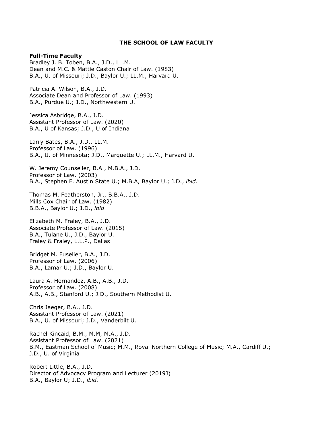#### **THE SCHOOL OF LAW FACULTY**

#### **Full-Time Faculty**

Bradley J. B. Toben, B.A., J.D., LL.M. Dean and M.C. & Mattie Caston Chair of Law. (1983) B.A., U. of Missouri; J.D., Baylor U.; LL.M., Harvard U.

Patricia A. Wilson, B.A., J.D. Associate Dean and Professor of Law. (1993) B.A., Purdue U.; J.D., Northwestern U.

Jessica Asbridge, B.A., J.D. Assistant Professor of Law. (2020) B.A., U of Kansas; J.D., U of Indiana

Larry Bates, B.A., J.D., LL.M. Professor of Law. (1996) B.A., U. of Minnesota; J.D., Marquette U.; LL.M., Harvard U.

W. Jeremy Counseller, B.A., M.B.A., J.D. Professor of Law. (2003) B.A., Stephen F. Austin State U.; M.B.A, Baylor U.; J.D., *ibid.*

Thomas M. Featherston, Jr., B.B.A., J.D. Mills Cox Chair of Law. (1982) B.B.A., Baylor U.; J.D., *ibid*

Elizabeth M. Fraley, B.A., J.D. Associate Professor of Law. (2015) B.A., Tulane U., J.D., Baylor U. Fraley & Fraley, L.L.P., Dallas

Bridget M. Fuselier, B.A., J.D. Professor of Law. (2006) B.A., Lamar U.; J.D., Baylor U.

Laura A. Hernandez, A.B., A.B., J.D. Professor of Law. (2008) A.B., A.B., Stanford U.; J.D., Southern Methodist U.

Chris Jaeger, B.A., J.D. Assistant Professor of Law. (2021) B.A., U. of Missouri; J.D., Vanderbilt U.

Rachel Kincaid, B.M., M.M, M.A., J.D. Assistant Professor of Law. (2021) B.M., Eastman School of Music; M.M., Royal Northern College of Music; M.A., Cardiff U.; J.D., U. of Virginia

Robert Little, B.A., J.D. Director of Advocacy Program and Lecturer (2019J) B.A., Baylor U; J.D., *ibid.*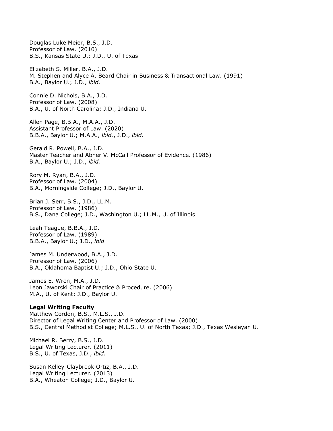Douglas Luke Meier, B.S., J.D. Professor of Law. (2010) B.S., Kansas State U.; J.D., U. of Texas Elizabeth S. Miller, B.A., J.D. M. Stephen and Alyce A. Beard Chair in Business & Transactional Law. (1991) B.A., Baylor U.; J.D., *ibid.* Connie D. Nichols, B.A., J.D. Professor of Law. (2008) B.A., U. of North Carolina; J.D., Indiana U. Allen Page, B.B.A., M.A.A., J.D. Assistant Professor of Law. (2020) B.B.A., Baylor U.; M.A.A., *ibid.*, J.D., *ibid.* Gerald R. Powell, B.A., J.D. Master Teacher and Abner V. McCall Professor of Evidence. (1986) B.A., Baylor U.; J.D., *ibid.* Rory M. Ryan, B.A., J.D. Professor of Law. (2004) B.A., Morningside College; J.D., Baylor U. Brian J. Serr, B.S., J.D., LL.M. Professor of Law. (1986) B.S., Dana College; J.D., Washington U.; LL.M., U. of Illinois Leah Teague, B.B.A., J.D. Professor of Law. (1989) B.B.A., Baylor U.; J.D., *ibid* James M. Underwood, B.A., J.D. Professor of Law. (2006) B.A., Oklahoma Baptist U.; J.D., Ohio State U. James E. Wren, M.A., J.D. Leon Jaworski Chair of Practice & Procedure. (2006) M.A., U. of Kent; J.D., Baylor U. **Legal Writing Faculty** Matthew Cordon, B.S., M.L.S., J.D. Director of Legal Writing Center and Professor of Law. (2000) B.S., Central Methodist College; M.L.S., U. of North Texas; J.D., Texas Wesleyan U. Michael R. Berry, B.S., J.D. Legal Writing Lecturer. (2011) B.S., U. of Texas, J.D., *ibid.* Susan Kelley-Claybrook Ortiz, B.A., J.D.

Legal Writing Lecturer. (2013) B.A., Wheaton College; J.D., Baylor U.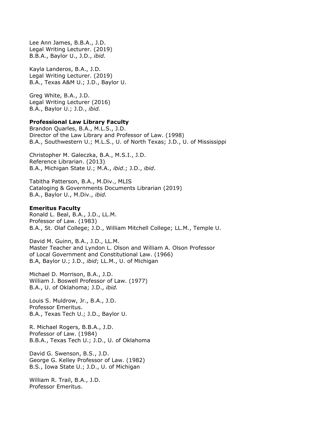Lee Ann James, B.B.A., J.D. Legal Writing Lecturer. (2019) B.B.A., Baylor U., J.D., *ibid.*

Kayla Landeros, B.A., J.D. Legal Writing Lecturer. (2019) B.A., Texas A&M U.; J.D., Baylor U.

Greg White, B.A., J.D. Legal Writing Lecturer (2016) B.A., Baylor U.; J.D., *ibid.*

#### **Professional Law Library Faculty**

Brandon Quarles, B.A., M.L.S., J.D. Director of the Law Library and Professor of Law. (1998) B.A., Southwestern U.; M.L.S., U. of North Texas; J.D., U. of Mississippi

Christopher M. Galeczka, B.A., M.S.I., J.D. Reference Librarian. (2013) B.A., Michigan State U.; M.A., *ibid*.; J.D., *ibid*.

Tabitha Patterson, B.A., M.Div., MLIS Cataloging & Governments Documents Librarian (2019) B.A., Baylor U., M.Div., *ibid.*

#### **Emeritus Faculty**

Ronald L. Beal, B.A., J.D., LL.M. Professor of Law. (1983) B.A., St. Olaf College; J.D., William Mitchell College; LL.M., Temple U.

David M. Guinn, B.A., J.D., LL.M. Master Teacher and Lyndon L. Olson and William A. Olson Professor of Local Government and Constitutional Law. (1966) B.A, Baylor U.; J.D., *ibid*; LL.M., U. of Michigan

Michael D. Morrison, B.A., J.D. William J. Boswell Professor of Law. (1977) B.A., U. of Oklahoma; J.D., *ibid.*

Louis S. Muldrow, Jr., B.A., J.D. Professor Emeritus. B.A., Texas Tech U.; J.D., Baylor U.

R. Michael Rogers, B.B.A., J.D. Professor of Law. (1984) B.B.A., Texas Tech U.; J.D., U. of Oklahoma

David G. Swenson, B.S., J.D. George G. Kelley Professor of Law. (1982) B.S., Iowa State U.; J.D., U. of Michigan

William R. Trail, B.A., J.D. Professor Emeritus.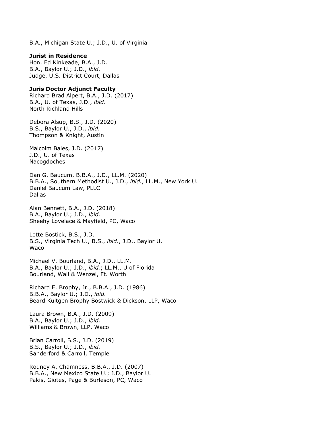B.A., Michigan State U.; J.D., U. of Virginia

#### **Jurist in Residence**

Hon. Ed Kinkeade, B.A., J.D. B.A., Baylor U.; J.D., *ibid.* Judge, U.S. District Court, Dallas

#### **Juris Doctor Adjunct Faculty**

Richard Brad Alpert, B.A., J.D. (2017) B.A., U. of Texas, J.D., *ibid*. North Richland Hills

Debora Alsup, B.S., J.D. (2020) B.S., Baylor U., J.D., *ibid.* Thompson & Knight, Austin

Malcolm Bales, J.D. (2017) J.D., U. of Texas Nacogdoches

Dan G. Baucum, B.B.A., J.D., LL.M. (2020) B.B.A., Southern Methodist U., J.D., *ibid.*, LL.M., New York U. Daniel Baucum Law, PLLC Dallas

Alan Bennett, B.A., J.D. (2018) B.A., Baylor U.; J.D., *ibid.* Sheehy Lovelace & Mayfield, PC, Waco

Lotte Bostick, B.S., J.D. B.S., Virginia Tech U., B.S., *ibid*., J.D., Baylor U. Waco

Michael V. Bourland, B.A., J.D., LL.M. B.A., Baylor U.; J.D., *ibid.*; LL.M., U of Florida Bourland, Wall & Wenzel, Ft. Worth

Richard E. Brophy, Jr., B.B.A., J.D. (1986) B.B.A., Baylor U.; J.D., *ibid.* Beard Kultgen Brophy Bostwick & Dickson, LLP, Waco

Laura Brown, B.A., J.D. (2009) B.A., Baylor U.; J.D., *ibid.* Williams & Brown, LLP, Waco

Brian Carroll, B.S., J.D. (2019) B.S., Baylor U.; J.D., *ibid.* Sanderford & Carroll, Temple

Rodney A. Chamness, B.B.A., J.D. (2007) B.B.A., New Mexico State U.; J.D., Baylor U. Pakis, Giotes, Page & Burleson, PC, Waco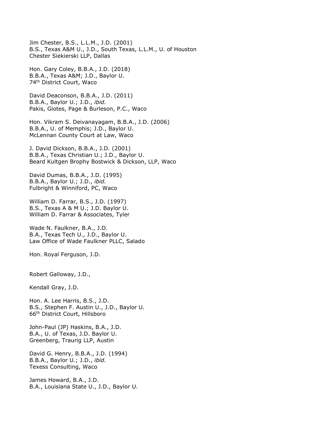Jim Chester, B.S., L.L.M., J.D. (2001) B.S., Texas A&M U., J.D., South Texas, L.L.M., U. of Houston Chester Siekierski LLP, Dallas

Hon. Gary Coley, B.B.A., J.D. (2018) B.B.A., Texas A&M; J.D., Baylor U. 74th District Court, Waco

David Deaconson, B.B.A., J.D. (2011) B.B.A., Baylor U.; J.D., *ibid.* Pakis, Giotes, Page & Burleson, P.C., Waco

Hon. Vikram S. Deivanayagam, B.B.A., J.D. (2006) B.B.A., U. of Memphis; J.D., Baylor U. McLennan County Court at Law, Waco

J. David Dickson, B.B.A., J.D. (2001) B.B.A., Texas Christian U.; J.D., Baylor U. Beard Kultgen Brophy Bostwick & Dickson, LLP, Waco

David Dumas, B.B.A., J.D. (1995) B.B.A., Baylor U.; J.D., *ibid.* Fulbright & Winniford, PC, Waco

William D. Farrar, B.S., J.D. (1997) B.S., Texas A & M U.; J.D. Baylor U. William D. Farrar & Associates, Tyler

Wade N. Faulkner, B.A., J.D. B.A., Texas Tech U., J.D., Baylor U. Law Office of Wade Faulkner PLLC, Salado

Hon. Royal Ferguson, J.D.

Robert Galloway, J.D.,

Kendall Gray, J.D.

Hon. A. Lee Harris, B.S., J.D. B.S., Stephen F. Austin U., J.D., Baylor U. 66th District Court, Hillsboro

John-Paul (JP) Haskins, B.A., J.D. B.A., U. of Texas, J.D. Baylor U. Greenberg, Traurig LLP, Austin

David G. Henry, B.B.A., J.D. (1994) B.B.A., Baylor U.; J.D., *ibid.* Texess Consulting, Waco

James Howard, B.A., J.D. B.A., Louisiana State U., J.D., Baylor U.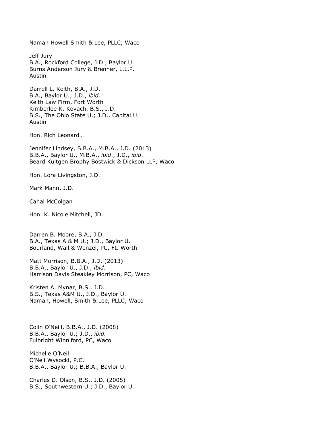Naman Howell Smith & Lee, PLLC, Waco

Jeff Jury B.A., Rockford College, J.D., Baylor U. Burns Anderson Jury & Brenner, L.L.P. Austin

Darrell L. Keith, B.A., J.D. B.A., Baylor U.; J.D., *ibid.* Keith Law Firm, Fort Worth Kimberlee K. Kovach, B.S., J.D. B.S., The Ohio State U.; J.D., Capital U. Austin

Hon. Rich Leonard…

Jennifer Lindsey, B.B.A., M.B.A., J.D. (2013) B.B.A., Baylor U., M.B.A., *ibid*., J.D., *ibid*. Beard Kultgen Brophy Bostwick & Dickson LLP, Waco

Hon. Lora Livingston, J.D.

Mark Mann, J.D.

Cahal McColgan

Hon. K. Nicole Mitchell, JD.

Darren B. Moore, B.A., J.D. B.A., Texas A & M U.; J.D., Baylor U. Bourland, Wall & Wenzel, PC, Ft. Worth

Matt Morrison, B.B.A., J.D. (2013) B.B.A., Baylor U., J.D., *ibid*. Harrison Davis Steakley Morrison, PC, Waco

Kristen A. Mynar, B.S., J.D. B.S., Texas A&M U., J.D., Baylor U. Naman, Howell, Smith & Lee, PLLC, Waco

Colin O'Neill, B.B.A., J.D. (2008) B.B.A., Baylor U.; J.D., *ibid.* Fulbright Winniford, PC, Waco

Michelle O'Neil O'Neil Wysocki, P.C. B.B.A., Baylor U.; B.B.A., Baylor U.

Charles D. Olson, B.S., J.D. (2005) B.S., Southwestern U.; J.D., Baylor U.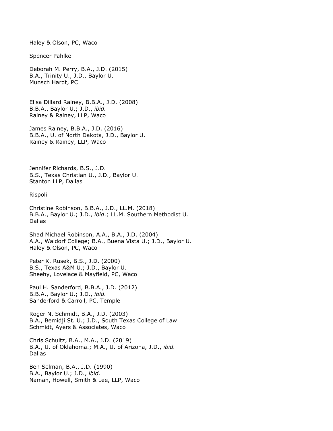Haley & Olson, PC, Waco

Spencer Pahlke

Deborah M. Perry, B.A., J.D. (2015) B.A., Trinity U., J.D., Baylor U. Munsch Hardt, PC

Elisa Dillard Rainey, B.B.A., J.D. (2008) B.B.A., Baylor U.; J.D., *ibid.* Rainey & Rainey, LLP, Waco

James Rainey, B.B.A., J.D. (2016) B.B.A., U. of North Dakota, J.D., Baylor U. Rainey & Rainey, LLP, Waco

Jennifer Richards, B.S., J.D. B.S., Texas Christian U., J.D., Baylor U. Stanton LLP, Dallas

Rispoli

Christine Robinson, B.B.A., J.D., LL.M. (2018) B.B.A., Baylor U.; J.D., *ibid*.; LL.M. Southern Methodist U. Dallas

Shad Michael Robinson, A.A., B.A., J.D. (2004) A.A., Waldorf College; B.A., Buena Vista U.; J.D., Baylor U. Haley & Olson, PC, Waco

Peter K. Rusek, B.S., J.D. (2000) B.S., Texas A&M U.; J.D., Baylor U. Sheehy, Lovelace & Mayfield, PC, Waco

Paul H. Sanderford, B.B.A., J.D. (2012) B.B.A., Baylor U.; J.D., *ibid.* Sanderford & Carroll, PC, Temple

Roger N. Schmidt, B.A., J.D. (2003) B.A., Bemidji St. U.; J.D., South Texas College of Law Schmidt, Ayers & Associates, Waco

Chris Schultz, B.A., M.A., J.D. (2019) B.A., U. of Oklahoma.; M.A., U. of Arizona, J.D., *ibid.* Dallas

Ben Selman, B.A., J.D. (1990) B.A., Baylor U.; J.D., *ibid.* Naman, Howell, Smith & Lee, LLP, Waco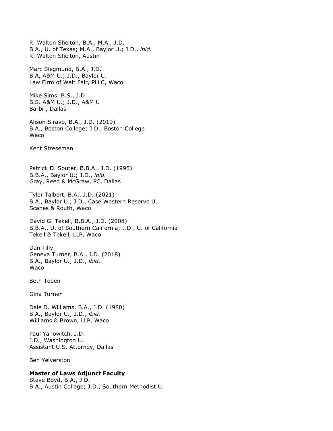B.A., U. of Texas; M.A., Baylor U.; J.D., *ibid.* R. Walton Shelton, Austin Marc Siegmund, B.A., J.D. B.A, A&M U.; J.D., Baylor U. Law Firm of Walt Fair, PLLC, Waco Mike Sims, B.S., J.D. B.S. A&M U.; J.D., A&M U Barbri, Dallas Alison Siravo, B.A., J.D. (2019) B.A., Boston College; J.D., Boston College Waco Kent Streseman Patrick D. Souter, B.B.A., J.D. (1995) B.B.A., Baylor U.; J.D., *ibid.* Gray, Reed & McGraw, PC, Dallas Tyler Talbert, B.A., J.D. (2021) B.A., Baylor U., J.D., Case Western Reserve U. Scanes & Routh, Waco David G. Tekell, B.B.A., J.D. (2008) B.B.A., U. of Southern California; J.D., U. of California Tekell & Tekell, LLP, Waco Dan Tilly Geneva Turner, B.A., J.D. (2018) B.A., Baylor U.; J.D., *ibid.* Waco Beth Toben Gina Turner Dale D. Williams, B.A., J.D. (1980) B.A., Baylor U.; J.D., *ibid.* Williams & Brown, LLP, Waco Paul Yanowitch, J.D. J.D., Washington U. Assistant U.S. Attorney, Dallas Ben Yelverston **Master of Laws Adjunct Faculty** Steve Boyd, B.A., J.D.

B.A., Austin College; J.D., Southern Methodist U.

R. Walton Shelton, B.A., M.A., J.D.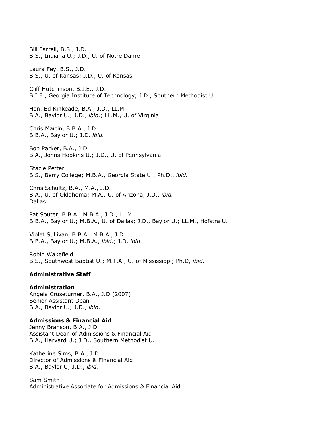Bill Farrell, B.S., J.D. B.S., Indiana U.; J.D., U. of Notre Dame Laura Fey, B.S., J.D. B.S., U. of Kansas; J.D., U. of Kansas Cliff Hutchinson, B.I.E., J.D. B.I.E., Georgia Institute of Technology; J.D., Southern Methodist U. Hon. Ed Kinkeade, B.A., J.D., LL.M. B.A., Baylor U.; J.D., *ibid.*; LL.M., U. of Virginia Chris Martin, B.B.A., J.D. B.B.A., Baylor U.; J.D. *ibid.* Bob Parker, B.A., J.D. B.A., Johns Hopkins U.; J.D., U. of Pennsylvania Stacie Petter B.S., Berry College; M.B.A., Georgia State U.; Ph.D., *ibid.* Chris Schultz, B.A., M.A., J.D. B.A., U. of Oklahoma; M.A., U. of Arizona, J.D., *ibid.* Dallas Pat Souter, B.B.A., M.B.A., J.D., LL.M. B.B.A., Baylor U.; M.B.A., U. of Dallas; J.D., Baylor U.; LL.M., Hofstra U.

Violet Sullivan, B.B.A., M.B.A., J.D. B.B.A., Baylor U.; M.B.A., *ibid.*; J.D. *ibid.*

Robin Wakefield B.S., Southwest Baptist U.; M.T.A., U. of Mississippi; Ph.D, *ibid.*

#### **Administrative Staff**

#### **Administration**

Angela Cruseturner, B.A., J.D.(2007) Senior Assistant Dean B.A., Baylor U.; J.D., *ibid.*

#### **Admissions & Financial Aid**

Jenny Branson, B.A., J.D. Assistant Dean of Admissions & Financial Aid B.A., Harvard U.; J.D., Southern Methodist U.

Katherine Sims, B.A., J.D. Director of Admissions & Financial Aid B.A., Baylor U; J.D., *ibid.*

Sam Smith Administrative Associate for Admissions & Financial Aid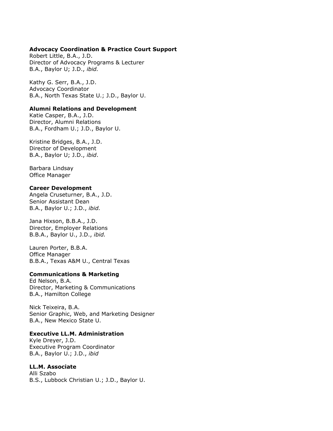#### **Advocacy Coordination & Practice Court Support**

Robert Little, B.A., J.D. Director of Advocacy Programs & Lecturer B.A., Baylor U; J.D., *ibid.*

Kathy G. Serr, B.A., J.D. Advocacy Coordinator B.A., North Texas State U.; J.D., Baylor U.

#### **Alumni Relations and Development**

Katie Casper, B.A., J.D. Director, Alumni Relations B.A., Fordham U.; J.D., Baylor U.

Kristine Bridges, B.A., J.D. Director of Development B.A., Baylor U; J.D., *ibid*.

Barbara Lindsay Office Manager

#### **Career Development**

Angela Cruseturner, B.A., J.D. Senior Assistant Dean B.A., Baylor U.; J.D., *ibid.*

Jana Hixson, B.B.A., J.D. Director, Employer Relations B.B.A., Baylor U., J.D., *ibid.*

Lauren Porter, B.B.A. Office Manager B.B.A., Texas A&M U., Central Texas

#### **Communications & Marketing**

Ed Nelson, B.A. Director, Marketing & Communications B.A., Hamilton College

Nick Teixeira, B.A. Senior Graphic, Web, and Marketing Designer B.A., New Mexico State U.

#### **Executive LL.M. Administration**

Kyle Dreyer, J.D. Executive Program Coordinator B.A., Baylor U.; J.D., *ibid*

#### **LL.M. Associate**

Alli Szabo B.S., Lubbock Christian U.; J.D., Baylor U.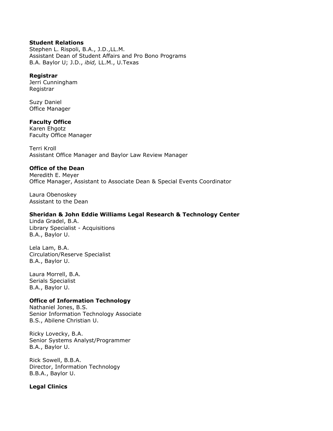#### **Student Relations**

Stephen L. Rispoli, B.A., J.D.,LL.M. Assistant Dean of Student Affairs and Pro Bono Programs B.A. Baylor U; J.D., *ibid,* LL.M., U.Texas

#### **Registrar**

Jerri Cunningham Registrar

Suzy Daniel Office Manager

#### **Faculty Office**

Karen Ehgotz Faculty Office Manager

Terri Kroll Assistant Office Manager and Baylor Law Review Manager

#### **Office of the Dean**

Meredith E. Meyer Office Manager, Assistant to Associate Dean & Special Events Coordinator

Laura Obenoskey Assistant to the Dean

#### **Sheridan & John Eddie Williams Legal Research & Technology Center**

Linda Gradel, B.A. Library Specialist - Acquisitions B.A., Baylor U.

Lela Lam, B.A. Circulation/Reserve Specialist B.A., Baylor U.

Laura Morrell, B.A. Serials Specialist B.A., Baylor U.

#### **Office of Information Technology**

Nathaniel Jones, B.S. Senior Information Technology Associate B.S., Abilene Christian U.

Ricky Lovecky, B.A. Senior Systems Analyst/Programmer B.A., Baylor U.

Rick Sowell, B.B.A. Director, Information Technology B.B.A., Baylor U.

#### **Legal Clinics**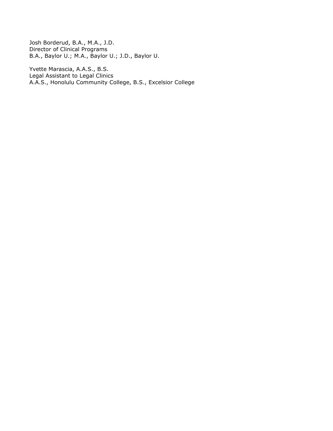Josh Borderud, B.A., M.A., J.D. Director of Clinical Programs B.A., Baylor U.; M.A., Baylor U.; J.D., Baylor U.

Yvette Marascia, A.A.S., B.S. Legal Assistant to Legal Clinics A.A.S., Honolulu Community College, B.S., Excelsior College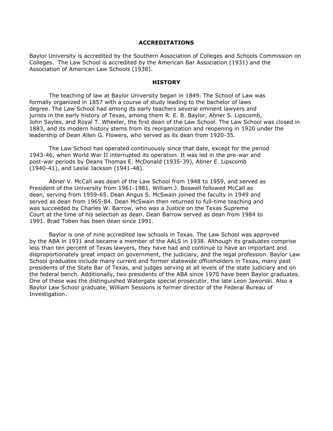#### **ACCREDITATIONS**

Baylor University is accredited by the Southern Association of Colleges and Schools Commission on Colleges. The Law School is accredited by the American Bar Association (1931) and the Association of American Law Schools (1938).

#### **HISTORY**

The teaching of law at Baylor University began in 1849. The School of Law was formally organized in 1857 with a course of study leading to the bachelor of laws degree. The Law School had among its early teachers several eminent lawyers and jurists in the early history of Texas, among them R. E. B. Baylor, Abner S. Lipscomb, John Sayles, and Royal T. Wheeler, the first dean of the Law School. The Law School was closed in 1883, and its modern history stems from its reorganization and reopening in 1920 under the leadership of Dean Allen G. Flowers, who served as its dean from 1920-35.

The Law School has operated continuously since that date, except for the period 1943-46, when World War II interrupted its operation. It was led in the pre-war and post-war periods by Deans Thomas E. McDonald (1935-39), Abner E. Lipscomb (1940-41), and Leslie Jackson (1941-48).

Abner V. McCall was dean of the Law School from 1948 to 1959, and served as President of the University from 1961-1981. William J. Boswell followed McCall as dean, serving from 1959-65. Dean Angus S. McSwain joined the faculty in 1949 and served as dean from 1965-84. Dean McSwain then returned to full-time teaching and was succeeded by Charles W. Barrow, who was a Justice on the Texas Supreme Court at the time of his selection as dean. Dean Barrow served as dean from 1984 to 1991. Brad Toben has been dean since 1991.

Baylor is one of nine accredited law schools in Texas. The Law School was approved by the ABA in 1931 and became a member of the AALS in 1938. Although its graduates comprise less than ten percent of Texas lawyers, they have had and continue to have an important and disproportionately great impact on government, the judiciary, and the legal profession. Baylor Law School graduates include many current and former statewide officeholders in Texas, many past presidents of the State Bar of Texas, and judges serving at all levels of the state judiciary and on the federal bench. Additionally, two presidents of the ABA since 1970 have been Baylor graduates. One of these was the distinguished Watergate special prosecutor, the late Leon Jaworski. Also a Baylor Law School graduate, William Sessions is former director of the Federal Bureau of Investigation.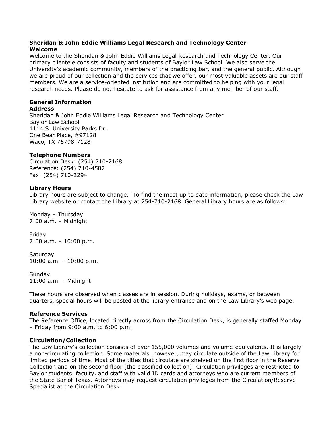#### **Sheridan & John Eddie Williams Legal Research and Technology Center Welcome**

Welcome to the Sheridan & John Eddie Williams Legal Research and Technology Center. Our primary clientele consists of faculty and students of Baylor Law School. We also serve the University's academic community, members of the practicing bar, and the general public. Although we are proud of our collection and the services that we offer, our most valuable assets are our staff members. We are a service-oriented institution and are committed to helping with your legal research needs. Please do not hesitate to ask for assistance from any member of our staff.

## **General Information**

#### **Address**

Sheridan & John Eddie Williams Legal Research and Technology Center Baylor Law School 1114 S. University Parks Dr. One Bear Place, #97128 Waco, TX 76798-7128

#### **Telephone Numbers**

Circulation Desk: (254) 710-2168 Reference: (254) 710-4587 Fax: (254) 710-2294

#### **Library Hours**

Library hours are subject to change. To find the most up to date information, please check the Law Library website or contact the Library at 254-710-2168. General Library hours are as follows:

Monday – Thursday 7:00 a.m. – Midnight

Friday 7:00 a.m. – 10:00 p.m.

**Saturday** 10:00 a.m. – 10:00 p.m.

Sunday 11:00 a.m. – Midnight

These hours are observed when classes are in session. During holidays, exams, or between quarters, special hours will be posted at the library entrance and on the Law Library's web page.

#### **Reference Services**

The Reference Office, located directly across from the Circulation Desk, is generally staffed Monday – Friday from 9:00 a.m. to 6:00 p.m.

#### **Circulation/Collection**

The Law Library's collection consists of over 155,000 volumes and volume-equivalents. It is largely a non-circulating collection. Some materials, however, may circulate outside of the Law Library for limited periods of time. Most of the titles that circulate are shelved on the first floor in the Reserve Collection and on the second floor (the classified collection). Circulation privileges are restricted to Baylor students, faculty, and staff with valid ID cards and attorneys who are current members of the State Bar of Texas. Attorneys may request circulation privileges from the Circulation/Reserve Specialist at the Circulation Desk.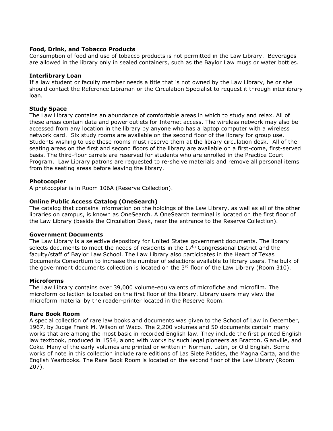#### **Food, Drink, and Tobacco Products**

Consumption of food and use of tobacco products is not permitted in the Law Library. Beverages are allowed in the library only in sealed containers, such as the Baylor Law mugs or water bottles.

#### **Interlibrary Loan**

If a law student or faculty member needs a title that is not owned by the Law Library, he or she should contact the Reference Librarian or the Circulation Specialist to request it through interlibrary loan.

#### **Study Space**

The Law Library contains an abundance of comfortable areas in which to study and relax. All of these areas contain data and power outlets for Internet access. The wireless network may also be accessed from any location in the library by anyone who has a laptop computer with a wireless network card. Six study rooms are available on the second floor of the library for group use. Students wishing to use these rooms must reserve them at the library circulation desk. All of the seating areas on the first and second floors of the library are available on a first-come, first-served basis. The third-floor carrels are reserved for students who are enrolled in the Practice Court Program. Law Library patrons are requested to re-shelve materials and remove all personal items from the seating areas before leaving the library.

#### **Photocopier**

A photocopier is in Room 106A (Reserve Collection).

#### **Online Public Access Catalog (OneSearch)**

The catalog that contains information on the holdings of the Law Library, as well as all of the other libraries on campus, is known as OneSearch. A OneSearch terminal is located on the first floor of the Law Library (beside the Circulation Desk, near the entrance to the Reserve Collection).

#### **Government Documents**

The Law Library is a selective depository for United States government documents. The library selects documents to meet the needs of residents in the 17<sup>th</sup> Congressional District and the faculty/staff of Baylor Law School. The Law Library also participates in the Heart of Texas Documents Consortium to increase the number of selections available to library users. The bulk of the government documents collection is located on the  $3<sup>rd</sup>$  floor of the Law Library (Room 310).

#### **Microforms**

The Law Library contains over 39,000 volume-equivalents of microfiche and microfilm. The microform collection is located on the first floor of the library. Library users may view the microform material by the reader-printer located in the Reserve Room.

#### **Rare Book Room**

A special collection of rare law books and documents was given to the School of Law in December, 1967, by Judge Frank M. Wilson of Waco. The 2,200 volumes and 50 documents contain many works that are among the most basic in recorded English law. They include the first printed English law textbook, produced in 1554, along with works by such legal pioneers as Bracton, Glanville, and Coke. Many of the early volumes are printed or written in Norman, Latin, or Old English. Some works of note in this collection include rare editions of Las Siete Patides, the Magna Carta, and the English Yearbooks. The Rare Book Room is located on the second floor of the Law Library (Room 207).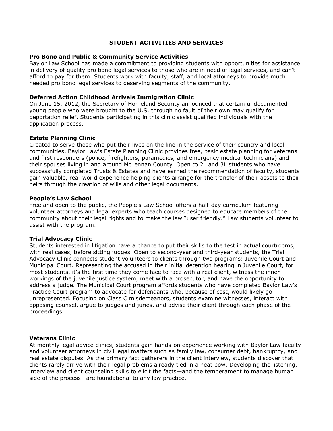#### **STUDENT ACTIVITIES AND SERVICES**

#### **Pro Bono and Public & Community Service Activities**

Baylor Law School has made a commitment to providing students with opportunities for assistance in delivery of quality pro bono legal services to those who are in need of legal services, and can't afford to pay for them. Students work with faculty, staff, and local attorneys to provide much needed pro bono legal services to deserving segments of the community.

#### **Deferred Action Childhood Arrivals Immigration Clinic**

On June 15, 2012, the Secretary of Homeland Security announced that certain undocumented young people who were brought to the U.S. through no fault of their own may qualify for deportation relief. Students participating in this clinic assist qualified individuals with the application process.

#### **Estate Planning Clinic**

Created to serve those who put their lives on the line in the service of their country and local communities, Baylor Law's Estate Planning Clinic provides free, basic estate planning for veterans and first responders (police, firefighters, paramedics, and emergency medical technicians) and their spouses living in and around McLennan County. Open to 2L and 3L students who have successfully completed Trusts & Estates and have earned the recommendation of faculty, students gain valuable, real-world experience helping clients arrange for the transfer of their assets to their heirs through the creation of wills and other legal documents.

#### **People's Law School**

Free and open to the public, the People's Law School offers a half-day curriculum featuring volunteer attorneys and legal experts who teach courses designed to educate members of the community about their legal rights and to make the law "user friendly." Law students volunteer to assist with the program.

#### **Trial Advocacy Clinic**

Students interested in litigation have a chance to put their skills to the test in actual courtrooms, with real cases, before sitting judges. Open to second-year and third-year students, the Trial Advocacy Clinic connects student volunteers to clients through two programs: Juvenile Court and Municipal Court. Representing the accused in their initial detention hearing in Juvenile Court, for most students, it's the first time they come face to face with a real client, witness the inner workings of the juvenile justice system, meet with a prosecutor, and have the opportunity to address a judge. The Municipal Court program affords students who have completed Baylor Law's Practice Court program to advocate for defendants who, because of cost, would likely go unrepresented. Focusing on Class C misdemeanors, students examine witnesses, interact with opposing counsel, argue to judges and juries, and advise their client through each phase of the proceedings.

#### **Veterans Clinic**

At monthly legal advice clinics, students gain hands-on experience working with Baylor Law faculty and volunteer attorneys in civil legal matters such as family law, consumer debt, bankruptcy, and real estate disputes. As the primary fact gatherers in the client interview, students discover that clients rarely arrive with their legal problems already tied in a neat bow. Developing the listening, interview and client counseling skills to elicit the facts—and the temperament to manage human side of the process—are foundational to any law practice.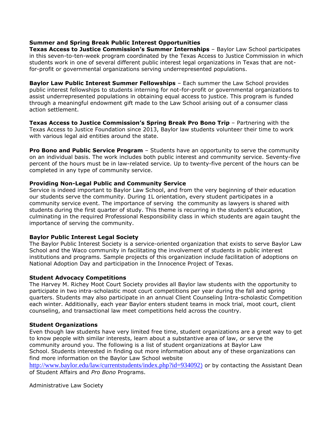#### **Summer and Spring Break Public Interest Opportunities**

**Texas Access to Justice Commission's Summer Internships** – Baylor Law School participates in this seven-to-ten-week program coordinated by the Texas Access to Justice Commission in which students work in one of several different public interest legal organizations in Texas that are notfor-profit or governmental organizations serving underrepresented populations.

**Baylor Law Public Interest Summer Fellowships** – Each summer the Law School provides public interest fellowships to students interning for not-for-profit or governmental organizations to assist underrepresented populations in obtaining equal access to justice. This program is funded through a meaningful endowment gift made to the Law School arising out of a consumer class action settlement.

**Texas Access to Justice Commission's Spring Break Pro Bono Trip** – Partnering with the Texas Access to Justice Foundation since 2013, Baylor law students volunteer their time to work with various legal aid entities around the state.

**Pro Bono and Public Service Program** – Students have an opportunity to serve the community on an individual basis. The work includes both public interest and community service. Seventy-five percent of the hours must be in law-related service. Up to twenty-five percent of the hours can be completed in any type of community service.

#### **Providing Non-Legal Public and Community Service**

Service is indeed important to Baylor Law School, and from the very beginning of their education our students serve the community. During 1L orientation, every student participates in a community service event. The importance of serving the community as lawyers is shared with students during the first quarter of study. This theme is recurring in the student's education, culminating in the required Professional Responsibility class in which students are again taught the importance of serving the community.

#### **Baylor Public Interest Legal Society**

The Baylor Public Interest Society is a service-oriented organization that exists to serve Baylor Law School and the Waco community in facilitating the involvement of students in public interest institutions and programs. Sample projects of this organization include facilitation of adoptions on National Adoption Day and participation in the Innocence Project of Texas.

#### **Student Advocacy Competitions**

The Harvey M. Richey Moot Court Society provides all Baylor law students with the opportunity to participate in two intra-scholastic moot court competitions per year during the fall and spring quarters. Students may also participate in an annual Client Counseling Intra-scholastic Competition each winter. Additionally, each year Baylor enters student teams in mock trial, moot court, client counseling, and transactional law meet competitions held across the country.

#### **Student Organizations**

Even though law students have very limited free time, student organizations are a great way to get to know people with similar interests, learn about a substantive area of law, or serve the community around you. The following is a list of student organizations at Baylor Law School. Students interested in finding out more information about any of these organizations can find more information on the Baylor Law School website

[http://www.baylor.edu/law/currentstudents/index.php?id=934092](http://www.baylor.edu/law/currentstudents/index.php?id=934092))[\)](http://www.baylor.edu/law/currentstudents/index.php?id=934092)) or by contacting the Assistant Dean of Student Affairs and *Pro Bono* Programs.

Administrative Law Society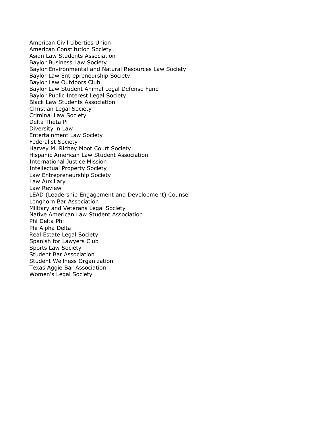American Civil Liberties Union American Constitution Society Asian Law Students Association Baylor Business Law Society Baylor Environmental and Natural Resources Law Society Baylor Law Entrepreneurship Society Baylor Law Outdoors Club Baylor Law Student Animal Legal Defense Fund Baylor Public Interest Legal Society Black Law Students Association Christian Legal Society Criminal Law Society Delta Theta Pi Diversity in Law Entertainment Law Society Federalist Society Harvey M. Richey Moot Court Society Hispanic American Law Student Association International Justice Mission Intellectual Property Society Law Entrepreneurship Society Law Auxiliary Law Review LEAD (Leadership Engagement and Development) Counsel Longhorn Bar Association Military and Veterans Legal Society Native American Law Student Association Phi Delta Phi Phi Alpha Delta Real Estate Legal Society Spanish for Lawyers Club Sports Law Society Student Bar Association Student Wellness Organization Texas Aggie Bar Association Women's Legal Society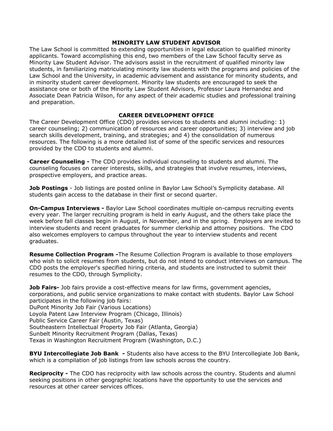#### **MINORITY LAW STUDENT ADVISOR**

The Law School is committed to extending opportunities in legal education to qualified minority applicants. Toward accomplishing this end, two members of the Law School faculty serve as Minority Law Student Advisor. The advisors assist in the recruitment of qualified minority law students, in familiarizing matriculating minority law students with the programs and policies of the Law School and the University, in academic advisement and assistance for minority students, and in minority student career development. Minority law students are encouraged to seek the assistance one or both of the Minority Law Student Advisors, Professor Laura Hernandez and Associate Dean Patricia Wilson, for any aspect of their academic studies and professional training and preparation.

#### **CAREER DEVELOPMENT OFFICE**

The Career Development Office (CDO) provides services to students and alumni including: 1) career counseling; 2) communication of resources and career opportunities; 3) interview and job search skills development, training, and strategies; and 4) the consolidation of numerous resources. The following is a more detailed list of some of the specific services and resources provided by the CDO to students and alumni.

**Career Counseling -** The CDO provides individual counseling to students and alumni. The counseling focuses on career interests, skills, and strategies that involve resumes, interviews, prospective employers, and practice areas.

**Job Postings** - Job listings are posted online in Baylor Law School's Symplicity database. All students gain access to the database in their first or second quarter.

**On-Campus Interviews -** Baylor Law School coordinates multiple on-campus recruiting events every year. The larger recruiting program is held in early August, and the others take place the week before fall classes begin in August, in November, and in the spring. Employers are invited to interview students and recent graduates for summer clerkship and attorney positions. The CDO also welcomes employers to campus throughout the year to interview students and recent graduates.

**Resume Collection Program -**The Resume Collection Program is available to those employers who wish to solicit resumes from students, but do not intend to conduct interviews on campus. The CDO posts the employer's specified hiring criteria, and students are instructed to submit their resumes to the CDO, through Symplicity.

**Job Fairs-** Job fairs provide a cost-effective means for law firms, government agencies, corporations, and public service organizations to make contact with students. Baylor Law School participates in the following job fairs: DuPont Minority Job Fair (Various Locations) Loyola Patent Law Interview Program (Chicago, Illinois) Public Service Career Fair (Austin, Texas) Southeastern Intellectual Property Job Fair (Atlanta, Georgia) Sunbelt Minority Recruitment Program (Dallas, Texas) Texas in Washington Recruitment Program (Washington, D.C.)

**BYU Intercollegiate Job Bank -** Students also have access to the BYU Intercollegiate Job Bank, which is a compilation of job listings from law schools across the country.

**Reciprocity -** The CDO has reciprocity with law schools across the country. Students and alumni seeking positions in other geographic locations have the opportunity to use the services and resources at other career services offices.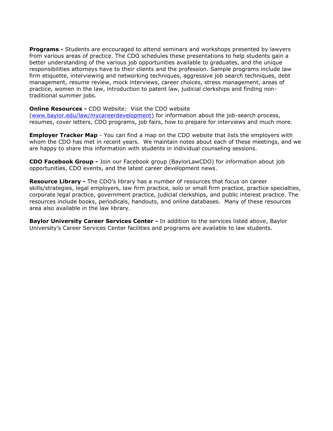**Programs -** Students are encouraged to attend seminars and workshops presented by lawyers from various areas of practice. The CDO schedules these presentations to help students gain a better understanding of the various job opportunities available to graduates, and the unique responsibilities attorneys have to their clients and the profession. Sample programs include law firm etiquette, interviewing and networking techniques, aggressive job search techniques, debt management, resume review, mock interviews, career choices, stress management, areas of practice, women in the law, introduction to patent law, judicial clerkships and finding nontraditional summer jobs.

#### **Online Resources -** CDO Website: Visit the CDO website

[\(www.baylor.edu/law/mycareerdevelopment\)](http://www.baylor.edu/law/mycareerdevelopment) for information about the job-search process, resumes, cover letters, CDO programs, job fairs, how to prepare for interviews and much more.

**Employer Tracker Map** - You can find a map on the CDO website that lists the employers with whom the CDO has met in recent years. We maintain notes about each of these meetings, and we are happy to share this information with students in individual counseling sessions.

**CDO Facebook Group -** Join our Facebook group (BaylorLawCDO) for information about job opportunities, CDO events, and the latest career development news.

**Resource Library -** The CDO's library has a number of resources that focus on career skills/strategies, legal employers, law firm practice, solo or small firm practice, practice specialties, corporate legal practice, government practice, judicial clerkships, and public interest practice. The resources include books, periodicals, handouts, and online databases. Many of these resources area also available in the law library.

**Baylor University Career Services Center -** In addition to the services listed above, Baylor University's Career Services Center facilities and programs are available to law students.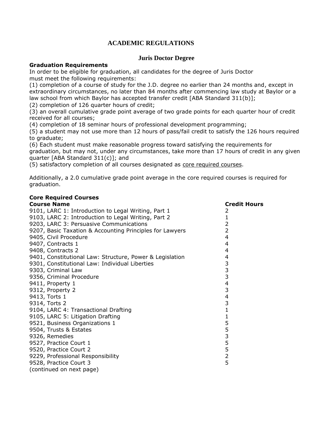## **ACADEMIC REGULATIONS**

### **Juris Doctor Degree**

#### **Graduation Requirements**

**Core Required Courses**

In order to be eligible for graduation, all candidates for the degree of Juris Doctor must meet the following requirements:

(1) completion of a course of study for the J.D. degree no earlier than 24 months and, except in extraordinary circumstances, no later than 84 months after commencing law study at Baylor or a law school from which Baylor has accepted transfer credit [ABA Standard 311(b)];

(2) completion of 126 quarter hours of credit;

(3) an overall cumulative grade point average of two grade points for each quarter hour of credit received for all courses;

(4) completion of 18 seminar hours of professional development programming;

(5) a student may not use more than 12 hours of pass/fail credit to satisfy the 126 hours required to graduate;

(6) Each student must make reasonable progress toward satisfying the requirements for graduation, but may not, under any circumstances, take more than 17 hours of credit in any given quarter [ABA Standard 311(c)]; and

(5) satisfactory completion of all courses designated as core required courses.

Additionally, a 2.0 cumulative grade point average in the core required courses is required for graduation.

| <b>COLE LEGALIER COMPLES</b>                             |                     |
|----------------------------------------------------------|---------------------|
| <b>Course Name</b>                                       | <b>Credit Hours</b> |
| 9101, LARC 1: Introduction to Legal Writing, Part 1      | 2                   |
| 9103, LARC 2: Introduction to Legal Writing, Part 2      | 1                   |
| 9203, LARC 3: Persuasive Communications                  | 2                   |
| 9207, Basic Taxation & Accounting Principles for Lawyers | 2                   |
| 9405, Civil Procedure                                    | 4                   |
| 9407, Contracts 1                                        | 4                   |
| 9408, Contracts 2                                        | 4                   |
| 9401, Constitutional Law: Structure, Power & Legislation | 4                   |
| 9301, Constitutional Law: Individual Liberties           | 3                   |
| 9303, Criminal Law                                       | 3                   |
| 9356, Criminal Procedure                                 | 3                   |
| 9411, Property 1                                         | 4                   |
| 9312, Property 2                                         | 3                   |
| 9413, Torts 1                                            | 4                   |
| 9314, Torts 2                                            | 3                   |
| 9104, LARC 4: Transactional Drafting                     | 1                   |
| 9105, LARC 5: Litigation Drafting                        | 1                   |
| 9521, Business Organizations 1                           | 5                   |
| 9504, Trusts & Estates                                   | 5                   |
| 9326, Remedies                                           | 3                   |
| 9527, Practice Court 1                                   | 5                   |
| 9520, Practice Court 2                                   | 5                   |
| 9229, Professional Responsibility                        | $\overline{2}$      |
| 9528, Practice Court 3                                   | 5                   |
| (continued on next page)                                 |                     |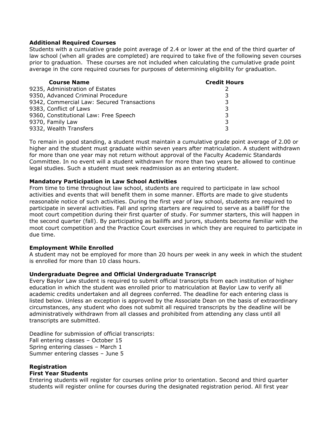#### **Additional Required Courses**

Students with a cumulative grade point average of 2.4 or lower at the end of the third quarter of law school (when all grades are completed) are required to take five of the following seven courses prior to graduation. These courses are not included when calculating the cumulative grade point average in the core required courses for purposes of determining eligibility for graduation.

| <b>Course Name</b>                         | <b>Credit Hours</b> |
|--------------------------------------------|---------------------|
| 9235, Administration of Estates            |                     |
| 9350, Advanced Criminal Procedure          | ર                   |
| 9342, Commercial Law: Secured Transactions | 3                   |
| 9383, Conflict of Laws                     | 3                   |
| 9360, Constitutional Law: Free Speech      | 3                   |
| 9370, Family Law                           | 3                   |
| 9332, Wealth Transfers                     |                     |

To remain in good standing, a student must maintain a cumulative grade point average of 2.00 or higher and the student must graduate within seven years after matriculation. A student withdrawn for more than one year may not return without approval of the Faculty Academic Standards Committee. In no event will a student withdrawn for more than two years be allowed to continue legal studies. Such a student must seek readmission as an entering student.

#### **Mandatory Participation in Law School Activities**

From time to time throughout law school, students are required to participate in law school activities and events that will benefit them in some manner. Efforts are made to give students reasonable notice of such activities. During the first year of law school, students are required to participate in several activities. Fall and spring starters are required to serve as a bailiff for the moot court competition during their first quarter of study. For summer starters, this will happen in the second quarter (fall). By participating as bailiffs and jurors, students become familiar with the moot court competition and the Practice Court exercises in which they are required to participate in due time.

#### **Employment While Enrolled**

A student may not be employed for more than 20 hours per week in any week in which the student is enrolled for more than 10 class hours.

#### **Undergraduate Degree and Official Undergraduate Transcript**

Every Baylor Law student is required to submit official transcripts from each institution of higher education in which the student was enrolled prior to matriculation at Baylor Law to verify all academic credits undertaken and all degrees conferred. The deadline for each entering class is listed below. Unless an exception is approved by the Associate Dean on the basis of extraordinary circumstances, any student who does not submit all required transcripts by the deadline will be administratively withdrawn from all classes and prohibited from attending any class until all transcripts are submitted.

Deadline for submission of official transcripts: Fall entering classes – October 15 Spring entering classes – March 1 Summer entering classes – June 5

#### **Registration First Year Students**

Entering students will register for courses online prior to orientation. Second and third quarter students will register online for courses during the designated registration period. All first year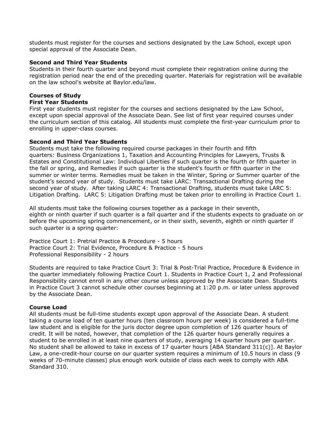students must register for the courses and sections designated by the Law School, except upon special approval of the Associate Dean.

#### **Second and Third Year Students**

Students in their fourth quarter and beyond must complete their registration online during the registration period near the end of the preceding quarter. Materials for registration will be available on the law school's website at Baylor.edu/law.

## **Courses of Study**

## **First Year Students**

First year students must register for the courses and sections designated by the Law School, except upon special approval of the Associate Dean. See list of first year required courses under the curriculum section of this catalog. All students must complete the first-year curriculum prior to enrolling in upper-class courses.

#### **Second and Third Year Students**

Students must take the following required course packages in their fourth and fifth quarters: Business Organizations 1, Taxation and Accounting Principles for Lawyers, Trusts & Estates and Constitutional Law: Individual Liberties if such quarter is the fourth or fifth quarter in the fall or spring, and Remedies if such quarter is the student's fourth or fifth quarter in the summer or winter terms. Remedies must be taken in the Winter, Spring or Summer quarter of the student's second year of study. Students must take LARC: Transactional Drafting during the second year of study. After taking LARC 4: Transactional Drafting, students must take LARC 5: Litigation Drafting. LARC 5: Litigation Drafting must be taken prior to enrolling in Practice Court 1.

All students must take the following courses together as a package in their seventh, eighth or ninth quarter if such quarter is a fall quarter and if the students expects to graduate on or before the upcoming spring commencement, or in their sixth, seventh, eighth or ninth quarter if such quarter is a spring quarter:

Practice Court 1: Pretrial Practice & Procedure - 5 hours Practice Court 2: Trial Evidence, Procedure & Practice - 5 hours Professional Responsibility - 2 hours

Students are required to take Practice Court 3: Trial & Post-Trial Practice, Procedure & Evidence in the quarter immediately following Practice Court 1. Students in Practice Court 1, 2 and Professional Responsibility cannot enroll in any other course unless approved by the Associate Dean. Students in Practice Court 3 cannot schedule other courses beginning at 1:20 p.m. or later unless approved by the Associate Dean.

#### **Course Load**

All students must be full-time students except upon approval of the Associate Dean. A student taking a course load of ten quarter hours (ten classroom hours per week) is considered a full-time law student and is eligible for the juris doctor degree upon completion of 126 quarter hours of credit. It will be noted, however, that completion of the 126 quarter hours generally requires a student to be enrolled in at least nine quarters of study, averaging 14 quarter hours per quarter. No student shall be allowed to take in excess of 17 quarter hours [ABA Standard 311(c)]. At Baylor Law, a one-credit-hour course on our quarter system requires a minimum of 10.5 hours in class (9 weeks of 70-minute classes) plus enough work outside of class each week to comply with ABA Standard 310.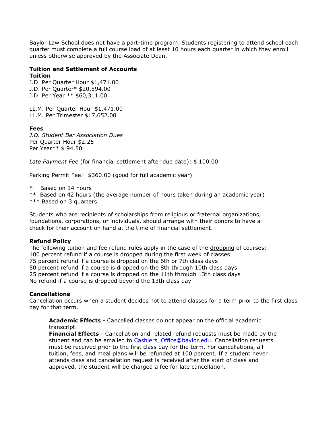Baylor Law School does not have a part-time program. Students registering to attend school each quarter must complete a full course load of at least 10 hours each quarter in which they enroll unless otherwise approved by the Associate Dean.

#### **Tuition and Settlement of Accounts Tuition**

J.D. Per Quarter Hour \$1,471.00 J.D. Per Quarter\* \$20,594.00 J.D. Per Year \*\* \$60,311.00

LL.M. Per Quarter Hour \$1,471.00 LL.M. Per Trimester \$17,652.00

#### **Fees**

*J.D. Student Bar Association Dues* Per Quarter Hour \$2.25 Per Year\*\* \$ 94.50

*Late Payment Fee* (for financial settlement after due date): \$ 100.00

Parking Permit Fee: \$360.00 (good for full academic year)

\* Based on 14 hours

- \*\* Based on 42 hours (the average number of hours taken during an academic year)
- \*\*\* Based on 3 quarters

Students who are recipients of scholarships from religious or fraternal organizations, foundations, corporations, or individuals, should arrange with their donors to have a check for their account on hand at the time of financial settlement.

#### **Refund Policy**

The following tuition and fee refund rules apply in the case of the dropping of courses: 100 percent refund if a course is dropped during the first week of classes 75 percent refund if a course is dropped on the 6th or 7th class days 50 percent refund if a course is dropped on the 8th through 10th class days 25 percent refund if a course is dropped on the 11th through 13th class days No refund if a course is dropped beyond the 13th class day

#### **Cancellations**

Cancellation occurs when a student decides not to attend classes for a term prior to the first class day for that term.

**Academic Effects** - Cancelled classes do not appear on the official academic transcript.

**Financial Effects** - Cancellation and related refund requests must be made by the student and can be emailed to Cashiers Office@baylor.edu. Cancellation requests must be received prior to the first class day for the term. For cancellations, all tuition, fees, and meal plans will be refunded at 100 percent. If a student never attends class and cancellation request is received after the start of class and approved, the student will be charged a fee for late cancellation.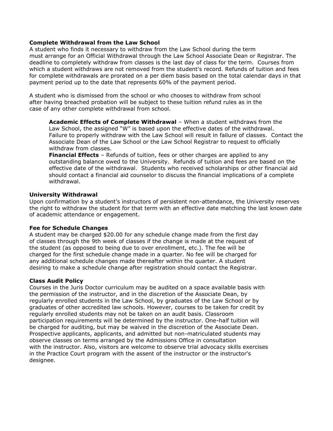#### **Complete Withdrawal from the Law School**

A student who finds it necessary to withdraw from the Law School during the term must arrange for an Official Withdrawal through the Law School Associate Dean or Registrar. The deadline to completely withdraw from classes is the last day of class for the term. Courses from which a student withdraws are not removed from the student's record. Refunds of tuition and fees for complete withdrawals are prorated on a per diem basis based on the total calendar days in that payment period up to the date that represents 60% of the payment period.

A student who is dismissed from the school or who chooses to withdraw from school after having breached probation will be subject to these tuition refund rules as in the case of any other complete withdrawal from school.

**Academic Effects of Complete Withdrawal** – When a student withdraws from the Law School, the assigned "W" is based upon the effective dates of the withdrawal. Failure to properly withdraw with the Law School will result in failure of classes. Contact the Associate Dean of the Law School or the Law School Registrar to request to officially withdraw from classes.

**Financial Effects** – Refunds of tuition, fees or other charges are applied to any outstanding balance owed to the University. Refunds of tuition and fees are based on the effective date of the withdrawal. Students who received scholarships or other financial aid should contact a financial aid counselor to discuss the financial implications of a complete withdrawal.

#### **University Withdrawal**

Upon confirmation by a student's instructors of persistent non-attendance, the University reserves the right to withdraw the student for that term with an effective date matching the last known date of academic attendance or engagement.

#### **Fee for Schedule Changes**

A student may be charged \$20.00 for any schedule change made from the first day of classes through the 9th week of classes if the change is made at the request of the student (as opposed to being due to over enrollment, etc.). The fee will be charged for the first schedule change made in a quarter. No fee will be charged for any additional schedule changes made thereafter within the quarter. A student desiring to make a schedule change after registration should contact the Registrar.

#### **Class Audit Policy**

Courses in the Juris Doctor curriculum may be audited on a space available basis with the permission of the instructor, and in the discretion of the Associate Dean, by regularly enrolled students in the Law School, by graduates of the Law School or by graduates of other accredited law schools. However, courses to be taken for credit by regularly enrolled students may not be taken on an audit basis. Classroom participation requirements will be determined by the instructor. One-half tuition will be charged for auditing, but may be waived in the discretion of the Associate Dean. Prospective applicants, applicants, and admitted but non-matriculated students may observe classes on terms arranged by the Admissions Office in consultation with the instructor. Also, visitors are welcome to observe trial advocacy skills exercises in the Practice Court program with the assent of the instructor or the instructor's designee.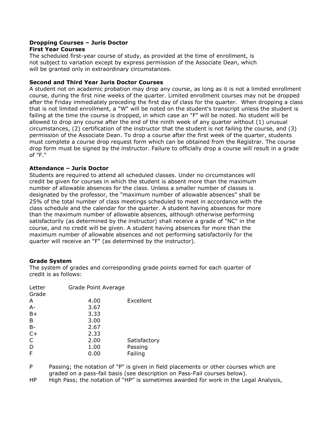#### **Dropping Courses – Juris Doctor First Year Courses**

The scheduled first-year course of study, as provided at the time of enrollment, is not subject to variation except by express permission of the Associate Dean, which will be granted only in extraordinary circumstances.

#### **Second and Third Year Juris Doctor Courses**

A student not on academic probation may drop any course, as long as it is not a limited enrollment course, during the first nine weeks of the quarter. Limited enrollment courses may not be dropped after the Friday immediately preceding the first day of class for the quarter. When dropping a class that is not limited enrollment, a "W" will be noted on the student's transcript unless the student is failing at the time the course is dropped, in which case an "F" will be noted. No student will be allowed to drop any course after the end of the ninth week of any quarter without (1) unusual circumstances, (2) certification of the instructor that the student is not failing the course, and (3) permission of the Associate Dean. To drop a course after the first week of the quarter, students must complete a course drop request form which can be obtained from the Registrar. The course drop form must be signed by the instructor. Failure to officially drop a course will result in a grade of "F."

#### **Attendance – Juris Doctor**

Students are required to attend all scheduled classes. Under no circumstances will credit be given for courses in which the student is absent more than the maximum number of allowable absences for the class. Unless a smaller number of classes is designated by the professor, the "maximum number of allowable absences" shall be 25% of the total number of class meetings scheduled to meet in accordance with the class schedule and the calendar for the quarter. A student having absences for more than the maximum number of allowable absences, although otherwise performing satisfactorily (as determined by the instructor) shall receive a grade of "NC" in the course, and no credit will be given. A student having absences for more than the maximum number of allowable absences and not performing satisfactorily for the quarter will receive an "F" (as determined by the instructor).

## **Grade System**

The system of grades and corresponding grade points earned for each quarter of credit is as follows:

| Letter       | Grade Point Average |              |
|--------------|---------------------|--------------|
| Grade        |                     |              |
| A            | 4.00                | Excellent    |
| $A -$        | 3.67                |              |
| $B+$         | 3.33                |              |
| B            | 3.00                |              |
| <b>B-</b>    | 2.67                |              |
| $C+$         | 2.33                |              |
| $\mathsf{C}$ | 2.00                | Satisfactory |
| D            | 1.00                | Passing      |
| F            | 0.00                | Failing      |
|              |                     |              |

P Passing; the notation of "P" is given in field placements or other courses which are graded on a pass-fail basis (see description on Pass-Fail courses below).

HP High Pass; the notation of "HP" is sometimes awarded for work in the Legal Analysis,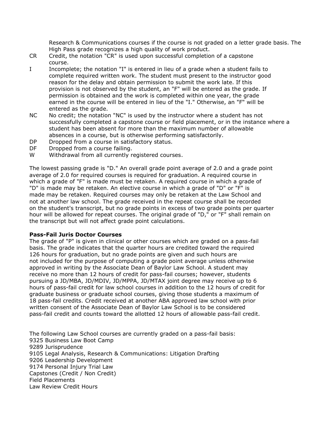Research & Communications courses if the course is not graded on a letter grade basis. The High Pass grade recognizes a high quality of work product.

- CR Credit, the notation "CR" is used upon successful completion of a capstone course.
- I Incomplete; the notation "I" is entered in lieu of a grade when a student fails to complete required written work. The student must present to the instructor good reason for the delay and obtain permission to submit the work late. If this provision is not observed by the student, an "F" will be entered as the grade. If permission is obtained and the work is completed within one year, the grade earned in the course will be entered in lieu of the "I." Otherwise, an "F" will be entered as the grade.
- NC No credit; the notation "NC" is used by the instructor where a student has not successfully completed a capstone course or field placement, or in the instance where a student has been absent for more than the maximum number of allowable absences in a course, but is otherwise performing satisfactorily.
- DP Dropped from a course in satisfactory status.
- DF Dropped from a course failing.
- W Withdrawal from all currently registered courses.

The lowest passing grade is "D." An overall grade point average of 2.0 and a grade point average of 2.0 for required courses is required for graduation. A required course in which a grade of "F" is made must be retaken. A required course in which a grade of "D" is made may be retaken. An elective course in which a grade of "D" or "F" is made may be retaken. Required courses may only be retaken at the Law School and not at another law school. The grade received in the repeat course shall be recorded on the student's transcript, but no grade points in excess of two grade points per quarter hour will be allowed for repeat courses. The original grade of "D," or "F" shall remain on the transcript but will not affect grade point calculations.

#### **Pass-Fail Juris Doctor Courses**

The grade of "P" is given in clinical or other courses which are graded on a pass-fail basis. The grade indicates that the quarter hours are credited toward the required 126 hours for graduation, but no grade points are given and such hours are not included for the purpose of computing a grade point average unless otherwise approved in writing by the Associate Dean of Baylor Law School. A student may receive no more than 12 hours of credit for pass-fail courses; however, students pursuing a JD/MBA, JD/MDIV, JD/MPPA, JD/MTAX joint degree may receive up to 6 hours of pass-fail credit for law school courses in addition to the 12 hours of credit for graduate business or graduate school courses, giving those students a maximum of 18 pass-fail credits. Credit received at another ABA approved law school with prior written consent of the Associate Dean of Baylor Law School is to be considered pass-fail credit and counts toward the allotted 12 hours of allowable pass-fail credit.

The following Law School courses are currently graded on a pass-fail basis: 9325 Business Law Boot Camp 9289 Jurisprudence 9105 Legal Analysis, Research & Communications: Litigation Drafting 9206 Leadership Development 9174 Personal Injury Trial Law Capstones (Credit / Non Credit) Field Placements Law Review Credit Hours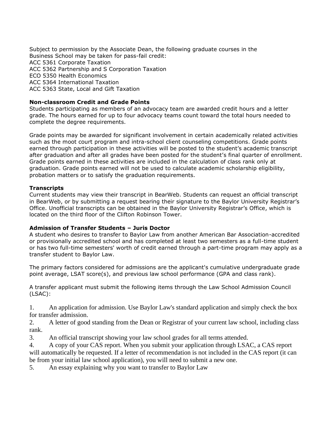Subject to permission by the Associate Dean, the following graduate courses in the Business School may be taken for pass-fail credit: ACC 5361 Corporate Taxation ACC 5362 Partnership and S Corporation Taxation ECO 5350 Health Economics ACC 5364 International Taxation ACC 5363 State, Local and Gift Taxation

## **Non-classroom Credit and Grade Points**

Students participating as members of an advocacy team are awarded credit hours and a letter grade. The hours earned for up to four advocacy teams count toward the total hours needed to complete the degree requirements.

Grade points may be awarded for significant involvement in certain academically related activities such as the moot court program and intra-school client counseling competitions. Grade points earned through participation in these activities will be posted to the student's academic transcript after graduation and after all grades have been posted for the student's final quarter of enrollment. Grade points earned in these activities are included in the calculation of class rank only at graduation. Grade points earned will not be used to calculate academic scholarship eligibility, probation matters or to satisfy the graduation requirements.

## **Transcripts**

Current students may view their transcript in BearWeb. Students can request an official transcript in BearWeb, or by submitting a request bearing their signature to the Baylor University Registrar's Office. Unofficial transcripts can be obtained in the Baylor University Registrar's Office, which is located on the third floor of the Clifton Robinson Tower.

### **Admission of Transfer Students – Juris Doctor**

A student who desires to transfer to Baylor Law from another American Bar Association-accredited or provisionally accredited school and has completed at least two semesters as a full-time student or has two full-time semesters' worth of credit earned through a part-time program may apply as a transfer student to Baylor Law.

The primary factors considered for admissions are the applicant's cumulative undergraduate grade point average, LSAT score(s), and previous law school performance (GPA and class rank).

A transfer applicant must submit the following items through the Law School Admission Council (LSAC):

1. An application for admission. Use Baylor Law's standard application and simply check the box for transfer admission.

2. A letter of good standing from the Dean or Registrar of your current law school, including class rank.

3. An official transcript showing your law school grades for all terms attended.

4. A copy of your CAS report. When you submit your application through LSAC, a CAS report will automatically be requested. If a letter of recommendation is not included in the CAS report (it can be from your initial law school application), you will need to submit a new one.

5. An essay explaining why you want to transfer to Baylor Law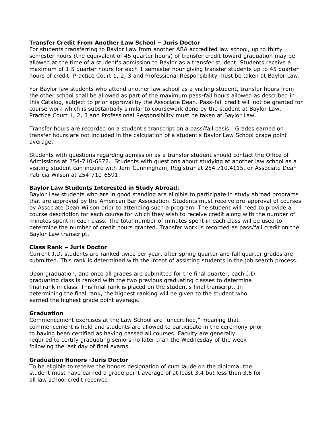#### **Transfer Credit From Another Law School – Juris Doctor**

For students transferring to Baylor Law from another ABA accredited law school, up to thirty semester hours (the equivalent of 45 quarter hours) of transfer credit toward graduation may be allowed at the time of a student's admission to Baylor as a transfer student. Students receive a maximum of 1.5 quarter hours for each 1 semester hour giving transfer students up to 45 quarter hours of credit. Practice Court 1, 2, 3 and Professional Responsibility must be taken at Baylor Law.

For Baylor law students who attend another law school as a visiting student, transfer hours from the other school shall be allowed as part of the maximum pass-fail hours allowed as described in this Catalog, subject to prior approval by the Associate Dean. Pass-fail credit will not be granted for course work which is substantially similar to coursework done by the student at Baylor Law. Practice Court 1, 2, 3 and Professional Responsibility must be taken at Baylor Law.

Transfer hours are recorded on a student's transcript on a pass/fail basis. Grades earned on transfer hours are not included in the calculation of a student's Baylor Law School grade point average.

Students with questions regarding admission as a transfer student should contact the Office of Admissions at 254-710-6872. Students with questions about studying at another law school as a visiting student can inquire with Jerri Cunningham, Registrar at 254.710.4115, or Associate Dean Patricia Wilson at 254-710-6591.

#### **Baylor Law Students Interested in Study Abroad**:

Baylor Law students who are in good standing are eligible to participate in study abroad programs that are approved by the American Bar Association. Students must receive pre-approval of courses by Associate Dean Wilson prior to attending such a program. The student will need to provide a course description for each course for which they wish to receive credit along with the number of minutes spent in each class. The total number of minutes spent in each class will be used to determine the number of credit hours granted. Transfer work is recorded as pass/fail credit on the Baylor Law transcript.

#### **Class Rank – Juris Doctor**

Current J.D. students are ranked twice per year, after spring quarter and fall quarter grades are submitted. This rank is determined with the intent of assisting students in the job search process.

Upon graduation, and once all grades are submitted for the final quarter, each J.D. graduating class is ranked with the two previous graduating classes to determine final rank in class. This final rank is placed on the student's final transcript. In determining the final rank, the highest ranking will be given to the student who earned the highest grade point average.

#### **Graduation**

Commencement exercises at the Law School are "uncertified," meaning that commencement is held and students are allowed to participate in the ceremony prior to having been certified as having passed all courses. Faculty are generally required to certify graduating seniors no later than the Wednesday of the week following the last day of final exams.

#### **Graduation Honors -Juris Doctor**

To be eligible to receive the honors designation of cum laude on the diploma, the student must have earned a grade point average of at least 3.4 but less than 3.6 for all law school credit received.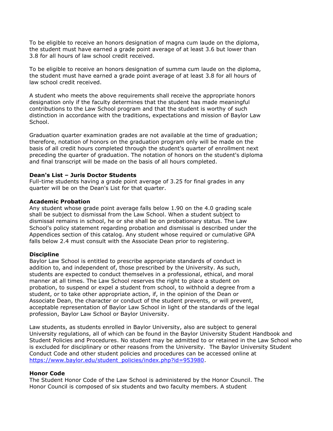To be eligible to receive an honors designation of magna cum laude on the diploma, the student must have earned a grade point average of at least 3.6 but lower than 3.8 for all hours of law school credit received.

To be eligible to receive an honors designation of summa cum laude on the diploma, the student must have earned a grade point average of at least 3.8 for all hours of law school credit received.

A student who meets the above requirements shall receive the appropriate honors designation only if the faculty determines that the student has made meaningful contributions to the Law School program and that the student is worthy of such distinction in accordance with the traditions, expectations and mission of Baylor Law School.

Graduation quarter examination grades are not available at the time of graduation; therefore, notation of honors on the graduation program only will be made on the basis of all credit hours completed through the student's quarter of enrollment next preceding the quarter of graduation. The notation of honors on the student's diploma and final transcript will be made on the basis of all hours completed.

#### **Dean's List – Juris Doctor Students**

Full-time students having a grade point average of 3.25 for final grades in any quarter will be on the Dean's List for that quarter.

#### **Academic Probation**

Any student whose grade point average falls below 1.90 on the 4.0 grading scale shall be subject to dismissal from the Law School. When a student subject to dismissal remains in school, he or she shall be on probationary status. The Law School's policy statement regarding probation and dismissal is described under the Appendices section of this catalog. Any student whose required or cumulative GPA falls below 2.4 must consult with the Associate Dean prior to registering.

#### **Discipline**

Baylor Law School is entitled to prescribe appropriate standards of conduct in addition to, and independent of, those prescribed by the University. As such, students are expected to conduct themselves in a professional, ethical, and moral manner at all times. The Law School reserves the right to place a student on probation, to suspend or expel a student from school, to withhold a degree from a student, or to take other appropriate action, if, in the opinion of the Dean or Associate Dean, the character or conduct of the student prevents, or will prevent, acceptable representation of Baylor Law School in light of the standards of the legal profession, Baylor Law School or Baylor University.

Law students, as students enrolled in Baylor University, also are subject to general University regulations, all of which can be found in the Baylor University Student Handbook and Student Policies and Procedures. No student may be admitted to or retained in the Law School who is excluded for disciplinary or other reasons from the University. The Baylor University Student Conduct Code and other student policies and procedures can be accessed online at [https://www.baylor.edu/student\\_policies/index.php?id=953980.](https://www.baylor.edu/student_policies/index.php?id=953980)

#### **Honor Code**

The Student Honor Code of the Law School is administered by the Honor Council. The Honor Council is composed of six students and two faculty members. A student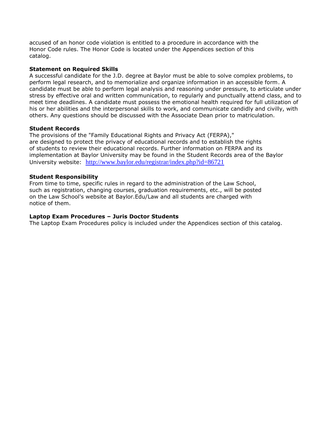accused of an honor code violation is entitled to a procedure in accordance with the Honor Code rules. The Honor Code is located under the Appendices section of this catalog.

### **Statement on Required Skills**

A successful candidate for the J.D. degree at Baylor must be able to solve complex problems, to perform legal research, and to memorialize and organize information in an accessible form. A candidate must be able to perform legal analysis and reasoning under pressure, to articulate under stress by effective oral and written communication, to regularly and punctually attend class, and to meet time deadlines. A candidate must possess the emotional health required for full utilization of his or her abilities and the interpersonal skills to work, and communicate candidly and civilly, with others. Any questions should be discussed with the Associate Dean prior to matriculation.

### **Student Records**

The provisions of the "Family Educational Rights and Privacy Act (FERPA)," are designed to protect the privacy of educational records and to establish the rights of students to review their educational records. Further information on FERPA and its implementation at Baylor University may be found in the Student Records area of the Baylor University website: <http://www.baylor.edu/registrar/index.php?id=86721>

## **Student Responsibility**

From time to time, specific rules in regard to the administration of the Law School, such as registration, changing courses, graduation requirements, etc., will be posted on the Law School's website at Baylor.Edu/Law and all students are charged with notice of them.

### **Laptop Exam Procedures – Juris Doctor Students**

The Laptop Exam Procedures policy is included under the Appendices section of this catalog.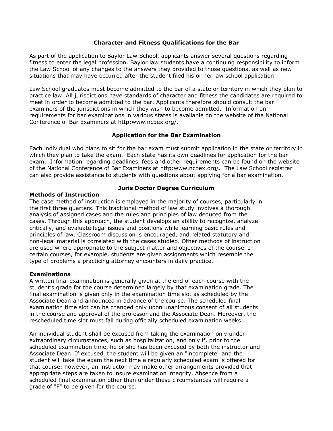### **Character and Fitness Qualifications for the Bar**

As part of the application to Baylor Law School, applicants answer several questions regarding fitness to enter the legal profession. Baylor law students have a continuing responsibility to inform the Law School of any changes to the answers they provided to those questions, as well as new situations that may have occurred after the student filed his or her law school application.

Law School graduates must become admitted to the bar of a state or territory in which they plan to practice law. All jurisdictions have standards of character and fitness the candidates are required to meet in order to become admitted to the bar. Applicants therefore should consult the bar examiners of the jurisdictions in which they wish to become admitted. Information on requirements for bar examinations in various states is available on the website of the National Conference of Bar Examiners at http:www.ncbex.org/.

### **Application for the Bar Examination**

Each individual who plans to sit for the bar exam must submit application in the state or territory in which they plan to take the exam. Each state has its own deadlines for application for the bar exam. Information regarding deadlines, fees and other requirements can be found on the website of the National Conference of Bar Examiners at http:www.ncbex.org/. The Law School registrar can also provide assistance to students with questions about applying for a bar examination.

### **Methods of Instruction**

## **Juris Doctor Degree Curriculum**

The case method of instruction is employed in the majority of courses, particularly in the first three quarters. This traditional method of law study involves a thorough analysis of assigned cases and the rules and principles of law deduced from the cases. Through this approach, the student develops an ability to recognize, analyze critically, and evaluate legal issues and positions while learning basic rules and principles of law. Classroom discussion is encouraged, and related statutory and non-legal material is correlated with the cases studied. Other methods of instruction are used where appropriate to the subject matter and objectives of the course. In certain courses, for example, students are given assignments which resemble the type of problems a practicing attorney encounters in daily practice.

### **Examinations**

A written final examination is generally given at the end of each course with the student's grade for the course determined largely by that examination grade. The final examination is given only in the examination time slot as scheduled by the Associate Dean and announced in advance of the course. The scheduled final examination time slot can be changed only upon unanimous consent of all students in the course and approval of the professor and the Associate Dean. Moreover, the rescheduled time slot must fall during officially scheduled examination weeks.

An individual student shall be excused from taking the examination only under extraordinary circumstances, such as hospitalization, and only if, prior to the scheduled examination time, he or she has been excused by both the instructor and Associate Dean. If excused, the student will be given an "incomplete" and the student will take the exam the next time a regularly scheduled exam is offered for that course; however, an instructor may make other arrangements provided that appropriate steps are taken to insure examination integrity. Absence from a scheduled final examination other than under these circumstances will require a grade of "F" to be given for the course.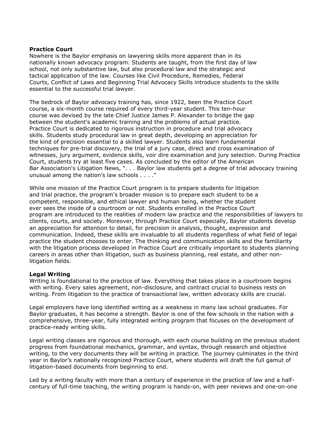### **Practice Court**

Nowhere is the Baylor emphasis on lawyering skills more apparent than in its nationally known advocacy program. Students are taught, from the first day of law school, not only substantive law, but also procedural law and the strategic and tactical application of the law. Courses like Civil Procedure, Remedies, Federal Courts, Conflict of Laws and Beginning Trial Advocacy Skills introduce students to the skills essential to the successful trial lawyer.

The bedrock of Baylor advocacy training has, since 1922, been the Practice Court course, a six-month course required of every third-year student. This ten-hour course was devised by the late Chief Justice James P. Alexander to bridge the gap between the student's academic training and the problems of actual practice. Practice Court is dedicated to rigorous instruction in procedure and trial advocacy skills. Students study procedural law in great depth, developing an appreciation for the kind of precision essential to a skilled lawyer. Students also learn fundamental techniques for pre-trial discovery, the trial of a jury case, direct and cross examination of witnesses, jury argument, evidence skills, voir dire examination and jury selection. During Practice Court, students try at least five cases. As concluded by the editor of the American Bar Association's Litigation News, ". . . Baylor law students get a degree of trial advocacy training unusual among the nation's law schools . . . ."

While one mission of the Practice Court program is to prepare students for litigation and trial practice, the program's broader mission is to prepare each student to be a competent, responsible, and ethical lawyer and human being, whether the student ever sees the inside of a courtroom or not. Students enrolled in the Practice Court program are introduced to the realities of modern law practice and the responsibilities of lawyers to clients, courts, and society. Moreover, through Practice Court especially, Baylor students develop an appreciation for attention to detail, for precision in analysis, thought, expression and communication. Indeed, these skills are invaluable to all students regardless of what field of legal practice the student chooses to enter. The thinking and communication skills and the familiarity with the litigation process developed in Practice Court are critically important to students planning careers in areas other than litigation, such as business planning, real estate, and other nonlitigation fields.

### **Legal Writing**

Writing is foundational to the practice of law. Everything that takes place in a courtroom begins with writing. Every sales agreement, non-disclosure, and contract crucial to business rests on writing. From litigation to the practice of transactional law, written advocacy skills are crucial.

Legal employers have long identified writing as a weakness in many law school graduates. For Baylor graduates, it has become a strength. Baylor is one of the few schools in the nation with a comprehensive, three-year, fully integrated writing program that focuses on the development of practice-ready writing skills.

Legal writing classes are rigorous and thorough, with each course building on the previous student progress from foundational mechanics, grammar, and syntax, through research and objective writing, to the very documents they will be writing in practice. The journey culminates in the third year in Baylor's nationally recognized Practice Court, where students will draft the full gamut of litigation-based documents from beginning to end.

Led by a writing faculty with more than a century of experience in the practice of law and a halfcentury of full-time teaching, the writing program is hands-on, with peer reviews and one-on-one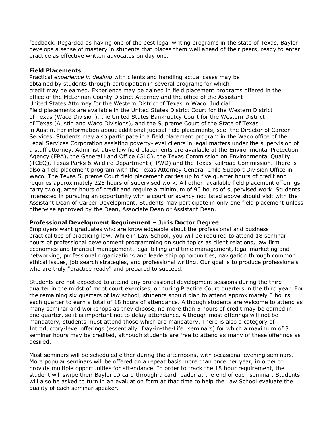feedback. Regarded as having one of the best legal writing programs in the state of Texas, Baylor develops a sense of mastery in students that places them well ahead of their peers, ready to enter practice as effective written advocates on day one.

### **Field Placements**

Practical *experience in dealing* with clients and handling actual cases may be obtained by students through participation in several programs for which credit may be earned. Experience may be gained in field placement programs offered in the office of the McLennan County District Attorney and the office of the Assistant United States Attorney for the Western District of Texas in Waco. Judicial Field placements are available in the United States District Court for the Western District of Texas (Waco Division), the United States Bankruptcy Court for the Western District of Texas (Austin and Waco Divisions), and the Supreme Court of the State of Texas in Austin. For information about additional judicial field placements, see the Director of Career Services. Students may also participate in a field placement program in the Waco office of the Legal Services Corporation assisting poverty-level clients in legal matters under the supervision of a staff attorney. Administrative law field placements are available at the Environmental Protection Agency (EPA), the General Land Office (GLO), the Texas Commission on Environmental Quality (TCEQ), Texas Parks & Wildlife Department (TPWD) and the Texas Railroad Commission. There is also a field placement program with the Texas Attorney General-Child Support Division Office in Waco. The Texas Supreme Court field placement carries up to five quarter hours of credit and requires approximately 225 hours of supervised work. All other available field placement offerings carry two quarter hours of credit and require a minimum of 90 hours of supervised work. Students interested in pursuing an opportunity with a court or agency not listed above should visit with the Assistant Dean of Career Development. Students may participate in only one field placement unless otherwise approved by the Dean, Associate Dean or Assistant Dean.

### **Professional Development Requirement – Juris Doctor Degree**

Employers want graduates who are knowledgeable about the professional and business practicalities of practicing law. While in Law School, you will be required to attend 18 seminar hours of professional development programming on such topics as client relations, law firm economics and financial management, legal billing and time management, legal marketing and networking, professional organizations and leadership opportunities, navigation through common ethical issues, job search strategies, and professional writing. Our goal is to produce professionals who are truly "practice ready" and prepared to succeed.

Students are not expected to attend any professional development sessions during the third quarter in the midst of moot court exercises, or during Practice Court quarters in the third year. For the remaining six quarters of law school, students should plan to attend approximately 3 hours each quarter to earn a total of 18 hours of attendance. Although students are welcome to attend as many seminar and workshops as they choose, no more than 5 hours of credit may be earned in one quarter, so it is important not to delay attendance. Although most offerings will not be mandatory, students must attend those which are mandatory. There is also a category of Introductory-level offerings (essentially "Day-in-the-Life" seminars) for which a maximum of 3 seminar hours may be credited, although students are free to attend as many of these offerings as desired.

Most seminars will be scheduled either during the afternoons, with occasional evening seminars. More popular seminars will be offered on a repeat basis more than once per year, in order to provide multiple opportunities for attendance. In order to track the 18 hour requirement, the student will swipe their Baylor ID card through a card reader at the end of each seminar. Students will also be asked to turn in an evaluation form at that time to help the Law School evaluate the quality of each seminar speaker.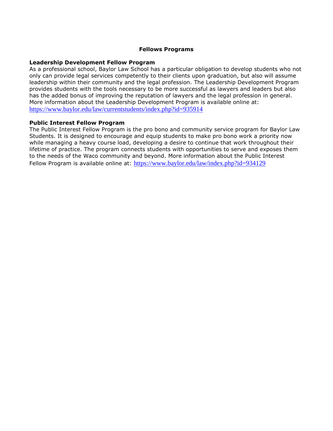### **Fellows Programs**

#### **Leadership Development Fellow Program**

As a professional school, Baylor Law School has a particular obligation to develop students who not only can provide legal services competently to their clients upon graduation, but also will assume leadership within their community and the legal profession. The Leadership Development Program provides students with the tools necessary to be more successful as lawyers and leaders but also has the added bonus of improving the reputation of lawyers and the legal profession in general. More information about the Leadership Development Program is available online at: <https://www.baylor.edu/law/currentstudents/index.php?id=935914>

#### **Public Interest Fellow Program**

The Public Interest Fellow Program is the pro bono and community service program for Baylor Law Students. It is designed to encourage and equip students to make pro bono work a priority now while managing a heavy course load, developing a desire to continue that work throughout their lifetime of practice. The program connects students with opportunities to serve and exposes them to the needs of the Waco community and beyond. More information about the Public Interest Fellow Program is available online at: <https://www.baylor.edu/law/index.php?id=934129>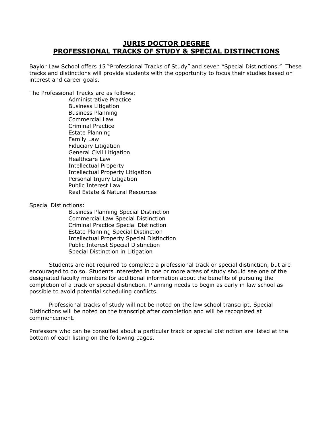## **JURIS DOCTOR DEGREE PROFESSIONAL TRACKS OF STUDY & SPECIAL DISTINCTIONS**

Baylor Law School offers 15 "Professional Tracks of Study" and seven "Special Distinctions." These tracks and distinctions will provide students with the opportunity to focus their studies based on interest and career goals.

The Professional Tracks are as follows:

Administrative Practice Business Litigation Business Planning Commercial Law Criminal Practice Estate Planning Family Law Fiduciary Litigation General Civil Litigation Healthcare Law Intellectual Property Intellectual Property Litigation Personal Injury Litigation Public Interest Law Real Estate & Natural Resources

Special Distinctions:

Business Planning Special Distinction Commercial Law Special Distinction Criminal Practice Special Distinction Estate Planning Special Distinction Intellectual Property Special Distinction Public Interest Special Distinction Special Distinction in Litigation

Students are not required to complete a professional track or special distinction, but are encouraged to do so. Students interested in one or more areas of study should see one of the designated faculty members for additional information about the benefits of pursuing the completion of a track or special distinction. Planning needs to begin as early in law school as possible to avoid potential scheduling conflicts.

Professional tracks of study will not be noted on the law school transcript. Special Distinctions will be noted on the transcript after completion and will be recognized at commencement.

Professors who can be consulted about a particular track or special distinction are listed at the bottom of each listing on the following pages.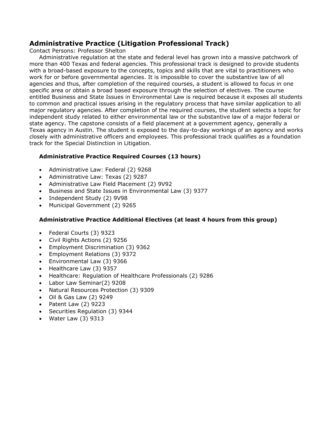# **Administrative Practice (Litigation Professional Track)**

Contact Persons: Professor Shelton

Administrative regulation at the state and federal level has grown into a massive patchwork of more than 400 Texas and federal agencies. This professional track is designed to provide students with a broad-based exposure to the concepts, topics and skills that are vital to practitioners who work for or before governmental agencies. It is impossible to cover the substantive law of all agencies and thus, after completion of the required courses, a student is allowed to focus in one specific area or obtain a broad based exposure through the selection of electives. The course entitled Business and State Issues in Environmental Law is required because it exposes all students to common and practical issues arising in the regulatory process that have similar application to all major regulatory agencies. After completion of the required courses, the student selects a topic for independent study related to either environmental law or the substantive law of a major federal or state agency. The capstone consists of a field placement at a government agency, generally a Texas agency in Austin. The student is exposed to the day-to-day workings of an agency and works closely with administrative officers and employees. This professional track qualifies as a foundation track for the Special Distinction in Litigation.

## **Administrative Practice Required Courses (13 hours)**

- Administrative Law: Federal (2) 9268
- Administrative Law: Texas (2) 9287
- Administrative Law Field Placement (2) 9V92
- Business and State Issues in Environmental Law (3) 9377
- Independent Study (2) 9V98
- Municipal Government (2) 9265

## **Administrative Practice Additional Electives (at least 4 hours from this group)**

- Federal Courts (3) 9323
- Civil Rights Actions (2) 9256
- Employment Discrimination (3) 9362
- Employment Relations (3) 9372
- Environmental Law (3) 9366
- Healthcare Law (3) 9357
- Healthcare: Regulation of Healthcare Professionals (2) 9286
- Labor Law Seminar(2) 9208
- Natural Resources Protection (3) 9309
- Oil & Gas Law (2) 9249
- Patent Law (2) 9223
- Securities Regulation (3) 9344
- Water Law (3) 9313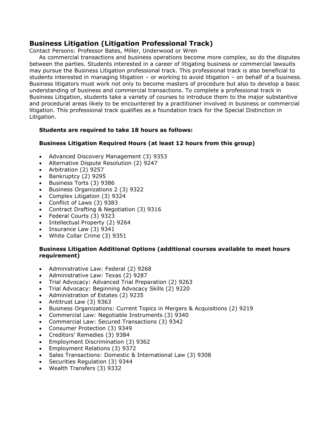## **Business Litigation (Litigation Professional Track)**

Contact Persons: Professor Bates, Miller, Underwood or Wren

As commercial transactions and business operations become more complex, so do the disputes between the parties. Students interested in a career of litigating business or commercial lawsuits may pursue the Business Litigation professional track. This professional track is also beneficial to students interested in managing litigation – or working to avoid litigation – on behalf of a business. Business litigators must work not only to become masters of procedure but also to develop a basic understanding of business and commercial transactions. To complete a professional track in Business Litigation, students take a variety of courses to introduce them to the major substantive and procedural areas likely to be encountered by a practitioner involved in business or commercial litigation. This professional track qualifies as a foundation track for the Special Distinction in Litigation.

## **Students are required to take 18 hours as follows:**

## **Business Litigation Required Hours (at least 12 hours from this group)**

- Advanced Discovery Management (3) 9353
- Alternative Dispute Resolution (2) 9247
- Arbitration (2) 9257
- Bankruptcy (2) 9295
- Business Torts (3) 9386
- Business Organizations 2 (3) 9322
- Complex Litigation (3) 9324
- Conflict of Laws (3) 9383
- Contract Drafting & Negotiation (3) 9316
- Federal Courts (3) 9323
- Intellectual Property (2) 9264
- Insurance Law (3) 9341
- White Collar Crime (3) 9351

## **Business Litigation Additional Options (additional courses available to meet hours requirement)**

- Administrative Law: Federal (2) 9268
- Administrative Law: Texas (2) 9287
- Trial Advocacy: Advanced Trial Preparation (2) 9263
- Trial Advocacy: Beginning Advocacy Skills (2) 9220
- Administration of Estates (2) 9235
- Antitrust Law (3) 9363
- Business Organizations: Current Topics in Mergers & Acquisitions (2) 9219
- Commercial Law: Negotiable Instruments (3) 9340
- Commercial Law: Secured Transactions (3) 9342
- Consumer Protection (3) 9349
- Creditors' Remedies (3) 9384
- Employment Discrimination (3) 9362
- Employment Relations (3) 9372
- Sales Transactions: Domestic & International Law (3) 9308
- Securities Regulation (3) 9344
- Wealth Transfers (3) 9332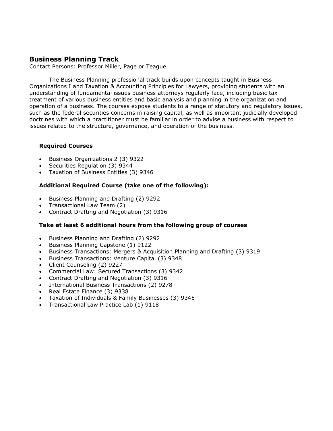# **Business Planning Track**

Contact Persons: Professor Miller, Page or Teague

The Business Planning professional track builds upon concepts taught in Business Organizations I and Taxation & Accounting Principles for Lawyers, providing students with an understanding of fundamental issues business attorneys regularly face, including basic tax treatment of various business entities and basic analysis and planning in the organization and operation of a business. The courses expose students to a range of statutory and regulatory issues, such as the federal securities concerns in raising capital, as well as important judicially developed doctrines with which a practitioner must be familiar in order to advise a business with respect to issues related to the structure, governance, and operation of the business.

## **Required Courses**

- Business Organizations 2 (3) 9322
- Securities Regulation (3) 9344
- Taxation of Business Entities (3) 9346

## **Additional Required Course (take one of the following):**

- Business Planning and Drafting (2) 9292
- Transactional Law Team (2)
- Contract Drafting and Negotiation (3) 9316

### **Take at least 6 additional hours from the following group of courses**

- Business Planning and Drafting (2) 9292
- Business Planning Capstone (1) 9122
- Business Transactions: Mergers & Acquisition Planning and Drafting (3) 9319
- Business Transactions: Venture Capital (3) 9348
- Client Counseling (2) 9227
- Commercial Law: Secured Transactions (3) 9342
- Contract Drafting and Negotiation (3) 9316
- International Business Transactions (2) 9278
- Real Estate Finance (3) 9338
- Taxation of Individuals & Family Businesses (3) 9345
- Transactional Law Practice Lab (1) 9118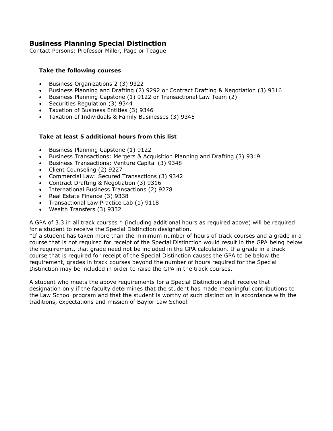# **Business Planning Special Distinction**

Contact Persons: Professor Miller, Page or Teague

## **Take the following courses**

- Business Organizations 2 (3) 9322
- Business Planning and Drafting (2) 9292 or Contract Drafting & Negotiation (3) 9316
- Business Planning Capstone (1) 9122 or Transactional Law Team (2)
- Securities Regulation (3) 9344
- Taxation of Business Entities (3) 9346
- Taxation of Individuals & Family Businesses (3) 9345

### **Take at least 5 additional hours from this list**

- Business Planning Capstone (1) 9122
- Business Transactions: Mergers & Acquisition Planning and Drafting (3) 9319
- Business Transactions: Venture Capital (3) 9348
- Client Counseling (2) 9227
- Commercial Law: Secured Transactions (3) 9342
- Contract Drafting & Negotiation (3) 9316
- International Business Transactions (2) 9278
- Real Estate Finance (3) 9338
- Transactional Law Practice Lab (1) 9118
- Wealth Transfers (3) 9332

A GPA of 3.3 in all track courses \* (including additional hours as required above) will be required for a student to receive the Special Distinction designation.

\*If a student has taken more than the minimum number of hours of track courses and a grade in a course that is not required for receipt of the Special Distinction would result in the GPA being below the requirement, that grade need not be included in the GPA calculation. If a grade in a track course that is required for receipt of the Special Distinction causes the GPA to be below the requirement, grades in track courses beyond the number of hours required for the Special Distinction may be included in order to raise the GPA in the track courses.

A student who meets the above requirements for a Special Distinction shall receive that designation only if the faculty determines that the student has made meaningful contributions to the Law School program and that the student is worthy of such distinction in accordance with the traditions, expectations and mission of Baylor Law School.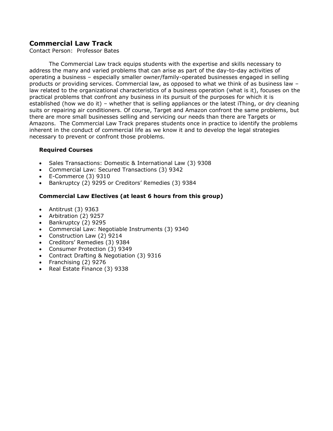# **Commercial Law Track**

Contact Person: Professor Bates

The Commercial Law track equips students with the expertise and skills necessary to address the many and varied problems that can arise as part of the day-to-day activities of operating a business – especially smaller owner/family-operated businesses engaged in selling products or providing services. Commercial law, as opposed to what we think of as business law – law related to the organizational characteristics of a business operation (what is it), focuses on the practical problems that confront any business in its pursuit of the purposes for which it is established (how we do it) – whether that is selling appliances or the latest iThing, or dry cleaning suits or repairing air conditioners. Of course, Target and Amazon confront the same problems, but there are more small businesses selling and servicing our needs than there are Targets or Amazons. The Commercial Law Track prepares students once in practice to identify the problems inherent in the conduct of commercial life as we know it and to develop the legal strategies necessary to prevent or confront those problems.

## **Required Courses**

- Sales Transactions: Domestic & International Law (3) 9308
- Commercial Law: Secured Transactions (3) 9342
- E-Commerce (3) 9310
- Bankruptcy (2) 9295 or Creditors' Remedies (3) 9384

## **Commercial Law Electives (at least 6 hours from this group)**

- Antitrust (3) 9363
- Arbitration (2) 9257
- Bankruptcy (2) 9295
- Commercial Law: Negotiable Instruments (3) 9340
- Construction Law (2) 9214
- Creditors' Remedies (3) 9384
- Consumer Protection (3) 9349
- Contract Drafting & Negotiation (3) 9316
- Franchising (2) 9276
- Real Estate Finance (3) 9338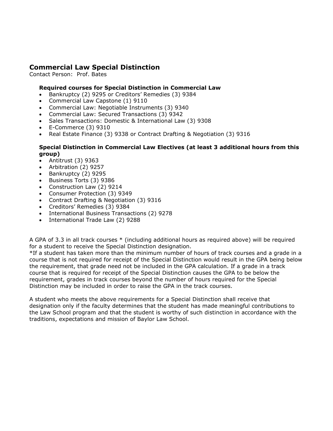# **Commercial Law Special Distinction**

Contact Person: Prof. Bates

## **Required courses for Special Distinction in Commercial Law**

- Bankruptcy (2) 9295 or Creditors' Remedies (3) 9384
- Commercial Law Capstone (1) 9110
- Commercial Law: Negotiable Instruments (3) 9340
- Commercial Law: Secured Transactions (3) 9342
- Sales Transactions: Domestic & International Law (3) 9308
- E-Commerce (3) 9310
- Real Estate Finance (3) 9338 or Contract Drafting & Negotiation (3) 9316

## **Special Distinction in Commercial Law Electives (at least 3 additional hours from this group)**

- Antitrust (3) 9363
- Arbitration (2) 9257
- Bankruptcy (2) 9295
- Business Torts (3) 9386
- Construction Law (2) 9214
- Consumer Protection (3) 9349
- Contract Drafting & Negotiation (3) 9316
- Creditors' Remedies (3) 9384
- International Business Transactions (2) 9278
- International Trade Law (2) 9288

A GPA of 3.3 in all track courses \* (including additional hours as required above) will be required for a student to receive the Special Distinction designation.

\*If a student has taken more than the minimum number of hours of track courses and a grade in a course that is not required for receipt of the Special Distinction would result in the GPA being below the requirement, that grade need not be included in the GPA calculation. If a grade in a track course that is required for receipt of the Special Distinction causes the GPA to be below the requirement, grades in track courses beyond the number of hours required for the Special Distinction may be included in order to raise the GPA in the track courses.

A student who meets the above requirements for a Special Distinction shall receive that designation only if the faculty determines that the student has made meaningful contributions to the Law School program and that the student is worthy of such distinction in accordance with the traditions, expectations and mission of Baylor Law School.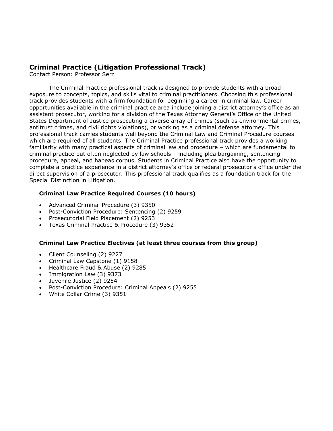## **Criminal Practice (Litigation Professional Track)**

Contact Person: Professor Serr

The Criminal Practice professional track is designed to provide students with a broad exposure to concepts, topics, and skills vital to criminal practitioners. Choosing this professional track provides students with a firm foundation for beginning a career in criminal law. Career opportunities available in the criminal practice area include joining a district attorney's office as an assistant prosecutor, working for a division of the Texas Attorney General's Office or the United States Department of Justice prosecuting a diverse array of crimes (such as environmental crimes, antitrust crimes, and civil rights violations), or working as a criminal defense attorney. This professional track carries students well beyond the Criminal Law and Criminal Procedure courses which are required of all students. The Criminal Practice professional track provides a working familiarity with many practical aspects of criminal law and procedure – which are fundamental to criminal practice but often neglected by law schools – including plea bargaining, sentencing procedure, appeal, and habeas corpus. Students in Criminal Practice also have the opportunity to complete a practice experience in a district attorney's office or federal prosecutor's office under the direct supervision of a prosecutor. This professional track qualifies as a foundation track for the Special Distinction in Litigation.

## **Criminal Law Practice Required Courses (10 hours)**

- Advanced Criminal Procedure (3) 9350
- Post-Conviction Procedure: Sentencing (2) 9259
- Prosecutorial Field Placement (2) 9253
- Texas Criminal Practice & Procedure (3) 9352

### **Criminal Law Practice Electives (at least three courses from this group)**

- Client Counseling (2) 9227
- Criminal Law Capstone (1) 9158
- Healthcare Fraud & Abuse (2) 9285
- Immigration Law (3) 9373
- Juvenile Justice (2) 9254
- Post-Conviction Procedure: Criminal Appeals (2) 9255
- White Collar Crime (3) 9351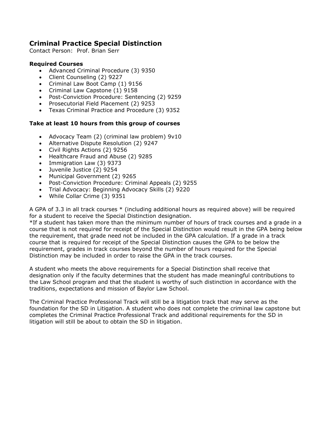# **Criminal Practice Special Distinction**

Contact Person: Prof. Brian Serr

### **Required Courses**

- Advanced Criminal Procedure (3) 9350
- Client Counseling (2) 9227
- Criminal Law Boot Camp (1) 9156
- Criminal Law Capstone (1) 9158
- Post-Conviction Procedure: Sentencing (2) 9259
- Prosecutorial Field Placement (2) 9253
- Texas Criminal Practice and Procedure (3) 9352

## **Take at least 10 hours from this group of courses**

- Advocacy Team (2) (criminal law problem) 9v10
- Alternative Dispute Resolution (2) 9247
- Civil Rights Actions (2) 9256
- Healthcare Fraud and Abuse (2) 9285
- Immigration Law (3) 9373
- Juvenile Justice (2) 9254
- Municipal Government (2) 9265
- Post-Conviction Procedure: Criminal Appeals (2) 9255
- Trial Advocacy: Beginning Advocacy Skills (2) 9220
- While Collar Crime (3) 9351

A GPA of 3.3 in all track courses \* (including additional hours as required above) will be required for a student to receive the Special Distinction designation.

\*If a student has taken more than the minimum number of hours of track courses and a grade in a course that is not required for receipt of the Special Distinction would result in the GPA being below the requirement, that grade need not be included in the GPA calculation. If a grade in a track course that is required for receipt of the Special Distinction causes the GPA to be below the requirement, grades in track courses beyond the number of hours required for the Special Distinction may be included in order to raise the GPA in the track courses.

A student who meets the above requirements for a Special Distinction shall receive that designation only if the faculty determines that the student has made meaningful contributions to the Law School program and that the student is worthy of such distinction in accordance with the traditions, expectations and mission of Baylor Law School.

The Criminal Practice Professional Track will still be a litigation track that may serve as the foundation for the SD in Litigation. A student who does not complete the criminal law capstone but completes the Criminal Practice Professional Track and additional requirements for the SD in litigation will still be about to obtain the SD in litigation.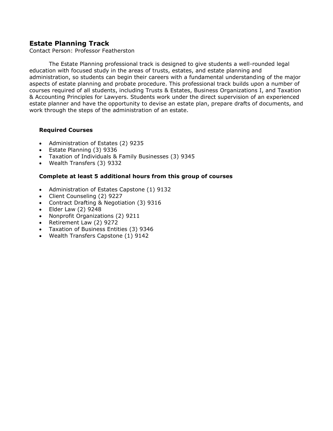# **Estate Planning Track**

Contact Person: Professor Featherston

The Estate Planning professional track is designed to give students a well-rounded legal education with focused study in the areas of trusts, estates, and estate planning and administration, so students can begin their careers with a fundamental understanding of the major aspects of estate planning and probate procedure. This professional track builds upon a number of courses required of all students, including Trusts & Estates, Business Organizations I, and Taxation & Accounting Principles for Lawyers. Students work under the direct supervision of an experienced estate planner and have the opportunity to devise an estate plan, prepare drafts of documents, and work through the steps of the administration of an estate.

### **Required Courses**

- Administration of Estates (2) 9235
- Estate Planning (3) 9336
- Taxation of Individuals & Family Businesses (3) 9345
- Wealth Transfers (3) 9332

## **Complete at least 5 additional hours from this group of courses**

- Administration of Estates Capstone (1) 9132
- Client Counseling (2) 9227
- Contract Drafting & Negotiation (3) 9316
- Elder Law (2) 9248
- Nonprofit Organizations (2) 9211
- Retirement Law (2) 9272
- Taxation of Business Entities (3) 9346
- Wealth Transfers Capstone (1) 9142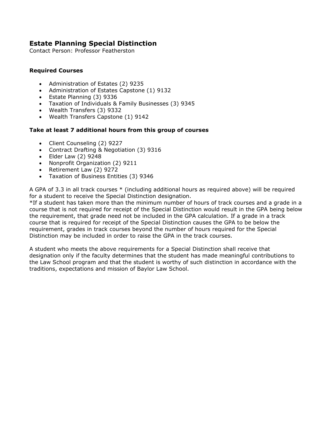# **Estate Planning Special Distinction**

Contact Person: Professor Featherston

## **Required Courses**

- Administration of Estates (2) 9235
- Administration of Estates Capstone (1) 9132
- Estate Planning (3) 9336
- Taxation of Individuals & Family Businesses (3) 9345
- Wealth Transfers (3) 9332
- Wealth Transfers Capstone (1) 9142

## **Take at least 7 additional hours from this group of courses**

- Client Counseling (2) 9227
- Contract Drafting & Negotiation (3) 9316
- Elder Law (2) 9248
- Nonprofit Organization (2) 9211
- Retirement Law (2) 9272
- Taxation of Business Entities (3) 9346

A GPA of 3.3 in all track courses \* (including additional hours as required above) will be required for a student to receive the Special Distinction designation.

\*If a student has taken more than the minimum number of hours of track courses and a grade in a course that is not required for receipt of the Special Distinction would result in the GPA being below the requirement, that grade need not be included in the GPA calculation. If a grade in a track course that is required for receipt of the Special Distinction causes the GPA to be below the requirement, grades in track courses beyond the number of hours required for the Special Distinction may be included in order to raise the GPA in the track courses.

A student who meets the above requirements for a Special Distinction shall receive that designation only if the faculty determines that the student has made meaningful contributions to the Law School program and that the student is worthy of such distinction in accordance with the traditions, expectations and mission of Baylor Law School.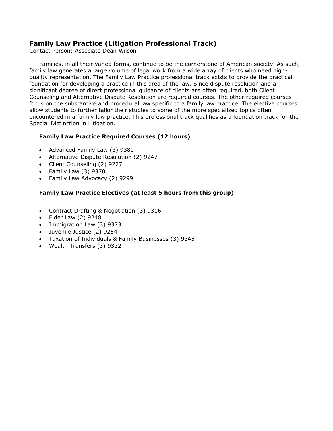# **Family Law Practice (Litigation Professional Track)**

Contact Person: Associate Dean Wilson

Families, in all their varied forms, continue to be the cornerstone of American society. As such, family law generates a large volume of legal work from a wide array of clients who need highquality representation. The Family Law Practice professional track exists to provide the practical foundation for developing a practice in this area of the law. Since dispute resolution and a significant degree of direct professional guidance of clients are often required, both Client Counseling and Alternative Dispute Resolution are required courses. The other required courses focus on the substantive and procedural law specific to a family law practice. The elective courses allow students to further tailor their studies to some of the more specialized topics often encountered in a family law practice. This professional track qualifies as a foundation track for the Special Distinction in Litigation.

## **Family Law Practice Required Courses (12 hours)**

- Advanced Family Law (3) 9380
- Alternative Dispute Resolution (2) 9247
- Client Counseling (2) 9227
- Family Law (3) 9370
- Family Law Advocacy (2) 9299

## **Family Law Practice Electives (at least 5 hours from this group)**

- Contract Drafting & Negotiation (3) 9316
- Elder Law (2) 9248
- Immigration Law (3) 9373
- Juvenile Justice (2) 9254
- Taxation of Individuals & Family Businesses (3) 9345
- Wealth Transfers (3) 9332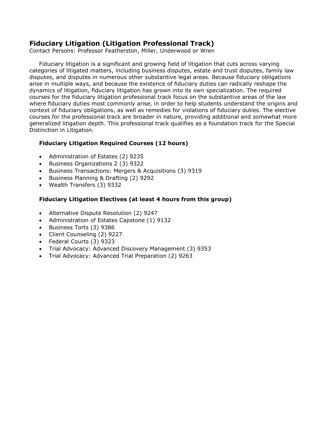# **Fiduciary Litigation (Litigation Professional Track)**

Contact Persons: Professor Featherston, Miller, Underwood or Wren

Fiduciary litigation is a significant and growing field of litigation that cuts across varying categories of litigated matters, including business disputes, estate and trust disputes, family law disputes, and disputes in numerous other substantive legal areas. Because fiduciary obligations arise in multiple ways, and because the existence of fiduciary duties can radically reshape the dynamics of litigation, fiduciary litigation has grown into its own specialization. The required courses for the fiduciary litigation professional track focus on the substantive areas of the law where fiduciary duties most commonly arise, in order to help students understand the origins and context of fiduciary obligations, as well as remedies for violations of fiduciary duties. The elective courses for the professional track are broader in nature, providing additional and somewhat more generalized litigation depth. This professional track qualifies as a foundation track for the Special Distinction in Litigation.

## **Fiduciary Litigation Required Courses (12 hours)**

- Administration of Estates (2) 9235
- Business Organizations 2 (3) 9322
- Business Transactions: Mergers & Acquisitions (3) 9319
- Business Planning & Drafting (2) 9292
- Wealth Transfers (3) 9332

## **Fiduciary Litigation Electives (at least 4 hours from this group)**

- Alternative Dispute Resolution (2) 9247
- Administration of Estates Capstone (1) 9132
- Business Torts (3) 9386
- Client Counseling (2) 9227
- Federal Courts (3) 9323
- Trial Advocacy: Advanced Discovery Management (3) 9353
- Trial Advocacy: Advanced Trial Preparation (2) 9263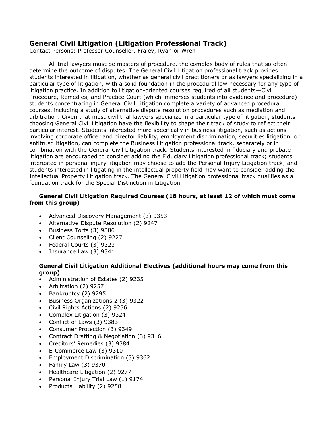# **General Civil Litigation (Litigation Professional Track)**

Contact Persons: Professor Counseller, Fraley, Ryan or Wren

All trial lawyers must be masters of procedure, the complex body of rules that so often determine the outcome of disputes. The General Civil Litigation professional track provides students interested in litigation, whether as general civil practitioners or as lawyers specializing in a particular type of litigation, with a solid foundation in the procedural law necessary for any type of litigation practice. In addition to litigation-oriented courses required of all students—Civil Procedure, Remedies, and Practice Court (which immerses students into evidence and procedure) students concentrating in General Civil Litigation complete a variety of advanced procedural courses, including a study of alternative dispute resolution procedures such as mediation and arbitration. Given that most civil trial lawyers specialize in a particular type of litigation, students choosing General Civil Litigation have the flexibility to shape their track of study to reflect their particular interest. Students interested more specifically in business litigation, such as actions involving corporate officer and director liability, employment discrimination, securities litigation, or antitrust litigation, can complete the Business Litigation professional track, separately or in combination with the General Civil Litigation track. Students interested in fiduciary and probate litigation are encouraged to consider adding the Fiduciary Litigation professional track; students interested in personal injury litigation may choose to add the Personal Injury Litigation track; and students interested in litigating in the intellectual property field may want to consider adding the Intellectual Property Litigation track. The General Civil Litigation professional track qualifies as a foundation track for the Special Distinction in Litigation.

## **General Civil Litigation Required Courses (18 hours, at least 12 of which must come from this group)**

- Advanced Discovery Management (3) 9353
- Alternative Dispute Resolution (2) 9247
- Business Torts (3) 9386
- Client Counseling (2) 9227
- Federal Courts (3) 9323
- Insurance Law (3) 9341

## **General Civil Litigation Additional Electives (additional hours may come from this group)**

- Administration of Estates (2) 9235
- Arbitration (2) 9257
- Bankruptcy (2) 9295
- Business Organizations 2 (3) 9322
- Civil Rights Actions (2) 9256
- Complex Litigation (3) 9324
- Conflict of Laws (3) 9383
- Consumer Protection (3) 9349
- Contract Drafting & Negotiation (3) 9316
- Creditors' Remedies (3) 9384
- E-Commerce Law (3) 9310
- Employment Discrimination (3) 9362
- Family Law (3) 9370
- Healthcare Litigation (2) 9277
- Personal Injury Trial Law (1) 9174
- Products Liability (2) 9258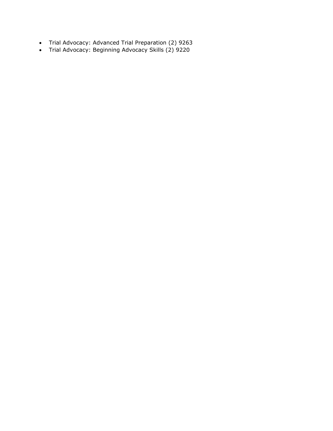- Trial Advocacy: Advanced Trial Preparation (2) 9263
- Trial Advocacy: Beginning Advocacy Skills (2) 9220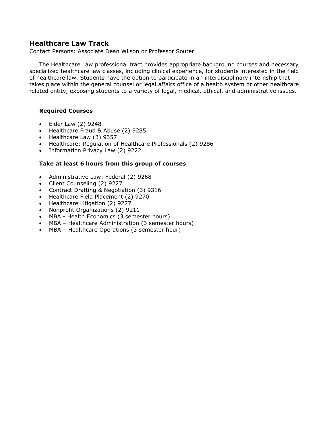# **Healthcare Law Track**

Contact Persons: Associate Dean Wilson or Professor Souter

The Healthcare Law professional tract provides appropriate background courses and necessary specialized healthcare law classes, including clinical experience, for students interested in the field of healthcare law. Students have the option to participate in an interdisciplinary internship that takes place within the general counsel or legal affairs office of a health system or other healthcare related entity, exposing students to a variety of legal, medical, ethical, and administrative issues.

### **Required Courses**

- Elder Law (2) 9248
- Healthcare Fraud & Abuse (2) 9285
- Healthcare Law (3) 9357
- Healthcare: Regulation of Healthcare Professionals (2) 9286
- Information Privacy Law (2) 9222

### **Take at least 6 hours from this group of courses**

- Administrative Law: Federal (2) 9268
- Client Counseling (2) 9227
- Contract Drafting & Negotiation (3) 9316
- Healthcare Field Placement (2) 9270
- Healthcare Litigation (2) 9277
- Nonprofit Organizations (2) 9211
- MBA Health Economics (3 semester hours)
- MBA Healthcare Administration (3 semester hours)
- MBA Healthcare Operations (3 semester hour)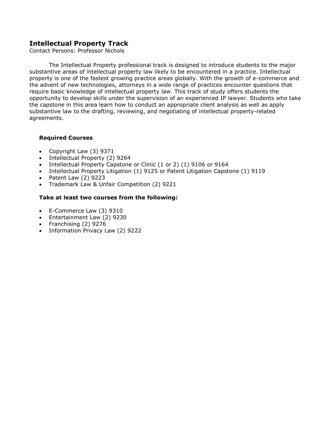# **Intellectual Property Track**

Contact Persons: Professor Nichols

The Intellectual Property professional track is designed to introduce students to the major substantive areas of intellectual property law likely to be encountered in a practice. Intellectual property is one of the fastest growing practice areas globally. With the growth of e-commerce and the advent of new technologies, attorneys in a wide range of practices encounter questions that require basic knowledge of intellectual property law. This track of study offers students the opportunity to develop skills under the supervision of an experienced IP lawyer. Students who take the capstone in this area learn how to conduct an appropriate client analysis as well as apply substantive law to the drafting, reviewing, and negotiating of intellectual property-related agreements.

## **Required Courses**

- Copyright Law (3) 9371
- Intellectual Property (2) 9264
- Intellectual Property Capstone or Clinic (1 or 2) (1) 9106 or 9164
- Intellectual Property Litigation (1) 9125 or Patent Litigation Capstone (1) 9119
- Patent Law (2) 9223
- Trademark Law & Unfair Competition (2) 9221

## **Take at least two courses from the following:**

- E-Commerce Law (3) 9310
- Entertainment Law (2) 9230
- Franchising (2) 9276
- Information Privacy Law (2) 9222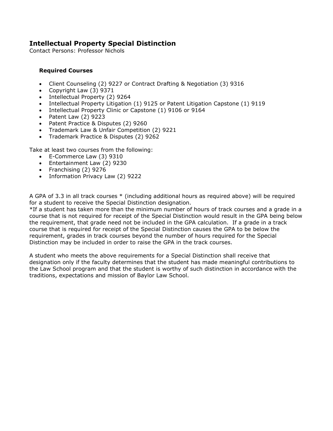# **Intellectual Property Special Distinction**

Contact Persons: Professor Nichols

## **Required Courses**

- Client Counseling (2) 9227 or Contract Drafting & Negotiation (3) 9316
- Copyright Law (3) 9371
- Intellectual Property (2) 9264
- Intellectual Property Litigation (1) 9125 or Patent Litigation Capstone (1) 9119
- Intellectual Property Clinic or Capstone (1) 9106 or 9164
- Patent Law (2) 9223
- Patent Practice & Disputes (2) 9260
- Trademark Law & Unfair Competition (2) 9221
- Trademark Practice & Disputes (2) 9262

Take at least two courses from the following:

- E-Commerce Law (3) 9310
- Entertainment Law (2) 9230
- Franchising (2) 9276
- Information Privacy Law (2) 9222

A GPA of 3.3 in all track courses \* (including additional hours as required above) will be required for a student to receive the Special Distinction designation.

\*If a student has taken more than the minimum number of hours of track courses and a grade in a course that is not required for receipt of the Special Distinction would result in the GPA being below the requirement, that grade need not be included in the GPA calculation. If a grade in a track course that is required for receipt of the Special Distinction causes the GPA to be below the requirement, grades in track courses beyond the number of hours required for the Special Distinction may be included in order to raise the GPA in the track courses.

A student who meets the above requirements for a Special Distinction shall receive that designation only if the faculty determines that the student has made meaningful contributions to the Law School program and that the student is worthy of such distinction in accordance with the traditions, expectations and mission of Baylor Law School.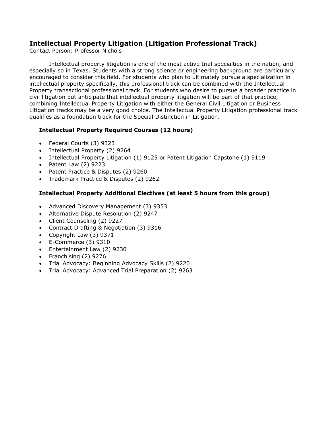# **Intellectual Property Litigation (Litigation Professional Track)**

Contact Person: Professor Nichols

Intellectual property litigation is one of the most active trial specialties in the nation, and especially so in Texas. Students with a strong science or engineering background are particularly encouraged to consider this field. For students who plan to ultimately pursue a specialization in intellectual property specifically, this professional track can be combined with the Intellectual Property transactional professional track. For students who desire to pursue a broader practice in civil litigation but anticipate that intellectual property litigation will be part of that practice, combining Intellectual Property Litigation with either the General Civil Litigation or Business Litigation tracks may be a very good choice. The Intellectual Property Litigation professional track qualifies as a foundation track for the Special Distinction in Litigation.

## **Intellectual Property Required Courses (12 hours)**

- Federal Courts (3) 9323
- Intellectual Property (2) 9264
- Intellectual Property Litigation (1) 9125 or Patent Litigation Capstone (1) 9119
- Patent Law (2) 9223
- Patent Practice & Disputes (2) 9260
- Trademark Practice & Disputes (2) 9262

## **Intellectual Property Additional Electives (at least 5 hours from this group)**

- Advanced Discovery Management (3) 9353
- Alternative Dispute Resolution (2) 9247
- Client Counseling (2) 9227
- Contract Drafting & Negotiation (3) 9316
- Copyright Law (3) 9371
- E-Commerce (3) 9310
- Entertainment Law (2) 9230
- Franchising (2) 9276
- Trial Advocacy: Beginning Advocacy Skills (2) 9220
- Trial Advocacy: Advanced Trial Preparation (2) 9263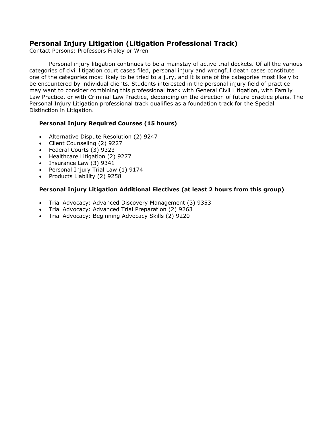# **Personal Injury Litigation (Litigation Professional Track)**

Contact Persons: Professors Fraley or Wren

Personal injury litigation continues to be a mainstay of active trial dockets. Of all the various categories of civil litigation court cases filed, personal injury and wrongful death cases constitute one of the categories most likely to be tried to a jury, and it is one of the categories most likely to be encountered by individual clients. Students interested in the personal injury field of practice may want to consider combining this professional track with General Civil Litigation, with Family Law Practice, or with Criminal Law Practice, depending on the direction of future practice plans. The Personal Injury Litigation professional track qualifies as a foundation track for the Special Distinction in Litigation.

### **Personal Injury Required Courses (15 hours)**

- Alternative Dispute Resolution (2) 9247
- Client Counseling (2) 9227
- Federal Courts (3) 9323
- Healthcare Litigation (2) 9277
- Insurance Law (3) 9341
- Personal Injury Trial Law (1) 9174
- Products Liability (2) 9258

## **Personal Injury Litigation Additional Electives (at least 2 hours from this group)**

- Trial Advocacy: Advanced Discovery Management (3) 9353
- Trial Advocacy: Advanced Trial Preparation (2) 9263
- Trial Advocacy: Beginning Advocacy Skills (2) 9220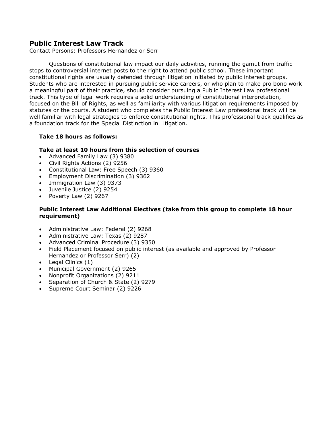# **Public Interest Law Track**

Contact Persons: Professors Hernandez or Serr

Questions of constitutional law impact our daily activities, running the gamut from traffic stops to controversial internet posts to the right to attend public school. These important constitutional rights are usually defended through litigation initiated by public interest groups. Students who are interested in pursuing public service careers, or who plan to make pro bono work a meaningful part of their practice, should consider pursuing a Public Interest Law professional track. This type of legal work requires a solid understanding of constitutional interpretation, focused on the Bill of Rights, as well as familiarity with various litigation requirements imposed by statutes or the courts. A student who completes the Public Interest Law professional track will be well familiar with legal strategies to enforce constitutional rights. This professional track qualifies as a foundation track for the Special Distinction in Litigation.

### **Take 18 hours as follows:**

### **Take at least 10 hours from this selection of courses**

- Advanced Family Law (3) 9380
- Civil Rights Actions (2) 9256
- Constitutional Law: Free Speech (3) 9360
- Employment Discrimination (3) 9362
- Immigration Law (3) 9373
- Juvenile Justice (2) 9254
- Poverty Law (2) 9267

## **Public Interest Law Additional Electives (take from this group to complete 18 hour requirement)**

- Administrative Law: Federal (2) 9268
- Administrative Law: Texas (2) 9287
- Advanced Criminal Procedure (3) 9350
- Field Placement focused on public interest (as available and approved by Professor Hernandez or Professor Serr) (2)
- Legal Clinics (1)
- Municipal Government (2) 9265
- Nonprofit Organizations (2) 9211
- Separation of Church & State (2) 9279
- Supreme Court Seminar (2) 9226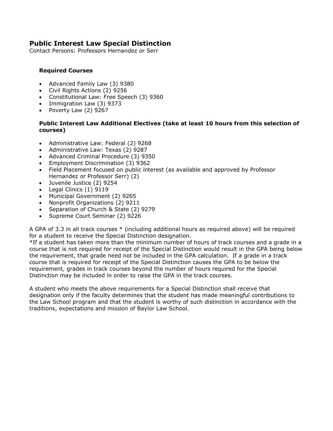# **Public Interest Law Special Distinction**

Contact Persons: Professors Hernandez or Serr

## **Required Courses**

- Advanced Family Law (3) 9380
- Civil Rights Actions (2) 9256
- Constitutional Law: Free Speech (3) 9360
- Immigration Law (3) 9373
- Poverty Law (2) 9267

## **Public Interest Law Additional Electives (take at least 10 hours from this selection of courses)**

- Administrative Law: Federal (2) 9268
- Administrative Law: Texas (2) 9287
- Advanced Criminal Procedure (3) 9350
- Employment Discrimination (3) 9362
- Field Placement focused on public interest (as available and approved by Professor Hernandez or Professor Serr) (2)
- Juvenile Justice (2) 9254
- Legal Clinics (1) 9119
- Municipal Government (2) 9265
- Nonprofit Organizations (2) 9211
- Separation of Church & State (2) 9279
- Supreme Court Seminar (2) 9226

A GPA of 3.3 in all track courses \* (including additional hours as required above) will be required for a student to receive the Special Distinction designation.

\*If a student has taken more than the minimum number of hours of track courses and a grade in a course that is not required for receipt of the Special Distinction would result in the GPA being below the requirement, that grade need not be included in the GPA calculation. If a grade in a track course that is required for receipt of the Special Distinction causes the GPA to be below the requirement, grades in track courses beyond the number of hours required for the Special Distinction may be included in order to raise the GPA in the track courses.

A student who meets the above requirements for a Special Distinction shall receive that designation only if the faculty determines that the student has made meaningful contributions to the Law School program and that the student is worthy of such distinction in accordance with the traditions, expectations and mission of Baylor Law School.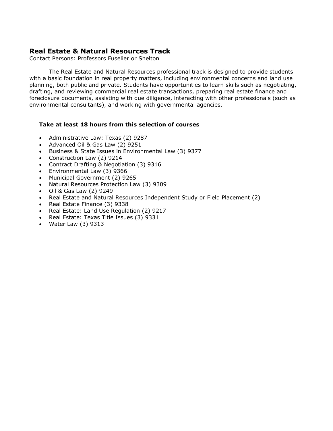# **Real Estate & Natural Resources Track**

Contact Persons: Professors Fuselier or Shelton

The Real Estate and Natural Resources professional track is designed to provide students with a basic foundation in real property matters, including environmental concerns and land use planning, both public and private. Students have opportunities to learn skills such as negotiating, drafting, and reviewing commercial real estate transactions, preparing real estate finance and foreclosure documents, assisting with due diligence, interacting with other professionals (such as environmental consultants), and working with governmental agencies.

## **Take at least 18 hours from this selection of courses**

- Administrative Law: Texas (2) 9287
- Advanced Oil & Gas Law (2) 9251
- Business & State Issues in Environmental Law (3) 9377
- Construction Law (2) 9214
- Contract Drafting & Negotiation (3) 9316
- Environmental Law (3) 9366
- Municipal Government (2) 9265
- Natural Resources Protection Law (3) 9309
- Oil & Gas Law (2) 9249
- Real Estate and Natural Resources Independent Study or Field Placement (2)
- Real Estate Finance (3) 9338
- Real Estate: Land Use Regulation (2) 9217
- Real Estate: Texas Title Issues (3) 9331
- Water Law (3) 9313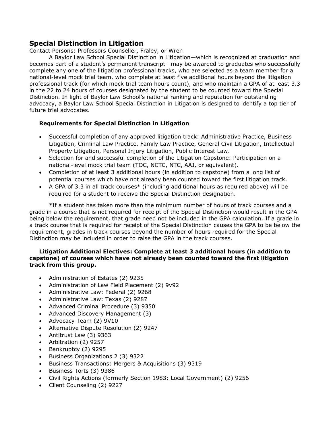## **Special Distinction in Litigation**

Contact Persons: Professors Counseller, Fraley, or Wren

A Baylor Law School Special Distinction in Litigation—which is recognized at graduation and becomes part of a student's permanent transcript—may be awarded to graduates who successfully complete any one of the litigation professional tracks, who are selected as a team member for a national-level mock trial team, who complete at least five additional hours beyond the litigation professional track (for which mock trial team hours count), and who maintain a GPA of at least 3.3 in the 22 to 24 hours of courses designated by the student to be counted toward the Special Distinction. In light of Baylor Law School's national ranking and reputation for outstanding advocacy, a Baylor Law School Special Distinction in Litigation is designed to identify a top tier of future trial advocates.

# **Requirements for Special Distinction in Litigation**

- Successful completion of any approved litigation track: Administrative Practice, Business Litigation, Criminal Law Practice, Family Law Practice, General Civil Litigation, Intellectual Property Litigation, Personal Injury Litigation, Public Interest Law.
- Selection for and successful completion of the Litigation Capstone: Participation on a national-level mock trial team (TOC, NCTC, NTC, AAJ, or equivalent).
- Completion of at least 3 additional hours (in addition to capstone) from a long list of potential courses which have not already been counted toward the first litigation track.
- A GPA of 3.3 in all track courses\* (including additional hours as required above) will be required for a student to receive the Special Distinction designation.

\*If a student has taken more than the minimum number of hours of track courses and a grade in a course that is not required for receipt of the Special Distinction would result in the GPA being below the requirement, that grade need not be included in the GPA calculation. If a grade in a track course that is required for receipt of the Special Distinction causes the GPA to be below the requirement, grades in track courses beyond the number of hours required for the Special Distinction may be included in order to raise the GPA in the track courses.

## **Litigation Additional Electives: Complete at least 3 additional hours (in addition to capstone) of courses which have not already been counted toward the first litigation track from this group.**

- Administration of Estates (2) 9235
- Administration of Law Field Placement (2) 9v92
- Administrative Law: Federal (2) 9268
- Administrative Law: Texas (2) 9287
- Advanced Criminal Procedure (3) 9350
- Advanced Discovery Management (3)
- Advocacy Team (2) 9V10
- Alternative Dispute Resolution (2) 9247
- Antitrust Law (3) 9363
- Arbitration (2) 9257
- Bankruptcy (2) 9295
- Business Organizations 2 (3) 9322
- Business Transactions: Mergers & Acquisitions (3) 9319
- Business Torts (3) 9386
- Civil Rights Actions (formerly Section 1983: Local Government) (2) 9256
- Client Counseling (2) 9227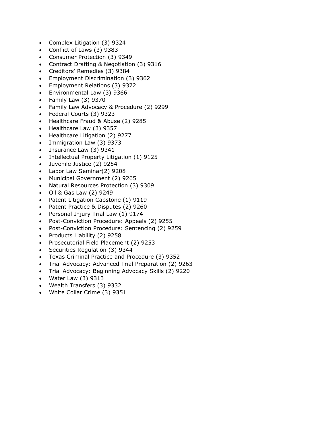- Complex Litigation (3) 9324
- Conflict of Laws (3) 9383
- Consumer Protection (3) 9349
- Contract Drafting & Negotiation (3) 9316
- Creditors' Remedies (3) 9384
- Employment Discrimination (3) 9362
- Employment Relations (3) 9372
- Environmental Law (3) 9366
- Family Law (3) 9370
- Family Law Advocacy & Procedure (2) 9299
- Federal Courts (3) 9323
- Healthcare Fraud & Abuse (2) 9285
- Healthcare Law (3) 9357
- Healthcare Litigation (2) 9277
- Immigration Law (3) 9373
- Insurance Law (3) 9341
- Intellectual Property Litigation (1) 9125
- Juvenile Justice (2) 9254
- Labor Law Seminar(2) 9208
- Municipal Government (2) 9265
- Natural Resources Protection (3) 9309
- Oil & Gas Law (2) 9249
- Patent Litigation Capstone (1) 9119
- Patent Practice & Disputes (2) 9260
- Personal Injury Trial Law (1) 9174
- Post-Conviction Procedure: Appeals (2) 9255
- Post-Conviction Procedure: Sentencing (2) 9259
- Products Liability (2) 9258
- Prosecutorial Field Placement (2) 9253
- Securities Regulation (3) 9344
- Texas Criminal Practice and Procedure (3) 9352
- Trial Advocacy: Advanced Trial Preparation (2) 9263
- Trial Advocacy: Beginning Advocacy Skills (2) 9220
- Water Law (3) 9313
- Wealth Transfers (3) 9332
- White Collar Crime (3) 9351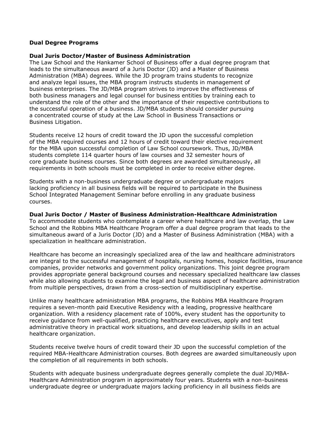#### **Dual Degree Programs**

#### **Dual Juris Doctor/Master of Business Administration**

The Law School and the Hankamer School of Business offer a dual degree program that leads to the simultaneous award of a Juris Doctor (JD) and a Master of Business Administration (MBA) degrees. While the JD program trains students to recognize and analyze legal issues, the MBA program instructs students in management of business enterprises. The JD/MBA program strives to improve the effectiveness of both business managers and legal counsel for business entities by training each to understand the role of the other and the importance of their respective contributions to the successful operation of a business. JD/MBA students should consider pursuing a concentrated course of study at the Law School in Business Transactions or Business Litigation.

Students receive 12 hours of credit toward the JD upon the successful completion of the MBA required courses and 12 hours of credit toward their elective requirement for the MBA upon successful completion of Law School coursework. Thus, JD/MBA students complete 114 quarter hours of law courses and 32 semester hours of core graduate business courses. Since both degrees are awarded simultaneously, all requirements in both schools must be completed in order to receive either degree.

Students with a non-business undergraduate degree or undergraduate majors lacking proficiency in all business fields will be required to participate in the Business School Integrated Management Seminar before enrolling in any graduate business courses.

#### **Dual Juris Doctor / Master of Business Administration-Healthcare Administration**

To accommodate students who contemplate a career where healthcare and law overlap, the Law School and the Robbins MBA Healthcare Program offer a dual degree program that leads to the simultaneous award of a Juris Doctor (JD) and a Master of Business Administration (MBA) with a specialization in healthcare administration.

Healthcare has become an increasingly specialized area of the law and healthcare administrators are integral to the successful management of hospitals, nursing homes, hospice facilities, insurance companies, provider networks and government policy organizations. This joint degree program provides appropriate general background courses and necessary specialized healthcare law classes while also allowing students to examine the legal and business aspect of healthcare administration from multiple perspectives, drawn from a cross-section of multidisciplinary expertise.

Unlike many healthcare administration MBA programs, the Robbins MBA Healthcare Program requires a seven-month paid Executive Residency with a leading, progressive healthcare organization. With a residency placement rate of 100%, every student has the opportunity to receive guidance from well-qualified, practicing healthcare executives, apply and test administrative theory in practical work situations, and develop leadership skills in an actual healthcare organization.

Students receive twelve hours of credit toward their JD upon the successful completion of the required MBA-Healthcare Administration courses. Both degrees are awarded simultaneously upon the completion of all requirements in both schools.

Students with adequate business undergraduate degrees generally complete the dual JD/MBA-Healthcare Administration program in approximately four years. Students with a non-business undergraduate degree or undergraduate majors lacking proficiency in all business fields are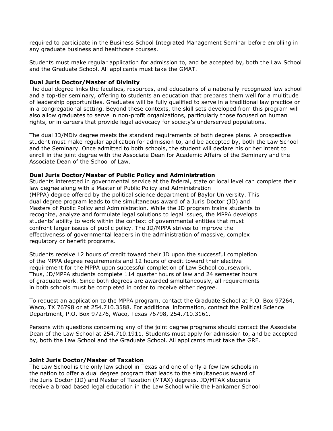required to participate in the Business School Integrated Management Seminar before enrolling in any graduate business and healthcare courses.

Students must make regular application for admission to, and be accepted by, both the Law School and the Graduate School. All applicants must take the GMAT.

#### **Dual Juris Doctor/Master of Divinity**

The dual degree links the faculties, resources, and educations of a nationally-recognized law school and a top-tier seminary, offering to students an education that prepares them well for a multitude of leadership opportunities. Graduates will be fully qualified to serve in a traditional law practice or in a congregational setting. Beyond these contexts, the skill sets developed from this program will also allow graduates to serve in non-profit organizations, particularly those focused on human rights, or in careers that provide legal advocacy for society's underserved populations.

The dual JD/MDiv degree meets the standard requirements of both degree plans. A prospective student must make regular application for admission to, and be accepted by, both the Law School and the Seminary. Once admitted to both schools, the student will declare his or her intent to enroll in the joint degree with the Associate Dean for Academic Affairs of the Seminary and the Associate Dean of the School of Law.

#### **Dual Juris Doctor/Master of Public Policy and Administration**

Students interested in governmental service at the federal, state or local level can complete their law degree along with a Master of Public Policy and Administration (MPPA) degree offered by the political science department of Baylor University. This dual degree program leads to the simultaneous award of a Juris Doctor (JD) and Masters of Public Policy and Administration. While the JD program trains students to recognize, analyze and formulate legal solutions to legal issues, the MPPA develops students' ability to work within the context of governmental entities that must confront larger issues of public policy. The JD/MPPA strives to improve the effectiveness of governmental leaders in the administration of massive, complex regulatory or benefit programs.

Students receive 12 hours of credit toward their JD upon the successful completion of the MPPA degree requirements and 12 hours of credit toward their elective requirement for the MPPA upon successful completion of Law School coursework. Thus, JD/MPPA students complete 114 quarter hours of law and 24 semester hours of graduate work. Since both degrees are awarded simultaneously, all requirements in both schools must be completed in order to receive either degree.

To request an application to the MPPA program, contact the Graduate School at P.O. Box 97264, Waco, TX 76798 or at 254.710.3588. For additional information, contact the Political Science Department, P.O. Box 97276, Waco, Texas 76798, 254.710.3161.

Persons with questions concerning any of the joint degree programs should contact the Associate Dean of the Law School at 254.710.1911. Students must apply for admission to, and be accepted by, both the Law School and the Graduate School. All applicants must take the GRE.

#### **Joint Juris Doctor/Master of Taxation**

The Law School is the only law school in Texas and one of only a few law schools in the nation to offer a dual degree program that leads to the simultaneous award of the Juris Doctor (JD) and Master of Taxation (MTAX) degrees. JD/MTAX students receive a broad based legal education in the Law School while the Hankamer School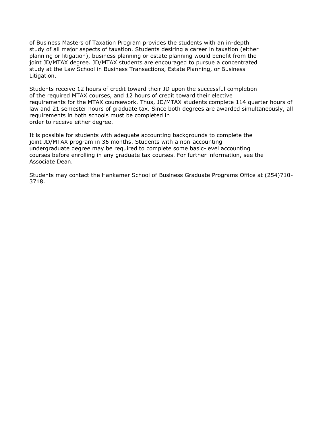of Business Masters of Taxation Program provides the students with an in-depth study of all major aspects of taxation. Students desiring a career in taxation (either planning or litigation), business planning or estate planning would benefit from the joint JD/MTAX degree. JD/MTAX students are encouraged to pursue a concentrated study at the Law School in Business Transactions, Estate Planning, or Business Litigation.

Students receive 12 hours of credit toward their JD upon the successful completion of the required MTAX courses, and 12 hours of credit toward their elective requirements for the MTAX coursework. Thus, JD/MTAX students complete 114 quarter hours of law and 21 semester hours of graduate tax. Since both degrees are awarded simultaneously, all requirements in both schools must be completed in order to receive either degree.

It is possible for students with adequate accounting backgrounds to complete the joint JD/MTAX program in 36 months. Students with a non-accounting undergraduate degree may be required to complete some basic-level accounting courses before enrolling in any graduate tax courses. For further information, see the Associate Dean.

Students may contact the Hankamer School of Business Graduate Programs Office at (254)710- 3718.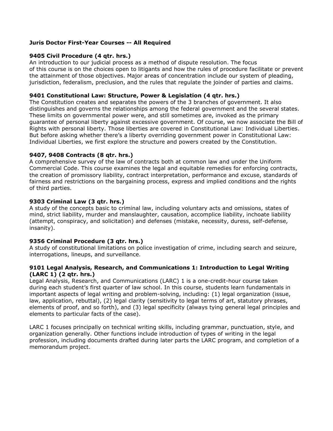## **Juris Doctor First-Year Courses -- All Required**

## **9405 Civil Procedure (4 qtr. hrs.)**

An introduction to our judicial process as a method of dispute resolution. The focus of this course is on the choices open to litigants and how the rules of procedure facilitate or prevent the attainment of those objectives. Major areas of concentration include our system of pleading, jurisdiction, federalism, preclusion, and the rules that regulate the joinder of parties and claims.

### **9401 Constitutional Law: Structure, Power & Legislation (4 qtr. hrs.)**

The Constitution creates and separates the powers of the 3 branches of government. It also distinguishes and governs the relationships among the federal government and the several states. These limits on governmental power were, and still sometimes are, invoked as the primary guarantee of personal liberty against excessive government. Of course, we now associate the Bill of Rights with personal liberty. Those liberties are covered in Constitutional Law: Individual Liberties. But before asking whether there's a liberty overriding government power in Constitutional Law: Individual Liberties, we first explore the structure and powers created by the Constitution.

## **9407, 9408 Contracts (8 qtr. hrs.)**

A comprehensive survey of the law of contracts both at common law and under the Uniform Commercial Code. This course examines the legal and equitable remedies for enforcing contracts, the creation of promissory liability, contract interpretation, performance and excuse, standards of fairness and restrictions on the bargaining process, express and implied conditions and the rights of third parties.

## **9303 Criminal Law (3 qtr. hrs.)**

A study of the concepts basic to criminal law, including voluntary acts and omissions, states of mind, strict liability, murder and manslaughter, causation, accomplice liability, inchoate liability (attempt, conspiracy, and solicitation) and defenses (mistake, necessity, duress, self-defense, insanity).

# **9356 Criminal Procedure (3 qtr. hrs.)**

A study of constitutional limitations on police investigation of crime, including search and seizure, interrogations, lineups, and surveillance.

### **9101 Legal Analysis, Research, and Communications 1: Introduction to Legal Writing (LARC 1) (2 qtr. hrs.)**

Legal Analysis, Research, and Communications (LARC) 1 is a one-credit-hour course taken during each student's first quarter of law school. In this course, students learn fundamentals in important aspects of legal writing and problem-solving, including: (1) legal organization (issue, law, application, rebuttal), (2) legal clarity (sensitivity to legal terms of art, statutory phrases, elements of proof, and so forth), and (3) legal specificity (always tying general legal principles and elements to particular facts of the case).

LARC 1 focuses principally on technical writing skills, including grammar, punctuation, style, and organization generally. Other functions include introduction of types of writing in the legal profession, including documents drafted during later parts the LARC program, and completion of a memorandum project.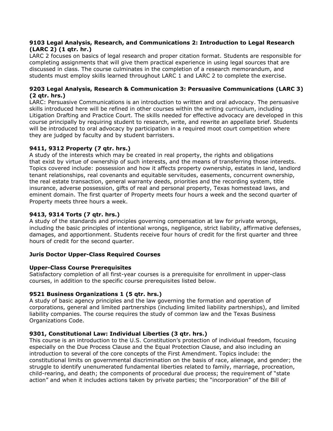## **9103 Legal Analysis, Research, and Communications 2: Introduction to Legal Research (LARC 2) (1 qtr. hr.)**

LARC 2 focuses on basics of legal research and proper citation format. Students are responsible for completing assignments that will give them practical experience in using legal sources that are discussed in class. The course culminates in the completion of a research memorandum, and students must employ skills learned throughout LARC 1 and LARC 2 to complete the exercise.

## **9203 Legal Analysis, Research & Communication 3: Persuasive Communications (LARC 3) (2 qtr. hrs.)**

LARC: Persuasive Communications is an introduction to written and oral advocacy. The persuasive skills introduced here will be refined in other courses within the writing curriculum, including Litigation Drafting and Practice Court. The skills needed for effective advocacy are developed in this course principally by requiring student to research, write, and rewrite an appellate brief. Students will be introduced to oral advocacy by participation in a required moot court competition where they are judged by faculty and by student barristers.

# **9411, 9312 Property (7 qtr. hrs.)**

A study of the interests which may be created in real property, the rights and obligations that exist by virtue of ownership of such interests, and the means of transferring those interests. Topics covered include: possession and how it affects property ownership, estates in land, landlord tenant relationships, real covenants and equitable servitudes, easements, concurrent ownership, the real estate transaction, general warranty deeds, priorities and the recording system, title insurance, adverse possession, gifts of real and personal property, Texas homestead laws, and eminent domain. The first quarter of Property meets four hours a week and the second quarter of Property meets three hours a week.

# **9413, 9314 Torts (7 qtr. hrs.)**

A study of the standards and principles governing compensation at law for private wrongs, including the basic principles of intentional wrongs, negligence, strict liability, affirmative defenses, damages, and apportionment. Students receive four hours of credit for the first quarter and three hours of credit for the second quarter.

# **Juris Doctor Upper-Class Required Courses**

# **Upper-Class Course Prerequisites**

Satisfactory completion of all first-year courses is a prerequisite for enrollment in upper-class courses, in addition to the specific course prerequisites listed below.

# **9521 Business Organizations 1 (5 qtr. hrs.)**

A study of basic agency principles and the law governing the formation and operation of corporations, general and limited partnerships (including limited liability partnerships), and limited liability companies. The course requires the study of common law and the Texas Business Organizations Code.

# **9301, Constitutional Law: Individual Liberties (3 qtr. hrs.)**

This course is an introduction to the U.S. Constitution's protection of individual freedom, focusing especially on the Due Process Clause and the Equal Protection Clause, and also including an introduction to several of the core concepts of the First Amendment. Topics include: the constitutional limits on governmental discrimination on the basis of race, alienage, and gender; the struggle to identify unenumerated fundamental liberties related to family, marriage, procreation, child-rearing, and death; the components of procedural due process; the requirement of "state action" and when it includes actions taken by private parties; the "incorporation" of the Bill of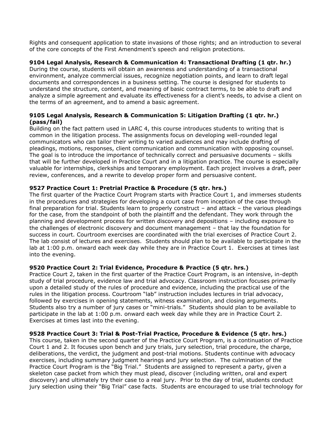Rights and consequent application to state invasions of those rights; and an introduction to several of the core concepts of the First Amendment's speech and religion protections.

## **9104 Legal Analysis, Research & Communication 4: Transactional Drafting (1 qtr. hr.)**

During the course, students will obtain an awareness and understanding of a transactional environment, analyze commercial issues, recognize negotiation points, and learn to draft legal documents and correspondences in a business setting. The course is designed for students to understand the structure, content, and meaning of basic contract terms, to be able to draft and analyze a simple agreement and evaluate its effectiveness for a client's needs, to advise a client on the terms of an agreement, and to amend a basic agreement.

## **9105 Legal Analysis, Research & Communication 5: Litigation Drafting (1 qtr. hr.) (pass/fail)**

Building on the fact pattern used in LARC 4, this course introduces students to writing that is common in the litigation process. The assignments focus on developing well-rounded legal communicators who can tailor their writing to varied audiences and may include drafting of pleadings, motions, responses, client communication and communication with opposing counsel. The goal is to introduce the importance of technically correct and persuasive documents – skills that will be further developed in Practice Court and in a litigation practice. The course is especially valuable for internships, clerkships and temporary employment. Each project involves a draft, peer review, conferences, and a rewrite to develop proper form and persuasive content.

### **9527 Practice Court 1: Pretrial Practice & Procedure (5 qtr. hrs.)**

The first quarter of the Practice Court Program starts with Practice Court 1, and immerses students in the procedures and strategies for developing a court case from inception of the case through final preparation for trial. Students learn to properly construct – and attack – the various pleadings for the case, from the standpoint of both the plaintiff and the defendant. They work through the planning and development process for written discovery and depositions – including exposure to the challenges of electronic discovery and document management – that lay the foundation for success in court. Courtroom exercises are coordinated with the trial exercises of Practice Court 2. The lab consist of lectures and exercises. Students should plan to be available to participate in the lab at 1:00 p.m. onward each week day while they are in Practice Court 1. Exercises at times last into the evening.

### **9520 Practice Court 2: Trial Evidence, Procedure & Practice (5 qtr. hrs.)**

Practice Court 2, taken in the first quarter of the Practice Court Program, is an intensive, in-depth study of trial procedure, evidence law and trial advocacy. Classroom instruction focuses primarily upon a detailed study of the rules of procedure and evidence, including the practical use of the rules in the litigation process. Courtroom "lab" instruction includes lectures in trial advocacy, followed by exercises in opening statements, witness examination, and closing arguments. Students also try a number of jury cases or "mini-trials." Students should plan to be available to participate in the lab at 1:00 p.m. onward each week day while they are in Practice Court 2. Exercises at times last into the evening.

### **9528 Practice Court 3: Trial & Post-Trial Practice, Procedure & Evidence (5 qtr. hrs.)**

This course, taken in the second quarter of the Practice Court Program, is a continuation of Practice Court 1 and 2. It focuses upon bench and jury trials, jury selection, trial procedure, the charge, deliberations, the verdict, the judgment and post-trial motions. Students continue with advocacy exercises, including summary judgment hearings and jury selection. The culmination of the Practice Court Program is the "Big Trial." Students are assigned to represent a party, given a skeleton case packet from which they must plead, discover (including written, oral and expert discovery) and ultimately try their case to a real jury. Prior to the day of trial, students conduct jury selection using their "Big Trial" case facts. Students are encouraged to use trial technology for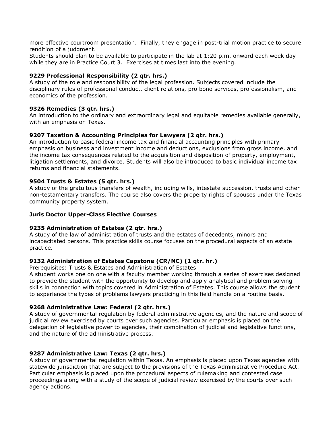more effective courtroom presentation. Finally, they engage in post-trial motion practice to secure rendition of a judgment.

Students should plan to be available to participate in the lab at 1:20 p.m. onward each week day while they are in Practice Court 3. Exercises at times last into the evening.

### **9229 Professional Responsibility (2 qtr. hrs.)**

A study of the role and responsibility of the legal profession. Subjects covered include the disciplinary rules of professional conduct, client relations, pro bono services, professionalism, and economics of the profession.

## **9326 Remedies (3 qtr. hrs.)**

An introduction to the ordinary and extraordinary legal and equitable remedies available generally, with an emphasis on Texas.

## **9207 Taxation & Accounting Principles for Lawyers (2 qtr. hrs.)**

An introduction to basic federal income tax and financial accounting principles with primary emphasis on business and investment income and deductions, exclusions from gross income, and the income tax consequences related to the acquisition and disposition of property, employment, litigation settlements, and divorce. Students will also be introduced to basic individual income tax returns and financial statements.

### **9504 Trusts & Estates (5 qtr. hrs.)**

A study of the gratuitous transfers of wealth, including wills, intestate succession, trusts and other non-testamentary transfers. The course also covers the property rights of spouses under the Texas community property system.

### **Juris Doctor Upper-Class Elective Courses**

### **9235 Administration of Estates (2 qtr. hrs.)**

A study of the law of administration of trusts and the estates of decedents, minors and incapacitated persons. This practice skills course focuses on the procedural aspects of an estate practice.

# **9132 Administration of Estates Capstone (CR/NC) (1 qtr. hr.)**

Prerequisites: Trusts & Estates and Administration of Estates

A student works one on one with a faculty member working through a series of exercises designed to provide the student with the opportunity to develop and apply analytical and problem solving skills in connection with topics covered in Administration of Estates. This course allows the student to experience the types of problems lawyers practicing in this field handle on a routine basis.

# **9268 Administrative Law: Federal (2 qtr. hrs.)**

A study of governmental regulation by federal administrative agencies, and the nature and scope of judicial review exercised by courts over such agencies. Particular emphasis is placed on the delegation of legislative power to agencies, their combination of judicial and legislative functions, and the nature of the administrative process.

# **9287 Administrative Law: Texas (2 qtr. hrs.)**

A study of governmental regulation within Texas. An emphasis is placed upon Texas agencies with statewide jurisdiction that are subject to the provisions of the Texas Administrative Procedure Act. Particular emphasis is placed upon the procedural aspects of rulemaking and contested case proceedings along with a study of the scope of judicial review exercised by the courts over such agency actions.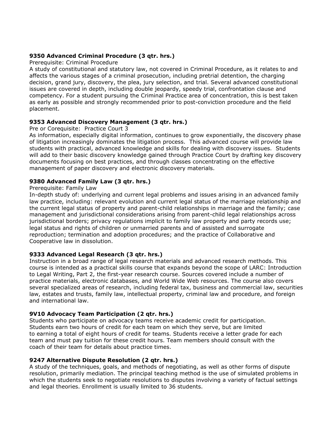## **9350 Advanced Criminal Procedure (3 qtr. hrs.)**

#### Prerequisite: Criminal Procedure

A study of constitutional and statutory law, not covered in Criminal Procedure, as it relates to and affects the various stages of a criminal prosecution, including pretrial detention, the charging decision, grand jury, discovery, the plea, jury selection, and trial. Several advanced constitutional issues are covered in depth, including double jeopardy, speedy trial, confrontation clause and competency. For a student pursuing the Criminal Practice area of concentration, this is best taken as early as possible and strongly recommended prior to post-conviction procedure and the field placement.

## **9353 Advanced Discovery Management (3 qtr. hrs.)**

### Pre or Corequisite: Practice Court 3

As information, especially digital information, continues to grow exponentially, the discovery phase of litigation increasingly dominates the litigation process. This advanced course will provide law students with practical, advanced knowledge and skills for dealing with discovery issues. Students will add to their basic discovery knowledge gained through Practice Court by drafting key discovery documents focusing on best practices, and through classes concentrating on the effective management of paper discovery and electronic discovery materials.

## **9380 Advanced Family Law (3 qtr. hrs.)**

### Prerequisite: Family Law

In-depth study of: underlying and current legal problems and issues arising in an advanced family law practice, including: relevant evolution and current legal status of the marriage relationship and the current legal status of property and parent-child relationships in marriage and the family; case management and jurisdictional considerations arising from parent-child legal relationships across jurisdictional borders; privacy regulations implicit to family law property and party records use; legal status and rights of children or unmarried parents and of assisted and surrogate reproduction; termination and adoption procedures; and the practice of Collaborative and Cooperative law in dissolution.

### **9333 Advanced Legal Research (3 qtr. hrs.)**

Instruction in a broad range of legal research materials and advanced research methods. This course is intended as a practical skills course that expands beyond the scope of LARC: Introduction to Legal Writing, Part 2, the first-year research course. Sources covered include a number of practice materials, electronic databases, and World Wide Web resources. The course also covers several specialized areas of research, including federal tax, business and commercial law, securities law, estates and trusts, family law, intellectual property, criminal law and procedure, and foreign and international law.

### **9V10 Advocacy Team Participation (2 qtr. hrs.)**

Students who participate on advocacy teams receive academic credit for participation. Students earn two hours of credit for each team on which they serve, but are limited to earning a total of eight hours of credit for teams. Students receive a letter grade for each team and must pay tuition for these credit hours. Team members should consult with the coach of their team for details about practice times.

### **9247 Alternative Dispute Resolution (2 qtr. hrs.)**

A study of the techniques, goals, and methods of negotiating, as well as other forms of dispute resolution, primarily mediation. The principal teaching method is the use of simulated problems in which the students seek to negotiate resolutions to disputes involving a variety of factual settings and legal theories. Enrollment is usually limited to 36 students.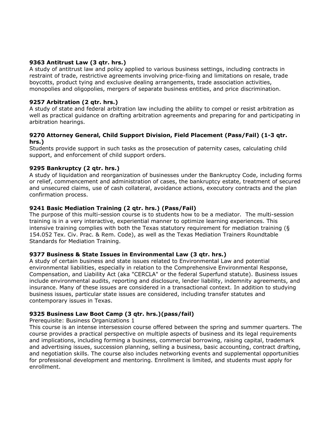## **9363 Antitrust Law (3 qtr. hrs.)**

A study of antitrust law and policy applied to various business settings, including contracts in restraint of trade, restrictive agreements involving price-fixing and limitations on resale, trade boycotts, product tying and exclusive dealing arrangements, trade association activities, monopolies and oligopolies, mergers of separate business entities, and price discrimination.

## **9257 Arbitration (2 qtr. hrs.)**

A study of state and federal arbitration law including the ability to compel or resist arbitration as well as practical guidance on drafting arbitration agreements and preparing for and participating in arbitration hearings.

### **9270 Attorney General, Child Support Division, Field Placement (Pass/Fail) (1-3 qtr. hrs.)**

Students provide support in such tasks as the prosecution of paternity cases, calculating child support, and enforcement of child support orders.

### **9295 Bankruptcy (2 qtr. hrs.)**

A study of liquidation and reorganization of businesses under the Bankruptcy Code, including forms or relief, commencement and administration of cases, the bankruptcy estate, treatment of secured and unsecured claims, use of cash collateral, avoidance actions, executory contracts and the plan confirmation process.

## **9241 Basic Mediation Training (2 qtr. hrs.) (Pass/Fail)**

The purpose of this multi-session course is to students how to be a mediator. The multi-session training is in a very interactive, experiential manner to optimize learning experiences. This intensive training complies with both the Texas statutory requirement for mediation training (§ 154.052 Tex. Civ. Prac. & Rem. Code), as well as the Texas Mediation Trainers Roundtable Standards for Mediation Training.

### **9377 Business & State Issues in Environmental Law (3 qtr. hrs.)**

A study of certain business and state issues related to Environmental Law and potential environmental liabilities, especially in relation to the Comprehensive Environmental Response, Compensation, and Liability Act (aka "CERCLA" or the federal Superfund statute). Business issues include environmental audits, reporting and disclosure, lender liability, indemnity agreements, and insurance. Many of these issues are considered in a transactional context. In addition to studying business issues, particular state issues are considered, including transfer statutes and contemporary issues in Texas.

### **9325 Business Law Boot Camp (3 qtr. hrs.)(pass/fail)**

Prerequisite: Business Organizations 1

This course is an intense intersession course offered between the spring and summer quarters. The course provides a practical perspective on multiple aspects of business and its legal requirements and implications, including forming a business, commercial borrowing, raising capital, trademark and advertising issues, succession planning, selling a business, basic accounting, contract drafting, and negotiation skills. The course also includes networking events and supplemental opportunities for professional development and mentoring. Enrollment is limited, and students must apply for enrollment.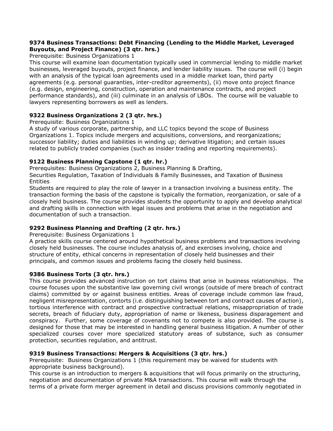## **9374 Business Transactions: Debt Financing (Lending to the Middle Market, Leveraged Buyouts, and Project Finance) (3 qtr. hrs.)**

Prerequisite: Business Organizations 1

This course will examine loan documentation typically used in commercial lending to middle market businesses, leveraged buyouts, project finance, and lender liability issues. The course will (i) begin with an analysis of the typical loan agreements used in a middle market loan, third party agreements (e.g. personal guaranties, inter-creditor agreements), (ii) move onto project finance (e.g. design, engineering, construction, operation and maintenance contracts, and project performance standards), and (iii) culminate in an analysis of LBOs. The course will be valuable to lawyers representing borrowers as well as lenders.

# **9322 Business Organizations 2 (3 qtr. hrs.)**

Prerequisite: Business Organizations 1

A study of various corporate, partnership, and LLC topics beyond the scope of Business Organizations 1. Topics include mergers and acquisitions, conversions, and reorganizations; successor liability; duties and liabilities in winding up; derivative litigation; and certain issues related to publicly traded companies (such as insider trading and reporting requirements).

# **9122 Business Planning Capstone (1 qtr. hr.)**

Prerequisites: Business Organizations 2, Business Planning & Drafting,

Securities Regulation, Taxation of Individuals & Family Businesses, and Taxation of Business Entities

Students are required to play the role of lawyer in a transaction involving a business entity. The transaction forming the basis of the capstone is typically the formation, reorganization, or sale of a closely held business. The course provides students the opportunity to apply and develop analytical and drafting skills in connection with legal issues and problems that arise in the negotiation and documentation of such a transaction.

# **9292 Business Planning and Drafting (2 qtr. hrs.)**

Prerequisite: Business Organizations 1

A practice skills course centered around hypothetical business problems and transactions involving closely held businesses. The course includes analysis of, and exercises involving, choice and structure of entity, ethical concerns in representation of closely held businesses and their principals, and common issues and problems facing the closely held business.

### **9386 Business Torts (3 qtr. hrs.)**

This course provides advanced instruction on tort claims that arise in business relationships. The course focuses upon the substantive law governing civil wrongs (outside of mere breach of contract claims) committed by or against business entities. Areas of coverage include common law fraud, negligent misrepresentation, contorts (i.e. distinguishing between tort and contract causes of action), tortious interference with contract and prospective contractual relations, misappropriation of trade secrets, breach of fiduciary duty, appropriation of name or likeness, business disparagement and conspiracy. Further, some coverage of covenants not to compete is also provided. The course is designed for those that may be interested in handling general business litigation. A number of other specialized courses cover more specialized statutory areas of substance, such as consumer protection, securities regulation, and antitrust.

# **9319 Business Transactions: Mergers & Acquisitions (3 qtr. hrs.)**

Prerequisite: Business Organizations 1 (this requirement may be waived for students with appropriate business background).

This course is an introduction to mergers & acquisitions that will focus primarily on the structuring, negotiation and documentation of private M&A transactions. This course will walk through the terms of a private form merger agreement in detail and discuss provisions commonly negotiated in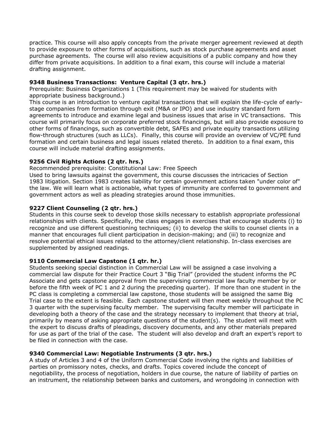practice. This course will also apply concepts from the private merger agreement reviewed at depth to provide exposure to other forms of acquisitions, such as stock purchase agreements and asset purchase agreements. The course will also review acquisitions of a public company and how they differ from private acquisitions. In addition to a final exam, this course will include a material drafting assignment.

# **9348 Business Transactions: Venture Capital (3 qtr. hrs.)**

Prerequisite: Business Organizations 1 (This requirement may be waived for students with appropriate business background.)

This course is an introduction to venture capital transactions that will explain the life-cycle of earlystage companies from formation through exit (M&A or IPO) and use industry standard form agreements to introduce and examine legal and business issues that arise in VC transactions. This course will primarily focus on corporate preferred stock financings, but will also provide exposure to other forms of financings, such as convertible debt, SAFEs and private equity transactions utilizing flow-through structures (such as LLCs). Finally, this course will provide an overview of VC/PE fund formation and certain business and legal issues related thereto. In addition to a final exam, this course will include material drafting assignments.

# **9256 Civil Rights Actions (2 qtr. hrs.)**

Recommended prerequisite: Constitutional Law: Free Speech

Used to bring lawsuits against the government, this course discusses the intricacies of Section 1983 litigation. Section 1983 creates liability for certain government actions taken "under color of" the law. We will learn what is actionable, what types of immunity are conferred to government and government actors as well as pleading strategies around those immunities.

## **9227 Client Counseling (2 qtr. hrs.)**

Students in this course seek to develop those skills necessary to establish appropriate professional relationships with clients. Specifically, the class engages in exercises that encourage students (i) to recognize and use different questioning techniques; (ii) to develop the skills to counsel clients in a manner that encourages full client participation in decision-making; and (iii) to recognize and resolve potential ethical issues related to the attorney/client relationship. In-class exercises are supplemented by assigned readings.

### **9110 Commercial Law Capstone (1 qtr. hr.)**

Students seeking special distinction in Commercial Law will be assigned a case involving a commercial law dispute for their Practice Court 3 "Big Trial" (provided the student informs the PC Associate and gets capstone approval from the supervising commercial law faculty member by or before the fifth week of PC 1 and 2 during the preceding quarter). If more than one student in the PC class is completing a commercial law capstone, those students will be assigned the same Big Trial case to the extent is feasible. Each capstone student will then meet weekly throughout the PC 3 quarter with the supervising faculty member. The supervising faculty member will participate in developing both a theory of the case and the strategy necessary to implement that theory at trial, primarily by means of asking appropriate questions of the student(s). The student will meet with the expert to discuss drafts of pleadings, discovery documents, and any other materials prepared for use as part of the trial of the case. The student will also develop and draft an expert's report to be filed in connection with the case.

### **9340 Commercial Law: Negotiable Instruments (3 qtr. hrs.)**

A study of Articles 3 and 4 of the Uniform Commercial Code involving the rights and liabilities of parties on promissory notes, checks, and drafts. Topics covered include the concept of negotiability, the process of negotiation, holders in due course, the nature of liability of parties on an instrument, the relationship between banks and customers, and wrongdoing in connection with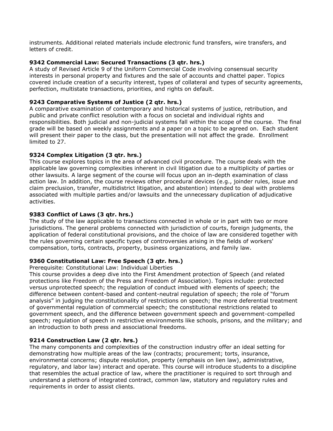instruments. Additional related materials include electronic fund transfers, wire transfers, and letters of credit.

## **9342 Commercial Law: Secured Transactions (3 qtr. hrs.)**

A study of Revised Article 9 of the Uniform Commercial Code involving consensual security interests in personal property and fixtures and the sale of accounts and chattel paper. Topics covered include creation of a security interest, types of collateral and types of security agreements, perfection, multistate transactions, priorities, and rights on default.

## **9243 Comparative Systems of Justice (2 qtr. hrs.)**

A comparative examination of contemporary and historical systems of justice, retribution, and public and private conflict resolution with a focus on societal and individual rights and responsibilities. Both judicial and non-judicial systems fall within the scope of the course. The final grade will be based on weekly assignments and a paper on a topic to be agreed on. Each student will present their paper to the class, but the presentation will not affect the grade. Enrollment limited to 27.

## **9324 Complex Litigation (3 qtr. hrs.)**

This course explores topics in the area of advanced civil procedure. The course deals with the applicable law governing complexities inherent in civil litigation due to a multiplicity of parties or other lawsuits. A large segment of the course will focus upon an in-depth examination of class action law. In addition, the course reviews other procedural devices (e.g., joinder rules, issue and claim preclusion, transfer, multidistrict litigation, and abstention) intended to deal with problems associated with multiple parties and/or lawsuits and the unnecessary duplication of adjudicative activities.

## **9383 Conflict of Laws (3 qtr. hrs.)**

The study of the law applicable to transactions connected in whole or in part with two or more jurisdictions. The general problems connected with jurisdiction of courts, foreign judgments, the application of federal constitutional provisions, and the choice of law are considered together with the rules governing certain specific types of controversies arising in the fields of workers' compensation, torts, contracts, property, business organizations, and family law.

# **9360 Constitutional Law: Free Speech (3 qtr. hrs.)**

Prerequisite: Constitutional Law: Individual Liberties

This course provides a deep dive into the First Amendment protection of Speech (and related protections like Freedom of the Press and Freedom of Association). Topics include: protected versus unprotected speech; the regulation of conduct imbued with elements of speech; the difference between content-based and content-neutral regulation of speech; the role of "forum analysis" in judging the constitutionality of restrictions on speech; the more deferential treatment of governmental regulation of commercial speech; the constitutional restrictions related to government speech, and the difference between government speech and government-compelled speech; regulation of speech in restrictive environments like schools, prisons, and the military; and an introduction to both press and associational freedoms.

### **9214 Construction Law (2 qtr. hrs.)**

The many components and complexities of the construction industry offer an ideal setting for demonstrating how multiple areas of the law (contracts; procurement; torts, insurance, environmental concerns; dispute resolution, property (emphasis on lien law), administrative, regulatory, and labor law) interact and operate. This course will introduce students to a discipline that resembles the actual practice of law, where the practitioner is required to sort through and understand a plethora of integrated contract, common law, statutory and regulatory rules and requirements in order to assist clients.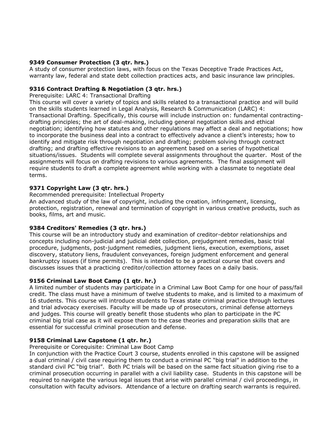## **9349 Consumer Protection (3 qtr. hrs.)**

A study of consumer protection laws, with focus on the Texas Deceptive Trade Practices Act, warranty law, federal and state debt collection practices acts, and basic insurance law principles.

## **9316 Contract Drafting & Negotiation (3 qtr. hrs.)**

Prerequisite: LARC 4: Transactional Drafting

This course will cover a variety of topics and skills related to a transactional practice and will build on the skills students learned in Legal Analysis, Research & Communication (LARC) 4: Transactional Drafting. Specifically, this course will include instruction on: fundamental contractingdrafting principles; the art of deal-making, including general negotiation skills and ethical negotiation; identifying how statutes and other regulations may affect a deal and negotiations; how to incorporate the business deal into a contract to effectively advance a client's interests; how to identify and mitigate risk through negotiation and drafting; problem solving through contract drafting; and drafting effective revisions to an agreement based on a series of hypothetical situations/issues. Students will complete several assignments throughout the quarter. Most of the assignments will focus on drafting revisions to various agreements. The final assignment will require students to draft a complete agreement while working with a classmate to negotiate deal terms.

## **9371 Copyright Law (3 qtr. hrs.)**

Recommended prerequisite: Intellectual Property An advanced study of the law of copyright, including the creation, infringement, licensing, protection, registration, renewal and termination of copyright in various creative products, such as books, films, art and music.

### **9384 Creditors' Remedies (3 qtr. hrs.)**

This course will be an introductory study and examination of creditor-debtor relationships and concepts including non-judicial and judicial debt collection, prejudgment remedies, basic trial procedure, judgments, post-judgment remedies, judgment liens, execution, exemptions, asset discovery, statutory liens, fraudulent conveyances, foreign judgment enforcement and general bankruptcy issues (if time permits). This is intended to be a practical course that covers and discusses issues that a practicing creditor/collection attorney faces on a daily basis.

### **9156 Criminal Law Boot Camp (1 qtr. hr.)**

A limited number of students may participate in a Criminal Law Boot Camp for one hour of pass/fail credit. The class must have a minimum of twelve students to make, and is limited to a maximum of 16 students. This course will introduce students to Texas state criminal practice through lectures and trial advocacy exercises. Faculty will be made up of prosecutors, criminal defense attorneys and judges. This course will greatly benefit those students who plan to participate in the PC criminal big trial case as it will expose them to the case theories and preparation skills that are essential for successful criminal prosecution and defense.

### **9158 Criminal Law Capstone (1 qtr. hr.)**

Prerequisite or Corequisite: Criminal Law Boot Camp

In conjunction with the Practice Court 3 course, students enrolled in this capstone will be assigned a dual criminal / civil case requiring them to conduct a criminal PC "big trial" in addition to the standard civil PC "big trial". Both PC trials will be based on the same fact situation giving rise to a criminal prosecution occurring in parallel with a civil liability case. Students in this capstone will be required to navigate the various legal issues that arise with parallel criminal / civil proceedings, in consultation with faculty advisors. Attendance of a lecture on drafting search warrants is required.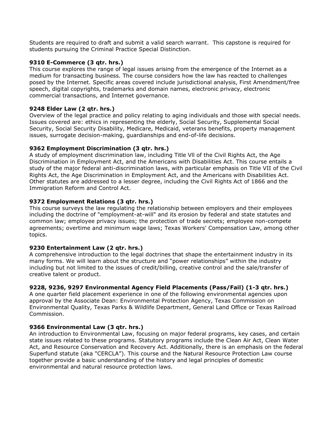Students are required to draft and submit a valid search warrant. This capstone is required for students pursuing the Criminal Practice Special Distinction.

## **9310 E-Commerce (3 qtr. hrs.)**

This course explores the range of legal issues arising from the emergence of the Internet as a medium for transacting business. The course considers how the law has reacted to challenges posed by the Internet. Specific areas covered include jurisdictional analysis, First Amendment/free speech, digital copyrights, trademarks and domain names, electronic privacy, electronic commercial transactions, and Internet governance.

## **9248 Elder Law (2 qtr. hrs.)**

Overview of the legal practice and policy relating to aging individuals and those with special needs. Issues covered are: ethics in representing the elderly, Social Security, Supplemental Social Security, Social Security Disability, Medicare, Medicaid, veterans benefits, property management issues, surrogate decision-making, guardianships and end-of-life decisions.

## **9362 Employment Discrimination (3 qtr. hrs.)**

A study of employment discrimination law, including Title Vll of the Civil Rights Act, the Age Discrimination in Employment Act, and the Americans with Disabilities Act. This course entails a study of the major federal anti-discrimination laws, with particular emphasis on Title VII of the Civil Rights Act, the Age Discrimination in Employment Act, and the Americans with Disabilities Act. Other statutes are addressed to a lesser degree, including the Civil Rights Act of 1866 and the Immigration Reform and Control Act.

## **9372 Employment Relations (3 qtr. hrs.)**

This course surveys the law regulating the relationship between employers and their employees including the doctrine of "employment-at-will" and its erosion by federal and state statutes and common law; employee privacy issues; the protection of trade secrets; employee non-compete agreements; overtime and minimum wage laws; Texas Workers' Compensation Law, among other topics.

### **9230 Entertainment Law (2 qtr. hrs.)**

A comprehensive introduction to the legal doctrines that shape the entertainment industry in its many forms. We will learn about the structure and "power relationships" within the industry including but not limited to the issues of credit/billing, creative control and the sale/transfer of creative talent or product.

### **9228, 9236, 9297 Environmental Agency Field Placements (Pass/Fail) (1-3 qtr. hrs.)**

A one quarter field placement experience in one of the following environmental agencies upon approval by the Associate Dean: Environmental Protection Agency, Texas Commission on Environmental Quality, Texas Parks & Wildlife Department, General Land Office or Texas Railroad Commission.

### **9366 Environmental Law (3 qtr. hrs.)**

An introduction to Environmental Law, focusing on major federal programs, key cases, and certain state issues related to these programs. Statutory programs include the Clean Air Act, Clean Water Act, and Resource Conservation and Recovery Act. Additionally, there is an emphasis on the federal Superfund statute (aka "CERCLA"). This course and the Natural Resource Protection Law course together provide a basic understanding of the history and legal principles of domestic environmental and natural resource protection laws.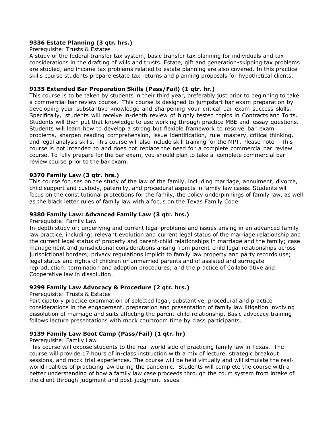## **9336 Estate Planning (3 qtr. hrs.)**

#### Prerequisite: Trusts & Estates

A study of the federal transfer tax system, basic transfer tax planning for individuals and tax considerations in the drafting of wills and trusts. Estate, gift and generation-skipping tax problems are studied, and income tax problems related to estate planning are also covered. In this practice skills course students prepare estate tax returns and planning proposals for hypothetical clients.

### **9135 Extended Bar Preparation Skills (Pass/Fail) (1 qtr. hr.)**

This course is to be taken by students in their third year, preferably just prior to beginning to take a commercial bar review course. This course is designed to jumpstart bar exam preparation by developing your substantive knowledge and sharpening your critical bar exam success skills. Specifically, students will receive in-depth review of highly tested topics in Contracts and Torts. Students will then put that knowledge to use working through practice MBE and essay questions. Students will learn how to develop a strong but flexible framework to resolve bar exam problems, sharpen reading comprehension, issue identification, rule mastery, critical thinking, and legal analysis skills. This course will also include skill training for the MPT. Please note— This course is not intended to and does not replace the need for a complete commercial bar review course. To fully prepare for the bar exam, you should plan to take a complete commercial bar review course prior to the bar exam.

### **9370 Family Law (3 qtr. hrs.)**

This course focuses on the study of the law of the family, including marriage, annulment, divorce, child support and custody, paternity, and procedural aspects in family law cases. Students will focus on the constitutional protections for the family, the policy underpinnings of family law, as well as the black letter rules of family law with a focus on the Texas Family Code.

### **9380 Family Law: Advanced Family Law (3 qtr. hrs.)**

#### Prerequisite: Family Law

In-depth study of: underlying and current legal problems and issues arising in an advanced family law practice, including: relevant evolution and current legal status of the marriage relationship and the current legal status of property and parent-child relationships in marriage and the family; case management and jurisdictional considerations arising from parent-child legal relationships across jurisdictional borders; privacy regulations implicit to family law property and party records use; legal status and rights of children or unmarried parents and of assisted and surrogate reproduction; termination and adoption procedures; and the practice of Collaborative and Cooperative law in dissolution.

# **9299 Family Law Advocacy & Procedure (2 qtr. hrs.)**

### Prerequisite: Trusts & Estates

Participatory practice examination of selected legal, substantive, procedural and practice considerations in the engagement, preparation and presentation of family law litigation involving dissolution of marriage and suits affecting the parent-child relationship. Basic advocacy training follows lecture presentations with mock courtroom time by class participants.

# **9139 Family Law Boot Camp (Pass/Fail) (1 qtr. hr)**

### Prerequisite: Family Law

This course will expose students to the real-world side of practicing family law in Texas. The course will provide 17 hours of in-class instruction with a mix of lecture, strategic breakout sessions, and mock trial experiences. The course will be held virtually and will simulate the realworld realities of practicing law during the pandemic. Students will complete the course with a better understanding of how a family law case proceeds through the court system from intake of the client through judgment and post-judgment issues.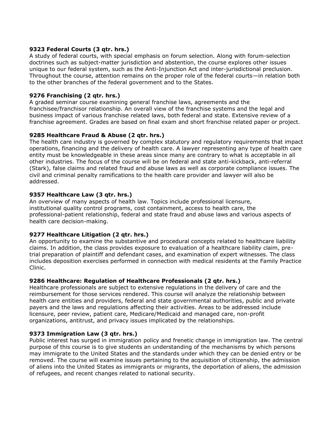## **9323 Federal Courts (3 qtr. hrs.)**

A study of federal courts, with special emphasis on forum selection. Along with forum-selection doctrines such as subject-matter jurisdiction and abstention, the course explores other issues unique to our federal system, such as the Anti-Injunction Act and inter-jurisdictional preclusion. Throughout the course, attention remains on the proper role of the federal courts—in relation both to the other branches of the federal government and to the States.

## **9276 Franchising (2 qtr. hrs.)**

A graded seminar course examining general franchise laws, agreements and the franchisee/franchisor relationship. An overall view of the franchise systems and the legal and business impact of various franchise related laws, both federal and state. Extensive review of a franchise agreement. Grades are based on final exam and short franchise related paper or project.

## **9285 Healthcare Fraud & Abuse (2 qtr. hrs.)**

The health care industry is governed by complex statutory and regulatory requirements that impact operations, financing and the delivery of health care. A lawyer representing any type of health care entity must be knowledgeable in these areas since many are contrary to what is acceptable in all other industries. The focus of the course will be on federal and state anti-kickback, anti-referral (Stark), false claims and related fraud and abuse laws as well as corporate compliance issues. The civil and criminal penalty ramifications to the health care provider and lawyer will also be addressed.

## **9357 Healthcare Law (3 qtr. hrs.)**

An overview of many aspects of health law. Topics include professional licensure, institutional quality control programs, cost containment, access to health care, the professional-patient relationship, federal and state fraud and abuse laws and various aspects of health care decision-making.

### **9277 Healthcare Litigation (2 qtr. hrs.)**

An opportunity to examine the substantive and procedural concepts related to healthcare liability claims. In addition, the class provides exposure to evaluation of a healthcare liability claim, pretrial preparation of plaintiff and defendant cases, and examination of expert witnesses. The class includes deposition exercises performed in connection with medical residents at the Family Practice Clinic.

### **9286 Healthcare: Regulation of Healthcare Professionals (2 qtr. hrs.)**

Healthcare professionals are subject to extensive regulations in the delivery of care and the reimbursement for those services rendered. This course will analyze the relationship between health care entities and providers, federal and state governmental authorities, public and private payers and the laws and regulations affecting their activities. Areas to be addressed include licensure, peer review, patient care, Medicare/Medicaid and managed care, non-profit organizations, antitrust, and privacy issues implicated by the relationships.

### **9373 Immigration Law (3 qtr. hrs.)**

Public interest has surged in immigration policy and frenetic change in immigration law. The central purpose of this course is to give students an understanding of the mechanisms by which persons may immigrate to the United States and the standards under which they can be denied entry or be removed. The course will examine issues pertaining to the acquisition of citizenship, the admission of aliens into the United States as immigrants or migrants, the deportation of aliens, the admission of refugees, and recent changes related to national security.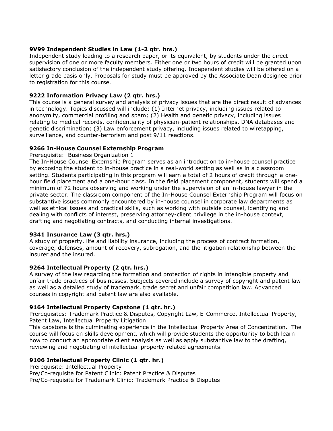## **9V99 Independent Studies in Law (1-2 qtr. hrs.)**

Independent study leading to a research paper, or its equivalent, by students under the direct supervision of one or more faculty members. Either one or two hours of credit will be granted upon satisfactory conclusion of the independent study offering. Independent studies will be offered on a letter grade basis only. Proposals for study must be approved by the Associate Dean designee prior to registration for this course.

# **9222 Information Privacy Law (2 qtr. hrs.)**

This course is a general survey and analysis of privacy issues that are the direct result of advances in technology. Topics discussed will include: (1) Internet privacy, including issues related to anonymity, commercial profiling and spam; (2) Health and genetic privacy, including issues relating to medical records, confidentiality of physician-patient relationships, DNA databases and genetic discrimination; (3) Law enforcement privacy, including issues related to wiretapping, surveillance, and counter-terrorism and post 9/11 reactions.

# **9266 In-House Counsel Externship Program**

## Prerequisite: Business Organization 1

The In-House Counsel Externship Program serves as an introduction to in-house counsel practice by exposing the student to in-house practice in a real-world setting as well as in a classroom setting. Students participating in this program will earn a total of 2 hours of credit through a onehour field placement and a one-hour class. In the field placement component, students will spend a minimum of 72 hours observing and working under the supervision of an in-house lawyer in the private sector. The classroom component of the In-House Counsel Externship Program will focus on substantive issues commonly encountered by in-house counsel in corporate law departments as well as ethical issues and practical skills, such as working with outside counsel, identifying and dealing with conflicts of interest, preserving attorney-client privilege in the in-house context, drafting and negotiating contracts, and conducting internal investigations.

# **9341 Insurance Law (3 qtr. hrs.)**

A study of property, life and liability insurance, including the process of contract formation, coverage, defenses, amount of recovery, subrogation, and the litigation relationship between the insurer and the insured.

# **9264 Intellectual Property (2 qtr. hrs.)**

A survey of the law regarding the formation and protection of rights in intangible property and unfair trade practices of businesses. Subjects covered include a survey of copyright and patent law as well as a detailed study of trademark, trade secret and unfair competition law. Advanced courses in copyright and patent law are also available.

# **9164 Intellectual Property Capstone (1 qtr. hr.)**

Prerequisites: Trademark Practice & Disputes, Copyright Law, E-Commerce, Intellectual Property, Patent Law, Intellectual Property Litigation

This capstone is the culminating experience in the Intellectual Property Area of Concentration. The course will focus on skills development, which will provide students the opportunity to both learn how to conduct an appropriate client analysis as well as apply substantive law to the drafting, reviewing and negotiating of intellectual property-related agreements.

# **9106 Intellectual Property Clinic (1 qtr. hr.)**

Prerequisite: Intellectual Property Pre/Co-requisite for Patent Clinic: Patent Practice & Disputes

Pre/Co-requisite for Trademark Clinic: Trademark Practice & Disputes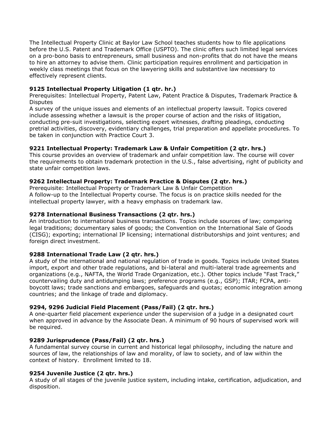The Intellectual Property Clinic at Baylor Law School teaches students how to file applications before the U.S. Patent and Trademark Office (USPTO). The clinic offers such limited legal services on a pro-bono basis to entrepreneurs, small business and non-profits that do not have the means to hire an attorney to advise them. Clinic participation requires enrollment and participation in weekly class meetings that focus on the lawyering skills and substantive law necessary to effectively represent clients.

## **9125 Intellectual Property Litigation (1 qtr. hr.)**

Prerequisites: Intellectual Property, Patent Law, Patent Practice & Disputes, Trademark Practice & **Disputes** 

A survey of the unique issues and elements of an intellectual property lawsuit. Topics covered include assessing whether a lawsuit is the proper course of action and the risks of litigation, conducting pre-suit investigations, selecting expert witnesses, drafting pleadings, conducting pretrial activities, discovery, evidentiary challenges, trial preparation and appellate procedures. To be taken in conjunction with Practice Court 3.

## **9221 Intellectual Property: Trademark Law & Unfair Competition (2 qtr. hrs.)**

This course provides an overview of trademark and unfair competition law. The course will cover the requirements to obtain trademark protection in the U.S., false advertising, right of publicity and state unfair competition laws.

## **9262 Intellectual Property: Trademark Practice & Disputes (2 qtr. hrs.)**

Prerequisite: Intellectual Property or Trademark Law & Unfair Competition A follow-up to the Intellectual Property course. The focus is on practice skills needed for the intellectual property lawyer, with a heavy emphasis on trademark law.

### **9278 International Business Transactions (2 qtr. hrs.)**

An introduction to international business transactions. Topics include sources of law; comparing legal traditions; documentary sales of goods; the Convention on the International Sale of Goods (CISG); exporting; international IP licensing; international distributorships and joint ventures; and foreign direct investment.

### **9288 International Trade Law (2 qtr. hrs.)**

A study of the international and national regulation of trade in goods. Topics include United States import, export and other trade regulations, and bi-lateral and multi-lateral trade agreements and organizations (e.g., NAFTA, the World Trade Organization, etc.). Other topics include "Fast Track," countervailing duty and antidumping laws; preference programs (e.g., GSP); ITAR; FCPA, antiboycott laws; trade sanctions and embargoes, safeguards and quotas; economic integration among countries; and the linkage of trade and diplomacy.

### **9294, 9296 Judicial Field Placement (Pass/Fail) (2 qtr. hrs.)**

A one-quarter field placement experience under the supervision of a judge in a designated court when approved in advance by the Associate Dean. A minimum of 90 hours of supervised work will be required.

### **9289 Jurisprudence (Pass/Fail) (2 qtr. hrs.)**

A fundamental survey course in current and historical legal philosophy, including the nature and sources of law, the relationships of law and morality, of law to society, and of law within the context of history. Enrollment limited to 18.

### **9254 Juvenile Justice (2 qtr. hrs.)**

A study of all stages of the juvenile justice system, including intake, certification, adjudication, and disposition.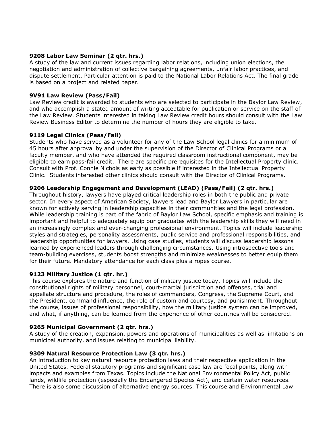### **9208 Labor Law Seminar (2 qtr. hrs.)**

A study of the law and current issues regarding labor relations, including union elections, the negotiation and administration of collective bargaining agreements, unfair labor practices, and dispute settlement. Particular attention is paid to the National Labor Relations Act. The final grade is based on a project and related paper.

## **9V91 Law Review (Pass/Fail)**

Law Review credit is awarded to students who are selected to participate in the Baylor Law Review, and who accomplish a stated amount of writing acceptable for publication or service on the staff of the Law Review. Students interested in taking Law Review credit hours should consult with the Law Review Business Editor to determine the number of hours they are eligible to take.

## **9119 Legal Clinics (Pass/Fail)**

Students who have served as a volunteer for any of the Law School legal clinics for a minimum of 45 hours after approval by and under the supervision of the Director of Clinical Programs or a faculty member, and who have attended the required classroom instructional component, may be eligible to earn pass-fail credit. There are specific prerequisites for the Intellectual Property clinic. Consult with Prof. Connie Nichols as early as possible if interested in the Intellectual Property Clinic. Students interested other clinics should consult with the Director of Clinical Programs.

## **9206 Leadership Engagement and Development (LEAD) (Pass/Fail) (2 qtr. hrs.)**

Throughout history, lawyers have played critical leadership roles in both the public and private sector. In every aspect of American Society, lawyers lead and Baylor Lawyers in particular are known for actively serving in leadership capacities in their communities and the legal profession. While leadership training is part of the fabric of Baylor Law School, specific emphasis and training is important and helpful to adequately equip our graduates with the leadership skills they will need in an increasingly complex and ever-changing professional environment. Topics will include leadership styles and strategies, personality assessments, public service and professional responsibilities, and leadership opportunities for lawyers. Using case studies, students will discuss leadership lessons learned by experienced leaders through challenging circumstances. Using introspective tools and team-building exercises, students boost strengths and minimize weaknesses to better equip them for their future. Mandatory attendance for each class plus a ropes course.

### **9123 Military Justice (1 qtr. hr.)**

This course explores the nature and function of military justice today. Topics will include the constitutional rights of military personnel, court-martial jurisdiction and offenses, trial and appellate structure and procedure, the roles of commanders, Congress, the Supreme Court, and the President, command influence, the role of custom and courtesy, and punishment. Throughout the course, issues of professional responsibility, how the military justice system can be improved, and what, if anything, can be learned from the experience of other countries will be considered.

### **9265 Municipal Government (2 qtr. hrs.)**

A study of the creation, expansion, powers and operations of municipalities as well as limitations on municipal authority, and issues relating to municipal liability.

### **9309 Natural Resource Protection Law (3 qtr. hrs.)**

An introduction to key natural resource protection laws and their respective application in the United States. Federal statutory programs and significant case law are focal points, along with impacts and examples from Texas. Topics include the National Environmental Policy Act, public lands, wildlife protection (especially the Endangered Species Act), and certain water resources. There is also some discussion of alternative energy sources. This course and Environmental Law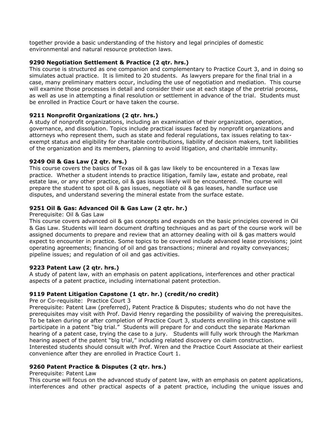together provide a basic understanding of the history and legal principles of domestic environmental and natural resource protection laws.

## **9290 Negotiation Settlement & Practice (2 qtr. hrs.)**

This course is structured as one companion and complementary to Practice Court 3, and in doing so simulates actual practice. It is limited to 20 students. As lawyers prepare for the final trial in a case, many preliminary matters occur, including the use of negotiation and mediation. This course will examine those processes in detail and consider their use at each stage of the pretrial process, as well as use in attempting a final resolution or settlement in advance of the trial. Students must be enrolled in Practice Court or have taken the course.

# **9211 Nonprofit Organizations (2 qtr. hrs.)**

A study of nonprofit organizations, including an examination of their organization, operation, governance, and dissolution. Topics include practical issues faced by nonprofit organizations and attorneys who represent them, such as state and federal regulations, tax issues relating to taxexempt status and eligibility for charitable contributions, liability of decision makers, tort liabilities of the organization and its members, planning to avoid litigation, and charitable immunity.

## **9249 Oil & Gas Law (2 qtr. hrs.)**

This course covers the basics of Texas oil & gas law likely to be encountered in a Texas law practice. Whether a student intends to practice litigation, family law, estate and probate, real estate law, or any other practice, oil & gas issues likely will be encountered. The course will prepare the student to spot oil & gas issues, negotiate oil & gas leases, handle surface use disputes, and understand severing the mineral estate from the surface estate.

# **9251 Oil & Gas: Advanced Oil & Gas Law (2 qtr. hr.)**

#### Prerequisite: Oil & Gas Law

This course covers advanced oil & gas concepts and expands on the basic principles covered in Oil & Gas Law. Students will learn document drafting techniques and as part of the course work will be assigned documents to prepare and review that an attorney dealing with oil & gas matters would expect to encounter in practice. Some topics to be covered include advanced lease provisions; joint operating agreements; financing of oil and gas transactions; mineral and royalty conveyances; pipeline issues; and regulation of oil and gas activities.

### **9223 Patent Law (2 qtr. hrs.)**

A study of patent law, with an emphasis on patent applications, interferences and other practical aspects of a patent practice, including international patent protection.

### **9119 Patent Litigation Capstone (1 qtr. hr.) (credit/no credit)**

Pre or Co-requisite: Practice Court 3

Prerequisite: Patent Law (preferred), Patent Practice & Disputes; students who do not have the prerequisites may visit with Prof. David Henry regarding the possibility of waiving the prerequisites. To be taken during or after completion of Practice Court 3, students enrolling in this capstone will participate in a patent "big trial." Students will prepare for and conduct the separate Markman hearing of a patent case, trying the case to a jury. Students will fully work through the Markman hearing aspect of the patent "big trial," including related discovery on claim construction. Interested students should consult with Prof. Wren and the Practice Court Associate at their earliest convenience after they are enrolled in Practice Court 1.

### **9260 Patent Practice & Disputes (2 qtr. hrs.)**

#### Prerequisite: Patent Law

This course will focus on the advanced study of patent law, with an emphasis on patent applications, interferences and other practical aspects of a patent practice, including the unique issues and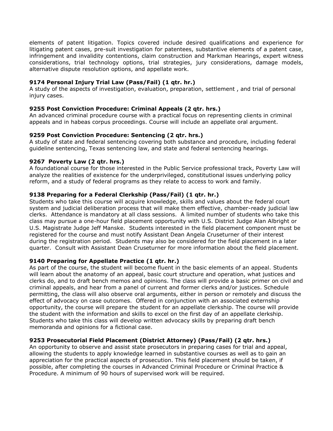elements of patent litigation. Topics covered include desired qualifications and experience for litigating patent cases, pre-suit investigation for patentees, substantive elements of a patent case, infringement and invalidity contentions, claim construction and Markman Hearings, expert witness considerations, trial technology options, trial strategies, jury considerations, damage models, alternative dispute resolution options, and appellate work.

## **9174 Personal Injury Trial Law (Pass/Fail) (1 qtr. hr.)**

A study of the aspects of investigation, evaluation, preparation, settlement , and trial of personal injury cases.

## **9255 Post Conviction Procedure: Criminal Appeals (2 qtr. hrs.)**

An advanced criminal procedure course with a practical focus on representing clients in criminal appeals and in habeas corpus proceedings. Course will include an appellate oral argument.

### **9259 Post Conviction Procedure: Sentencing (2 qtr. hrs.)**

A study of state and federal sentencing covering both substance and procedure, including federal guideline sentencing, Texas sentencing law, and state and federal sentencing hearings.

### **9267 Poverty Law (2 qtr. hrs.)**

A foundational course for those interested in the Public Service professional track, Poverty Law will analyze the realities of existence for the underprivileged, constitutional issues underlying policy reform, and a study of federal programs as they relate to access to work and family.

### **9138 Preparing for a Federal Clerkship (Pass/Fail) (1 qtr. hr.)**

Students who take this course will acquire knowledge, skills and values about the federal court system and judicial deliberation process that will make them effective, chamber-ready judicial law clerks. Attendance is mandatory at all class sessions. A limited number of students who take this class may pursue a one-hour field placement opportunity with U.S. District Judge Alan Albright or U.S. Magistrate Judge Jeff Manske. Students interested in the field placement component must be registered for the course and must notify Assistant Dean Angela Cruseturner of their interest during the registration period. Students may also be considered for the field placement in a later quarter. Consult with Assistant Dean Cruseturner for more information about the field placement.

### **9140 Preparing for Appellate Practice (1 qtr. hr.)**

As part of the course, the student will become fluent in the basic elements of an appeal. Students will learn about the anatomy of an appeal, basic court structure and operation, what justices and clerks do, and to draft bench memos and opinions. The class will provide a basic primer on civil and criminal appeals, and hear from a panel of current and former clerks and/or justices. Schedule permitting, the class will also observe oral arguments, either in person or remotely and discuss the effect of advocacy on case outcomes. Offered in conjunction with an associated externship opportunity, the course will prepare the student for an appellate clerkship. The course will provide the student with the information and skills to excel on the first day of an appellate clerkship. Students who take this class will develop written advocacy skills by preparing draft bench memoranda and opinions for a fictional case.

### **9253 Prosecutorial Field Placement (District Attorney) (Pass/Fail) (2 qtr. hrs.)**

An opportunity to observe and assist state prosecutors in preparing cases for trial and appeal, allowing the students to apply knowledge learned in substantive courses as well as to gain an appreciation for the practical aspects of prosecution. This field placement should be taken, if possible, after completing the courses in Advanced Criminal Procedure or Criminal Practice & Procedure. A minimum of 90 hours of supervised work will be required.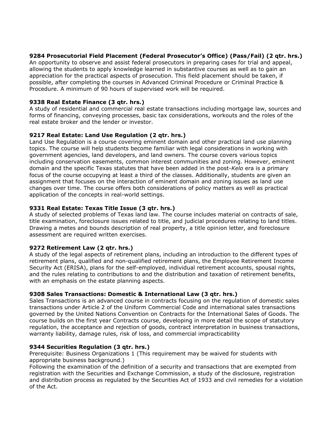## **9284 Prosecutorial Field Placement (Federal Prosecutor's Office) (Pass/Fail) (2 qtr. hrs.)**

An opportunity to observe and assist federal prosecutors in preparing cases for trial and appeal, allowing the students to apply knowledge learned in substantive courses as well as to gain an appreciation for the practical aspects of prosecution. This field placement should be taken, if possible, after completing the courses in Advanced Criminal Procedure or Criminal Practice & Procedure. A minimum of 90 hours of supervised work will be required.

## **9338 Real Estate Finance (3 qtr. hrs.)**

A study of residential and commercial real estate transactions including mortgage law, sources and forms of financing, conveying processes, basic tax considerations, workouts and the roles of the real estate broker and the lender or investor.

# **9217 Real Estate: Land Use Regulation (2 qtr. hrs.)**

Land Use Regulation is a course covering eminent domain and other practical land use planning topics. The course will help students become familiar with legal considerations in working with government agencies, land developers, and land owners. The course covers various topics including conservation easements, common interest communities and zoning. However, eminent domain and the specific Texas statutes that have been added in the post-*Kelo* era is a primary focus of the course occupying at least a third of the classes. Additionally, students are given an assignment that focuses on the interaction of eminent domain and zoning issues as land use changes over time. The course offers both considerations of policy matters as well as practical application of the concepts in real-world settings.

## **9331 Real Estate: Texas Title Issue (3 qtr. hrs.)**

A study of selected problems of Texas land law. The course includes material on contracts of sale, title examination, foreclosure issues related to title, and judicial procedures relating to land titles. Drawing a metes and bounds description of real property, a title opinion letter, and foreclosure assessment are required written exercises.

### **9272 Retirement Law (2 qtr. hrs.)**

A study of the legal aspects of retirement plans, including an introduction to the different types of retirement plans, qualified and non-qualified retirement plans, the Employee Retirement Income Security Act (ERISA), plans for the self-employed, individual retirement accounts, spousal rights, and the rules relating to contributions to and the distribution and taxation of retirement benefits, with an emphasis on the estate planning aspects.

### **9308 Sales Transactions: Domestic & International Law (3 qtr. hrs.)**

Sales Transactions is an advanced course in contracts focusing on the regulation of domestic sales transactions under Article 2 of the Uniform Commercial Code and international sales transactions governed by the United Nations Convention on Contracts for the International Sales of Goods. The course builds on the first year Contracts course, developing in more detail the scope of statutory regulation, the acceptance and rejection of goods, contract interpretation in business transactions, warranty liability, damage rules, risk of loss, and commercial impracticability

### **9344 Securities Regulation (3 qtr. hrs.)**

Prerequisite: Business Organizations 1 (This requirement may be waived for students with appropriate business background.)

Following the examination of the definition of a security and transactions that are exempted from registration with the Securities and Exchange Commission, a study of the disclosure, registration and distribution process as regulated by the Securities Act of 1933 and civil remedies for a violation of the Act.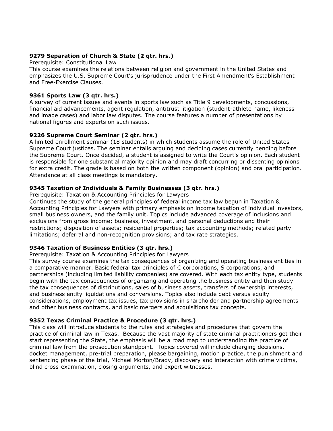### **9279 Separation of Church & State (2 qtr. hrs.)**

#### Prerequisite: Constitutional Law

This course examines the relations between religion and government in the United States and emphasizes the U.S. Supreme Court's jurisprudence under the First Amendment's Establishment and Free-Exercise Clauses.

### **9361 Sports Law (3 qtr. hrs.)**

A survey of current issues and events in sports law such as Title 9 developments, concussions, financial aid advancements, agent regulation, antitrust litigation (student-athlete name, likeness and image cases) and labor law disputes. The course features a number of presentations by national figures and experts on such issues.

### **9226 Supreme Court Seminar (2 qtr. hrs.)**

A limited enrollment seminar (18 students) in which students assume the role of United States Supreme Court justices. The seminar entails arguing and deciding cases currently pending before the Supreme Court. Once decided, a student is assigned to write the Court's opinion. Each student is responsible for one substantial majority opinion and may draft concurring or dissenting opinions for extra credit. The grade is based on both the written component (opinion) and oral participation. Attendance at all class meetings is mandatory.

### **9345 Taxation of Individuals & Family Businesses (3 qtr. hrs.)**

Prerequisite: Taxation & Accounting Principles for Lawyers

Continues the study of the general principles of federal income tax law begun in Taxation & Accounting Principles for Lawyers with primary emphasis on income taxation of individual investors, small business owners, and the family unit. Topics include advanced coverage of inclusions and exclusions from gross income; business, investment, and personal deductions and their restrictions; disposition of assets; residential properties; tax accounting methods; related party limitations; deferral and non-recognition provisions; and tax rate strategies.

### **9346 Taxation of Business Entities (3 qtr. hrs.)**

#### Prerequisite: Taxation & Accounting Principles for Lawyers

This survey course examines the tax consequences of organizing and operating business entities in a comparative manner. Basic federal tax principles of C corporations, S corporations, and partnerships (including limited liability companies) are covered. With each tax entity type, students begin with the tax consequences of organizing and operating the business entity and then study the tax consequences of distributions, sales of business assets, transfers of ownership interests, and business entity liquidations and conversions. Topics also include debt versus equity considerations, employment tax issues, tax provisions in shareholder and partnership agreements and other business contracts, and basic mergers and acquisitions tax concepts.

### **9352 Texas Criminal Practice & Procedure (3 qtr. hrs.)**

This class will introduce students to the rules and strategies and procedures that govern the practice of criminal law in Texas. Because the vast majority of state criminal practitioners get their start representing the State, the emphasis will be a road map to understanding the practice of criminal law from the prosecution standpoint. Topics covered will include charging decisions, docket management, pre-trial preparation, please bargaining, motion practice, the punishment and sentencing phase of the trial, Michael Morton/Brady, discovery and interaction with crime victims, blind cross-examination, closing arguments, and expert witnesses.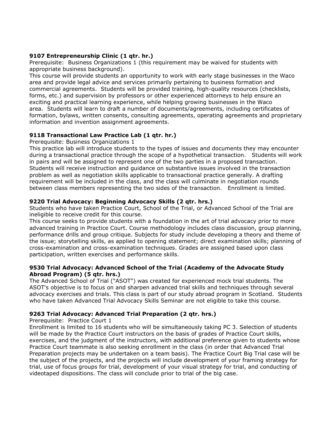## **9107 Entrepreneurship Clinic (1 qtr. hr.)**

Prerequisite: Business Organizations 1 (this requirement may be waived for students with appropriate business background).

This course will provide students an opportunity to work with early stage businesses in the Waco area and provide legal advice and services primarily pertaining to business formation and commercial agreements. Students will be provided training, high-quality resources (checklists, forms, etc.) and supervision by professors or other experienced attorneys to help ensure an exciting and practical learning experience, while helping growing businesses in the Waco area. Students will learn to draft a number of documents/agreements, including certificates of formation, bylaws, written consents, consulting agreements, operating agreements and proprietary information and invention assignment agreements.

## **9118 Transactional Law Practice Lab (1 qtr. hr.)**

Prerequisite: Business Organizations 1

This practice lab will introduce students to the types of issues and documents they may encounter during a transactional practice through the scope of a hypothetical transaction. Students will work in pairs and will be assigned to represent one of the two parties in a proposed transaction. Students will receive instruction and guidance on substantive issues involved in the transaction problem as well as negotiation skills applicable to transactional practice generally. A drafting requirement will be included in the class, and the class will culminate in negotiation rounds between class members representing the two sides of the transaction. Enrollment is limited.

## **9220 Trial Advocacy: Beginning Advocacy Skills (2 qtr. hrs.)**

Students who have taken Practice Court, School of the Trial, or Advanced School of the Trial are ineligible to receive credit for this course.

This course seeks to provide students with a foundation in the art of trial advocacy prior to more advanced training in Practice Court. Course methodology includes class discussion, group planning, performance drills and group critique. Subjects for study include developing a theory and theme of the issue; storytelling skills, as applied to opening statement; direct examination skills; planning of cross-examination and cross-examination techniques. Grades are assigned based upon class participation, written exercises and performance skills.

## **9530 Trial Advocacy: Advanced School of the Trial (Academy of the Advocate Study Abroad Program) (5 qtr. hrs.)**

The Advanced School of Trial ("ASOT") was created for experienced mock trial students. The ASOT's objective is to focus on and sharpen advanced trial skills and techniques through several advocacy exercises and trials. This class is part of our study abroad program in Scotland. Students who have taken Advanced Trial Advocacy Skills Seminar are not eligible to take this course.

## **9263 Trial Advocacy: Advanced Trial Preparation (2 qtr. hrs.)**

Prerequisite: Practice Court 1

Enrollment is limited to 16 students who will be simultaneously taking PC 3. Selection of students will be made by the Practice Court instructors on the basis of grades of Practice Court skills, exercises, and the judgment of the instructors, with additional preference given to students whose Practice Court teammate is also seeking enrollment in the class (in order that Advanced Trial Preparation projects may be undertaken on a team basis). The Practice Court Big Trial case will be the subject of the projects, and the projects will include development of your framing strategy for trial, use of focus groups for trial, development of your visual strategy for trial, and conducting of videotaped dispositions. The class will conclude prior to trial of the big case.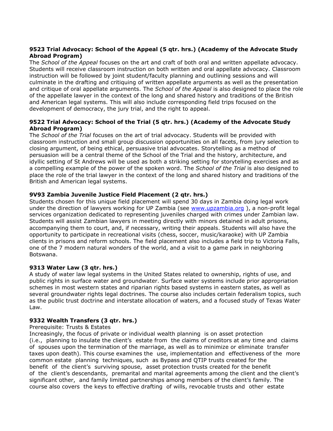# **9523 Trial Advocacy: School of the Appeal (5 qtr. hrs.) (Academy of the Advocate Study Abroad Program)**

The *School of the Appeal* focuses on the art and craft of both oral and written appellate advocacy. Students will receive classroom instruction on both written and oral appellate advocacy. Classroom instruction will be followed by joint student/faculty planning and outlining sessions and will culminate in the drafting and critiquing of written appellate arguments as well as the presentation and critique of oral appellate arguments. The *School of the Appeal* is also designed to place the role of the appellate lawyer in the context of the long and shared history and traditions of the British and American legal systems. This will also include corresponding field trips focused on the development of democracy, the jury trial, and the right to appeal.

## **9522 Trial Advocacy: School of the Trial (5 qtr. hrs.) (Academy of the Advocate Study Abroad Program)**

The *School of the Trial* focuses on the art of trial advocacy. Students will be provided with classroom instruction and small group discussion opportunities on all facets, from jury selection to closing argument, of being ethical, persuasive trial advocates. Storytelling as a method of persuasion will be a central theme of the School of the Trial and the history, architecture, and idyllic setting of St Andrews will be used as both a striking setting for storytelling exercises and as a compelling example of the power of the spoken word. The *School of the Trial* is also designed to place the role of the trial lawyer in the context of the long and shared history and traditions of the British and American legal systems.

## **9V93 Zambia Juvenile Justice Field Placement (2 qtr. hrs.)**

Students chosen for this unique field placement will spend 30 days in Zambia doing legal work under the direction of lawyers working for UP Zambia (see [www.upzambia.org](http://www.upzambia.org/) ), a non-profit legal services organization dedicated to representing juveniles charged with crimes under Zambian law. Students will assist Zambian lawyers in meeting directly with minors detained in adult prisons, accompanying them to court, and, if necessary, writing their appeals. Students will also have the opportunity to participate in recreational visits (chess, soccer, music/karaoke) with UP Zambia clients in prisons and reform schools. The field placement also includes a field trip to Victoria Falls, one of the 7 modern natural wonders of the world, and a visit to a game park in neighboring Botswana.

### **9313 Water Law (3 qtr. hrs.)**

A study of water law legal systems in the United States related to ownership, rights of use, and public rights in surface water and groundwater. Surface water systems include prior appropriation schemes in most western states and riparian rights based systems in eastern states, as well as several groundwater rights legal doctrines. The course also includes certain federalism topics, such as the public trust doctrine and interstate allocation of waters, and a focused study of Texas Water Law.

# **9332 Wealth Transfers (3 qtr. hrs.)**

### Prerequisite: Trusts & Estates

Increasingly, the focus of private or individual wealth planning is on asset protection (i.e., planning to insulate the client's estate from the claims of creditors at any time and claims of spouses upon the termination of the marriage, as well as to minimize or eliminate transfer taxes upon death). This course examines the use, implementation and effectiveness of the more common estate planning techniques, such as Bypass and QTIP trusts created for the benefit of the client's surviving spouse, asset protection trusts created for the benefit of the client's descendants, premarital and marital agreements among the client and the client's significant other, and family limited partnerships among members of the client's family. The course also covers the keys to effective drafting of wills, revocable trusts and other estate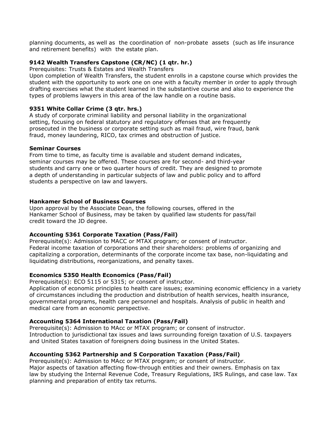planning documents, as well as the coordination of non-probate assets (such as life insurance and retirement benefits) with the estate plan.

# **9142 Wealth Transfers Capstone (CR/NC) (1 qtr. hr.)**

Prerequisites: Trusts & Estates and Wealth Transfers

Upon completion of Wealth Transfers, the student enrolls in a capstone course which provides the student with the opportunity to work one on one with a faculty member in order to apply through drafting exercises what the student learned in the substantive course and also to experience the types of problems lawyers in this area of the law handle on a routine basis.

## **9351 White Collar Crime (3 qtr. hrs.)**

A study of corporate criminal liability and personal liability in the organizational setting, focusing on federal statutory and regulatory offenses that are frequently prosecuted in the business or corporate setting such as mail fraud, wire fraud, bank fraud, money laundering, RICO, tax crimes and obstruction of justice.

### **Seminar Courses**

From time to time, as faculty time is available and student demand indicates, seminar courses may be offered. These courses are for second- and third-year students and carry one or two quarter hours of credit. They are designed to promote a depth of understanding in particular subjects of law and public policy and to afford students a perspective on law and lawyers.

### **Hankamer School of Business Courses**

Upon approval by the Associate Dean, the following courses, offered in the Hankamer School of Business, may be taken by qualified law students for pass/fail credit toward the JD degree.

### **Accounting 5361 Corporate Taxation (Pass/Fail)**

Prerequisite(s): Admission to MACC or MTAX program; or consent of instructor. Federal income taxation of corporations and their shareholders: problems of organizing and capitalizing a corporation, determinants of the corporate income tax base, non-liquidating and liquidating distributions, reorganizations, and penalty taxes.

# **Economics 5350 Health Economics (Pass/Fail)**

Prerequisite(s): ECO 5115 or 5315; or consent of instructor.

Application of economic principles to health care issues; examining economic efficiency in a variety of circumstances including the production and distribution of health services, health insurance, governmental programs, health care personnel and hospitals. Analysis of public in health and medical care from an economic perspective.

# **Accounting 5364 International Taxation (Pass/Fail)**

Prerequisite(s): Admission to MAcc or MTAX program; or consent of instructor. Introduction to jurisdictional tax issues and laws surrounding foreign taxation of U.S. taxpayers and United States taxation of foreigners doing business in the United States.

# **Accounting 5362 Partnership and S Corporation Taxation (Pass/Fail)**

Prerequisite(s): Admission to MAcc or MTAX program; or consent of instructor. Major aspects of taxation affecting flow-through entities and their owners. Emphasis on tax law by studying the Internal Revenue Code, Treasury Regulations, IRS Rulings, and case law. Tax planning and preparation of entity tax returns.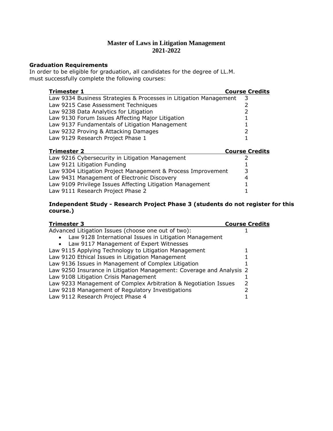# **Master of Laws in Litigation Management 2021-2022**

#### **Graduation Requirements**

In order to be eligible for graduation, all candidates for the degree of LL.M. must successfully complete the following courses:

| <b>Trimester 1</b>                                                | <b>Course Credits</b> |
|-------------------------------------------------------------------|-----------------------|
| Law 9334 Business Strategies & Processes in Litigation Management |                       |
| Law 9215 Case Assessment Techniques                               |                       |
| Law 9238 Data Analytics for Litigation                            |                       |
| Law 9130 Forum Issues Affecting Major Litigation                  |                       |
| Law 9137 Fundamentals of Litigation Management                    |                       |
| Law 9232 Proving & Attacking Damages                              |                       |
| Law 9129 Research Project Phase 1                                 |                       |

| <b>Trimester 2</b>                                           | <b>Course Credits</b> |
|--------------------------------------------------------------|-----------------------|
| Law 9216 Cybersecurity in Litigation Management              |                       |
| Law 9121 Litigation Funding                                  |                       |
| Law 9304 Litigation Project Management & Process Improvement | 3                     |
| Law 9431 Management of Electronic Discovery                  | 4                     |
| Law 9109 Privilege Issues Affecting Litigation Management    |                       |
| Law 9111 Research Project Phase 2                            |                       |

## **Independent Study - Research Project Phase 3 (students do not register for this course.)**

| <b>Trimester 3</b>                                                   | <b>Course Credits</b> |
|----------------------------------------------------------------------|-----------------------|
| Advanced Litigation Issues (choose one out of two):                  |                       |
| Law 9128 International Issues in Litigation Management<br>$\bullet$  |                       |
| • Law 9117 Management of Expert Witnesses                            |                       |
| Law 9115 Applying Technology to Litigation Management                |                       |
| Law 9120 Ethical Issues in Litigation Management                     |                       |
| Law 9136 Issues in Management of Complex Litigation                  |                       |
| Law 9250 Insurance in Litigation Management: Coverage and Analysis 2 |                       |
| Law 9108 Litigation Crisis Management                                |                       |
| Law 9233 Management of Complex Arbitration & Negotiation Issues      |                       |
| Law 9218 Management of Regulatory Investigations                     |                       |
| Law 9112 Research Project Phase 4                                    |                       |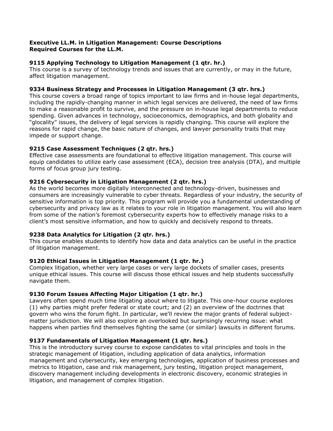### **Executive LL.M. in Litigation Management: Course Descriptions Required Courses for the LL.M.**

## **9115 Applying Technology to Litigation Management (1 qtr. hr.)**

This course is a survey of technology trends and issues that are currently, or may in the future, affect litigation management.

## **9334 Business Strategy and Processes in Litigation Management (3 qtr. hrs.)**

This course covers a broad range of topics important to law firms and in-house legal departments, including the rapidly-changing manner in which legal services are delivered, the need of law firms to make a reasonable profit to survive, and the pressure on in-house legal departments to reduce spending. Given advances in technology, socioeconomics, demographics, and both globality and "glocality" issues, the delivery of legal services is rapidly changing. This course will explore the reasons for rapid change, the basic nature of changes, and lawyer personality traits that may impede or support change.

## **9215 Case Assessment Techniques (2 qtr. hrs.)**

Effective case assessments are foundational to effective litigation management. This course will equip candidates to utilize early case assessment (ECA), decision tree analysis (DTA), and multiple forms of focus group jury testing.

## **9216 Cybersecurity in Litigation Management (2 qtr. hrs.)**

As the world becomes more digitally interconnected and technology-driven, businesses and consumers are increasingly vulnerable to cyber threats. Regardless of your industry, the security of sensitive information is top priority. This program will provide you a fundamental understanding of cybersecurity and privacy law as it relates to your role in litigation management. You will also learn from some of the nation's foremost cybersecurity experts how to effectively manage risks to a client's most sensitive information, and how to quickly and decisively respond to threats.

### **9238 Data Analytics for Litigation (2 qtr. hrs.)**

This course enables students to identify how data and data analytics can be useful in the practice of litigation management.

### **9120 Ethical Issues in Litigation Management (1 qtr. hr.)**

Complex litigation, whether very large cases or very large dockets of smaller cases, presents unique ethical issues. This course will discuss those ethical issues and help students successfully navigate them.

# **9130 Forum Issues Affecting Major Litigation (1 qtr. hr.)**

Lawyers often spend much time litigating about where to litigate. This one-hour course explores (1) why parties might prefer federal or state court; and (2) an overview of the doctrines that govern who wins the forum fight. In particular, we'll review the major grants of federal subjectmatter jurisdiction. We will also explore an overlooked but surprisingly recurring issue: what happens when parties find themselves fighting the same (or similar) lawsuits in different forums.

### **9137 Fundamentals of Litigation Management (1 qtr. hrs.)**

This is the introductory survey course to expose candidates to vital principles and tools in the strategic management of litigation, including application of data analytics, information management and cybersecurity, key emerging technologies, application of business processes and metrics to litigation, case and risk management, jury testing, litigation project management, discovery management including developments in electronic discovery, economic strategies in litigation, and management of complex litigation.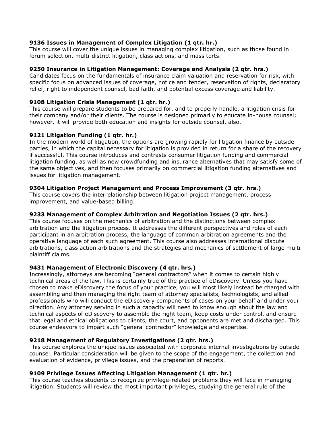## **9136 Issues in Management of Complex Litigation (1 qtr. hr.)**

This course will cover the unique issues in managing complex litigation, such as those found in forum selection, multi-district litigation, class actions, and mass torts.

## **9250 Insurance in Litigation Management: Coverage and Analysis (2 qtr. hrs.)**

Candidates focus on the fundamentals of insurance claim valuation and reservation for risk, with specific focus on advanced issues of coverage, notice and tender, reservation of rights, declaratory relief, right to independent counsel, bad faith, and potential excess coverage and liability.

## **9108 Litigation Crisis Management (1 qtr. hr.)**

This course will prepare students to be prepared for, and to properly handle, a litigation crisis for their company and/or their clients. The course is designed primarily to educate in-house counsel; however, it will provide both education and insights for outside counsel, also.

## **9121 Litigation Funding (1 qtr. hr.)**

In the modern world of litigation, the options are growing rapidly for litigation finance by outside parties, in which the capital necessary for litigation is provided in return for a share of the recovery if successful. This course introduces and contrasts consumer litigation funding and commercial litigation funding, as well as new crowdfunding and insurance alternatives that may satisfy some of the same objectives, and then focuses primarily on commercial litigation funding alternatives and issues for litigation management.

## **9304 Litigation Project Management and Process Improvement (3 qtr. hrs.)**

This course covers the interrelationship between litigation project management, process improvement, and value-based billing.

## **9233 Management of Complex Arbitration and Negotiation Issues (2 qtr. hrs.)**

This course focuses on the mechanics of arbitration and the distinctions between complex arbitration and the litigation process. It addresses the different perspectives and roles of each participant in an arbitration process, the language of common arbitration agreements and the operative language of each such agreement. This course also addresses international dispute arbitrations, class action arbitrations and the strategies and mechanics of settlement of large multiplaintiff claims.

### **9431 Management of Electronic Discovery (4 qtr. hrs.)**

Increasingly, attorneys are becoming "general contractors" when it comes to certain highly technical areas of the law. This is certainly true of the practice of eDiscovery. Unless you have chosen to make eDiscovery the focus of your practice, you will most likely instead be charged with assembling and then managing the right team of attorney specialists, technologists, and allied professionals who will conduct the eDiscovery components of cases on your behalf and under your direction. Any attorney serving in such a capacity will need to know enough about the law and technical aspects of eDiscovery to assemble the right team, keep costs under control, and ensure that legal and ethical obligations to clients, the court, and opponents are met and discharged. This course endeavors to impart such "general contractor" knowledge and expertise.

### **9218 Management of Regulatory Investigations (2 qtr. hrs.)**

This course explores the unique issues associated with corporate internal investigations by outside counsel. Particular consideration will be given to the scope of the engagement, the collection and evaluation of evidence, privilege issues, and the preparation of reports.

### **9109 Privilege Issues Affecting Litigation Management (1 qtr. hr.)**

This course teaches students to recognize privilege-related problems they will face in managing litigation. Students will review the most important privileges, studying the general rule of the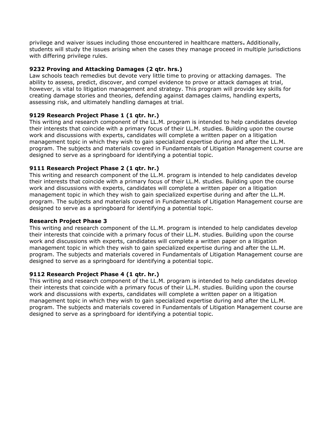privilege and waiver issues including those encountered in healthcare matters**.** Additionally, students will study the issues arising when the cases they manage proceed in multiple jurisdictions with differing privilege rules.

## **9232 Proving and Attacking Damages (2 qtr. hrs.)**

Law schools teach remedies but devote very little time to proving or attacking damages. The ability to assess, predict, discover, and compel evidence to prove or attack damages at trial, however, is vital to litigation management and strategy. This program will provide key skills for creating damage stories and theories, defending against damages claims, handling experts, assessing risk, and ultimately handling damages at trial.

# **9129 Research Project Phase 1 (1 qtr. hr.)**

This writing and research component of the LL.M. program is intended to help candidates develop their interests that coincide with a primary focus of their LL.M. studies. Building upon the course work and discussions with experts, candidates will complete a written paper on a litigation management topic in which they wish to gain specialized expertise during and after the LL.M. program. The subjects and materials covered in Fundamentals of Litigation Management course are designed to serve as a springboard for identifying a potential topic.

## **9111 Research Project Phase 2 (1 qtr. hr.)**

This writing and research component of the LL.M. program is intended to help candidates develop their interests that coincide with a primary focus of their LL.M. studies. Building upon the course work and discussions with experts, candidates will complete a written paper on a litigation management topic in which they wish to gain specialized expertise during and after the LL.M. program. The subjects and materials covered in Fundamentals of Litigation Management course are designed to serve as a springboard for identifying a potential topic.

### **Research Project Phase 3**

This writing and research component of the LL.M. program is intended to help candidates develop their interests that coincide with a primary focus of their LL.M. studies. Building upon the course work and discussions with experts, candidates will complete a written paper on a litigation management topic in which they wish to gain specialized expertise during and after the LL.M. program. The subjects and materials covered in Fundamentals of Litigation Management course are designed to serve as a springboard for identifying a potential topic.

### **9112 Research Project Phase 4 (1 qtr. hr.)**

This writing and research component of the LL.M. program is intended to help candidates develop their interests that coincide with a primary focus of their LL.M. studies. Building upon the course work and discussions with experts, candidates will complete a written paper on a litigation management topic in which they wish to gain specialized expertise during and after the LL.M. program. The subjects and materials covered in Fundamentals of Litigation Management course are designed to serve as a springboard for identifying a potential topic.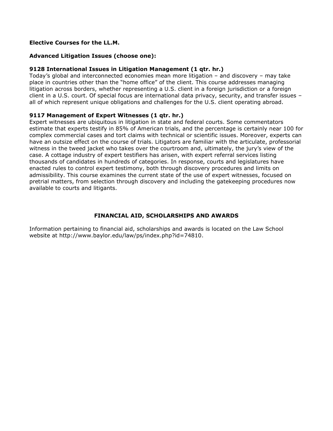### **Elective Courses for the LL.M.**

## **Advanced Litigation Issues (choose one):**

## **9128 International Issues in Litigation Management (1 qtr. hr.)**

Today's global and interconnected economies mean more litigation – and discovery – may take place in countries other than the "home office" of the client. This course addresses managing litigation across borders, whether representing a U.S. client in a foreign jurisdiction or a foreign client in a U.S. court. Of special focus are international data privacy, security, and transfer issues – all of which represent unique obligations and challenges for the U.S. client operating abroad.

### **9117 Management of Expert Witnesses (1 qtr. hr.)**

Expert witnesses are ubiquitous in litigation in state and federal courts. Some commentators estimate that experts testify in 85% of American trials, and the percentage is certainly near 100 for complex commercial cases and tort claims with technical or scientific issues. Moreover, experts can have an outsize effect on the course of trials. Litigators are familiar with the articulate, professorial witness in the tweed jacket who takes over the courtroom and, ultimately, the jury's view of the case. A cottage industry of expert testifiers has arisen, with expert referral services listing thousands of candidates in hundreds of categories. In response, courts and legislatures have enacted rules to control expert testimony, both through discovery procedures and limits on admissibility. This course examines the current state of the use of expert witnesses, focused on pretrial matters, from selection through discovery and including the gatekeeping procedures now available to courts and litigants.

# **FINANCIAL AID, SCHOLARSHIPS AND AWARDS**

Information pertaining to financial aid, scholarships and awards is located on the Law School website at http://www.baylor.edu/law/ps/index.php?id=74810.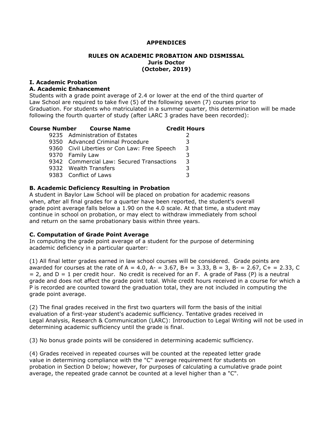#### **APPENDICES**

#### **RULES ON ACADEMIC PROBATION AND DISMISSAL Juris Doctor (October, 2019)**

#### **I. Academic Probation**

#### **A. Academic Enhancement**

Students with a grade point average of 2.4 or lower at the end of the third quarter of Law School are required to take five (5) of the following seven (7) courses prior to Graduation. For students who matriculated in a summer quarter, this determination will be made following the fourth quarter of study (after LARC 3 grades have been recorded):

| <b>Course Number Course Name</b>             | <b>Credit Hours</b> |
|----------------------------------------------|---------------------|
| 9235 Administration of Estates               |                     |
| 9350 Advanced Criminal Procedure             |                     |
| 9360 Civil Liberties or Con Law: Free Speech | 3                   |
| 9370 Family Law                              |                     |
| 9342 Commercial Law: Secured Transactions    | 3                   |
| 9332 Wealth Transfers                        |                     |
| 9383 Conflict of Laws                        |                     |
|                                              |                     |

### **B. Academic Deficiency Resulting in Probation**

A student in Baylor Law School will be placed on probation for academic reasons when, after all final grades for a quarter have been reported, the student's overall grade point average falls below a 1.90 on the 4.0 scale. At that time, a student may continue in school on probation, or may elect to withdraw immediately from school and return on the same probationary basis within three years.

#### **C. Computation of Grade Point Average**

In computing the grade point average of a student for the purpose of determining academic deficiency in a particular quarter:

(1) All final letter grades earned in law school courses will be considered. Grade points are awarded for courses at the rate of A = 4.0, A- = 3.67, B+ = 3.33, B = 3, B- = 2.67, C+ = 2.33, C  $= 2$ , and  $D = 1$  per credit hour. No credit is received for an F. A grade of Pass (P) is a neutral grade and does not affect the grade point total. While credit hours received in a course for which a P is recorded are counted toward the graduation total, they are not included in computing the grade point average.

(2) The final grades received in the first two quarters will form the basis of the initial evaluation of a first-year student's academic sufficiency. Tentative grades received in Legal Analysis, Research & Communication (LARC): Introduction to Legal Writing will not be used in determining academic sufficiency until the grade is final.

(3) No bonus grade points will be considered in determining academic sufficiency.

(4) Grades received in repeated courses will be counted at the repeated letter grade value in determining compliance with the "C" average requirement for students on probation in Section D below; however, for purposes of calculating a cumulative grade point average, the repeated grade cannot be counted at a level higher than a "C".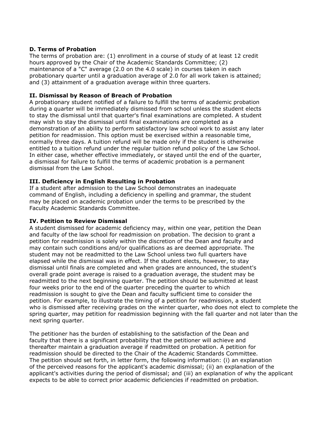## **D. Terms of Probation**

The terms of probation are: (1) enrollment in a course of study of at least 12 credit hours approved by the Chair of the Academic Standards Committee; (2) maintenance of a "C" average (2.0 on the 4.0 scale) in courses taken in each probationary quarter until a graduation average of 2.0 for all work taken is attained; and (3) attainment of a graduation average within three quarters.

# **II. Dismissal by Reason of Breach of Probation**

A probationary student notified of a failure to fulfill the terms of academic probation during a quarter will be immediately dismissed from school unless the student elects to stay the dismissal until that quarter's final examinations are completed. A student may wish to stay the dismissal until final examinations are completed as a demonstration of an ability to perform satisfactory law school work to assist any later petition for readmission. This option must be exercised within a reasonable time, normally three days. A tuition refund will be made only if the student is otherwise entitled to a tuition refund under the regular tuition refund policy of the Law School. In either case, whether effective immediately, or stayed until the end of the quarter, a dismissal for failure to fulfill the terms of academic probation is a permanent dismissal from the Law School.

## **III. Deficiency in English Resulting in Probation**

If a student after admission to the Law School demonstrates an inadequate command of English, including a deficiency in spelling and grammar, the student may be placed on academic probation under the terms to be prescribed by the Faculty Academic Standards Committee.

### **IV. Petition to Review Dismissal**

A student dismissed for academic deficiency may, within one year, petition the Dean and faculty of the law school for readmission on probation. The decision to grant a petition for readmission is solely within the discretion of the Dean and faculty and may contain such conditions and/or qualifications as are deemed appropriate. The student may not be readmitted to the Law School unless two full quarters have elapsed while the dismissal was in effect. If the student elects, however, to stay dismissal until finals are completed and when grades are announced, the student's overall grade point average is raised to a graduation average, the student may be readmitted to the next beginning quarter. The petition should be submitted at least four weeks prior to the end of the quarter preceding the quarter to which readmission is sought to give the Dean and faculty sufficient time to consider the petition. For example, to illustrate the timing of a petition for readmission, a student who is dismissed after receiving grades on the winter quarter, who does not elect to complete the spring quarter, may petition for readmission beginning with the fall quarter and not later than the next spring quarter.

The petitioner has the burden of establishing to the satisfaction of the Dean and faculty that there is a significant probability that the petitioner will achieve and thereafter maintain a graduation average if readmitted on probation. A petition for readmission should be directed to the Chair of the Academic Standards Committee. The petition should set forth, in letter form, the following information: (i) an explanation of the perceived reasons for the applicant's academic dismissal; (ii) an explanation of the applicant's activities during the period of dismissal; and (iii) an explanation of why the applicant expects to be able to correct prior academic deficiencies if readmitted on probation.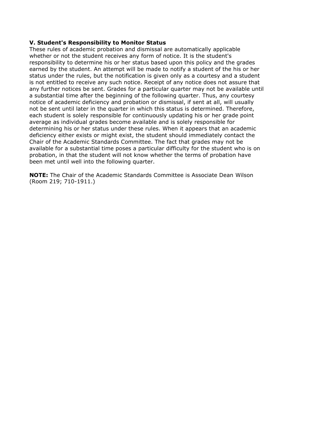#### **V. Student's Responsibility to Monitor Status**

These rules of academic probation and dismissal are automatically applicable whether or not the student receives any form of notice. It is the student's responsibility to determine his or her status based upon this policy and the grades earned by the student. An attempt will be made to notify a student of the his or her status under the rules, but the notification is given only as a courtesy and a student is not entitled to receive any such notice. Receipt of any notice does not assure that any further notices be sent. Grades for a particular quarter may not be available until a substantial time after the beginning of the following quarter. Thus, any courtesy notice of academic deficiency and probation or dismissal, if sent at all, will usually not be sent until later in the quarter in which this status is determined. Therefore, each student is solely responsible for continuously updating his or her grade point average as individual grades become available and is solely responsible for determining his or her status under these rules. When it appears that an academic deficiency either exists or might exist, the student should immediately contact the Chair of the Academic Standards Committee. The fact that grades may not be available for a substantial time poses a particular difficulty for the student who is on probation, in that the student will not know whether the terms of probation have been met until well into the following quarter.

**NOTE:** The Chair of the Academic Standards Committee is Associate Dean Wilson (Room 219; 710-1911.)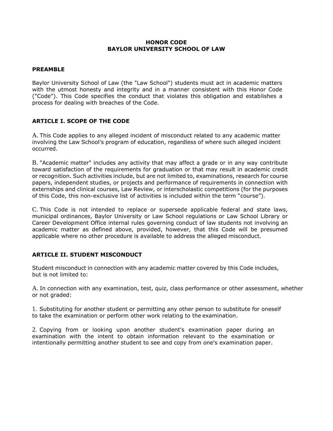#### **HONOR CODE BAYLOR UNIVERSITY SCHOOL OF LAW**

### **PREAMBLE**

Baylor University School of Law (the "Law School") students must act in academic matters with the utmost honesty and integrity and in a manner consistent with this Honor Code ("Code"). This Code specifies the conduct that violates this obligation and establishes a process for dealing with breaches of the Code.

### **ARTICLE I. SCOPE OF THE CODE**

A. This Code applies to any alleged incident of misconduct related to any academic matter involving the Law School's program of education, regardless of where such alleged incident occurred.

B. "Academic matter" includes any activity that may affect a grade or in any way contribute toward satisfaction of the requirements for graduation or that may result in academic credit or recognition. Such activities include, but are not limited to, examinations, research for course papers, independent studies, or projects and performance of requirements in connection with externships and clinical courses, Law Review, or interscholastic competitions (for the purposes of this Code, this non-exclusive list of activities is included within the term "course").

C. This Code is not intended to replace or supersede applicable federal and state laws, municipal ordinances, Baylor University or Law School regulations or Law School Library or Career Development Office internal rules governing conduct of law students not involving an academic matter as defined above, provided, however, that this Code will be presumed applicable where no other procedure is available to address the alleged misconduct.

# **ARTICLE II. STUDENT MISCONDUCT**

Student misconduct in connection with any academic matter covered by this Code includes, but is not limited to:

A. In connection with any examination, test, quiz, class performance or other assessment, whether or not graded:

1. Substituting for another student or permitting any other person to substitute for oneself to take the examination or perform other work relating to the examination.

2. Copying from or looking upon another student's examination paper during an examination with the intent to obtain information relevant to the examination or intentionally permitting another student to see and copy from one's examination paper.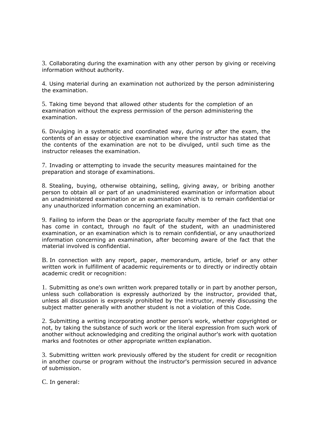3. Collaborating during the examination with any other person by giving or receiving information without authority.

4. Using material during an examination not authorized by the person administering the examination.

5. Taking time beyond that allowed other students for the completion of an examination without the express permission of the person administering the examination.

6. Divulging in a systematic and coordinated way, during or after the exam, the contents of an essay or objective examination where the instructor has stated that the contents of the examination are not to be divulged, until such time as the instructor releases the examination.

7. Invading or attempting to invade the security measures maintained for the preparation and storage of examinations.

8. Stealing, buying, otherwise obtaining, selling, giving away, or bribing another person to obtain all or part of an unadministered examination or information about an unadministered examination or an examination which is to remain confidential or any unauthorized information concerning an examination.

9. Failing to inform the Dean or the appropriate faculty member of the fact that one has come in contact, through no fault of the student, with an unadministered examination, or an examination which is to remain confidential, or any unauthorized information concerning an examination, after becoming aware of the fact that the material involved is confidential.

B. In connection with any report, paper, memorandum, article, brief or any other written work in fulfillment of academic requirements or to directly or indirectly obtain academic credit or recognition:

1. Submitting as one's own written work prepared totally or in part by another person, unless such collaboration is expressly authorized by the instructor, provided that, unless all discussion is expressly prohibited by the instructor, merely discussing the subject matter generally with another student is not a violation of this Code.

2. Submitting a writing incorporating another person's work, whether copyrighted or not, by taking the substance of such work or the literal expression from such work of another without acknowledging and crediting the original author's work with quotation marks and footnotes or other appropriate written explanation.

3. Submitting written work previously offered by the student for credit or recognition in another course or program without the instructor's permission secured in advance of submission.

C. In general: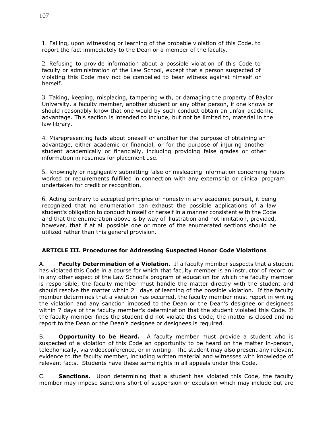1. Failing, upon witnessing or learning of the probable violation of this Code, to report the fact immediately to the Dean or a member of the faculty.

2. Refusing to provide information about a possible violation of this Code to faculty or administration of the Law School, except that a person suspected of violating this Code may not be compelled to bear witness against himself or herself.

3. Taking, keeping, misplacing, tampering with, or damaging the property of Baylor University, a faculty member, another student or any other person, if one knows or should reasonably know that one would by such conduct obtain an unfair academic advantage. This section is intended to include, but not be limited to, material in the law library.

4. Misrepresenting facts about oneself or another for the purpose of obtaining an advantage, either academic or financial, or for the purpose of injuring another student academically or financially, including providing false grades or other information in resumes for placement use.

5. Knowingly or negligently submitting false or misleading information concerning hours worked or requirements fulfilled in connection with any externship or clinical program undertaken for credit or recognition.

6. Acting contrary to accepted principles of honesty in any academic pursuit, it being recognized that no enumeration can exhaust the possible applications of a law student's obligation to conduct himself or herself in a manner consistent with the Code and that the enumeration above is by way of illustration and not limitation, provided, however, that if at all possible one or more of the enumerated sections should be utilized rather than this general provision.

# **ARTICLE III. Procedures for Addressing Suspected Honor Code Violations**

A. **Faculty Determination of a Violation.** If a faculty member suspects that a student has violated this Code in a course for which that faculty member is an instructor of record or in any other aspect of the Law School's program of education for which the faculty member is responsible, the faculty member must handle the matter directly with the student and should resolve the matter within 21 days of learning of the possible violation. If the faculty member determines that a violation has occurred, the faculty member must report in writing the violation and any sanction imposed to the Dean or the Dean's designee or designees within 7 days of the faculty member's determination that the student violated this Code. If the faculty member finds the student did not violate this Code, the matter is closed and no report to the Dean or the Dean's designee or designees is required.

B. **Opportunity to be Heard.** A faculty member must provide a student who is suspected of a violation of this Code an opportunity to be heard on the matter in-person, telephonically, via videoconference, or in writing. The student may also present any relevant evidence to the faculty member, including written material and witnesses with knowledge of relevant facts. Students have these same rights in all appeals under this Code.

C. **Sanctions.** Upon determining that a student has violated this Code, the faculty member may impose sanctions short of suspension or expulsion which may include but are